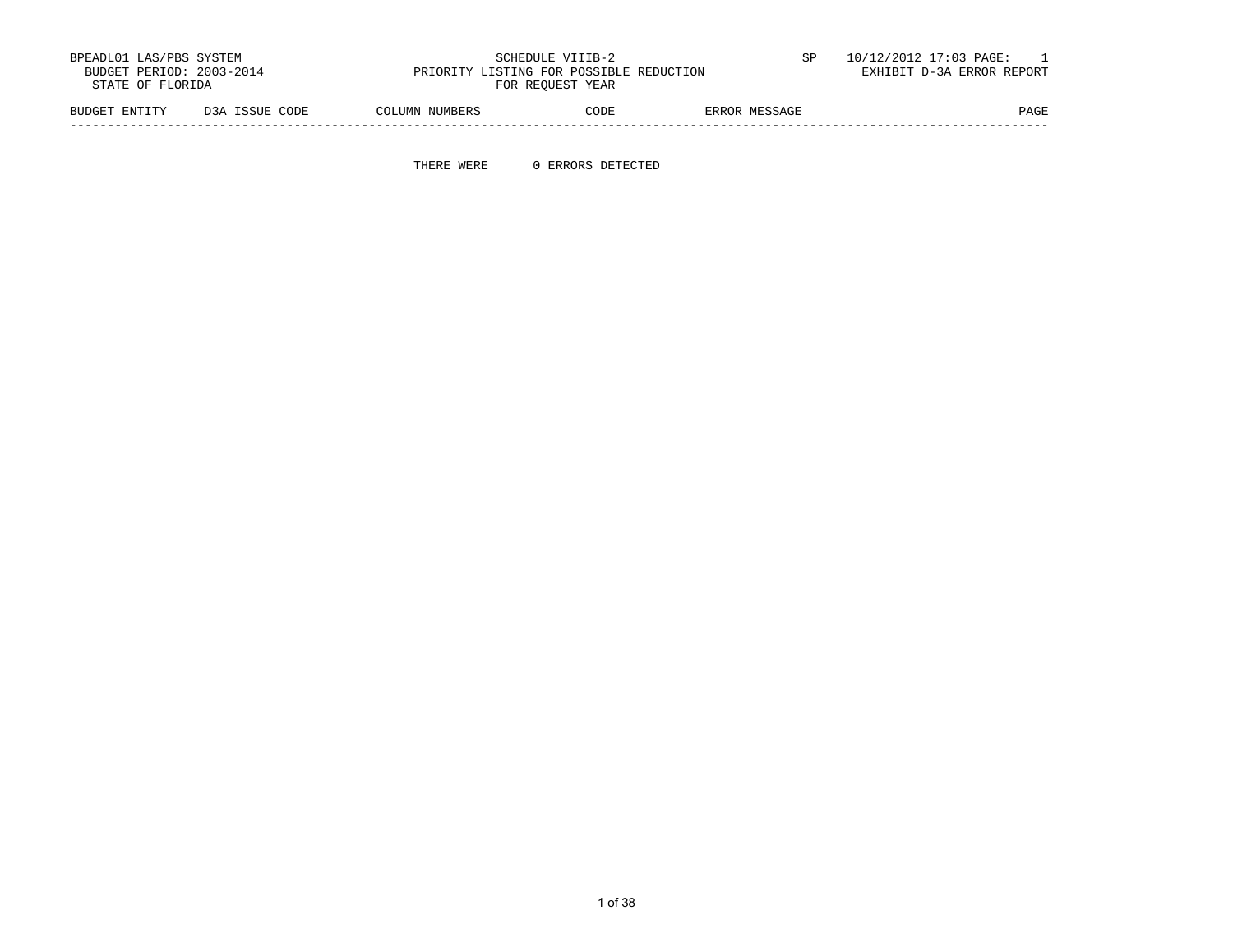| BPEADL01 LAS/PBS SYSTEM<br>BUDGET PERIOD: 2003-2014<br>STATE OF FLORIDA |                | PRIORITY LISTING FOR POSSIBLE REDUCTION | SCHEDULE VIIIB-2<br>FOR REOUEST YEAR |               | 10/12/2012 17:03 PAGE:<br>EXHIBIT D-3A ERROR REPORT |
|-------------------------------------------------------------------------|----------------|-----------------------------------------|--------------------------------------|---------------|-----------------------------------------------------|
| BUDGET ENTITY                                                           | D3A ISSUE CODE | COLUMN NUMBERS                          | CODE                                 | ERROR MESSAGE | PAGE                                                |

THERE WERE 0 ERRORS DETECTED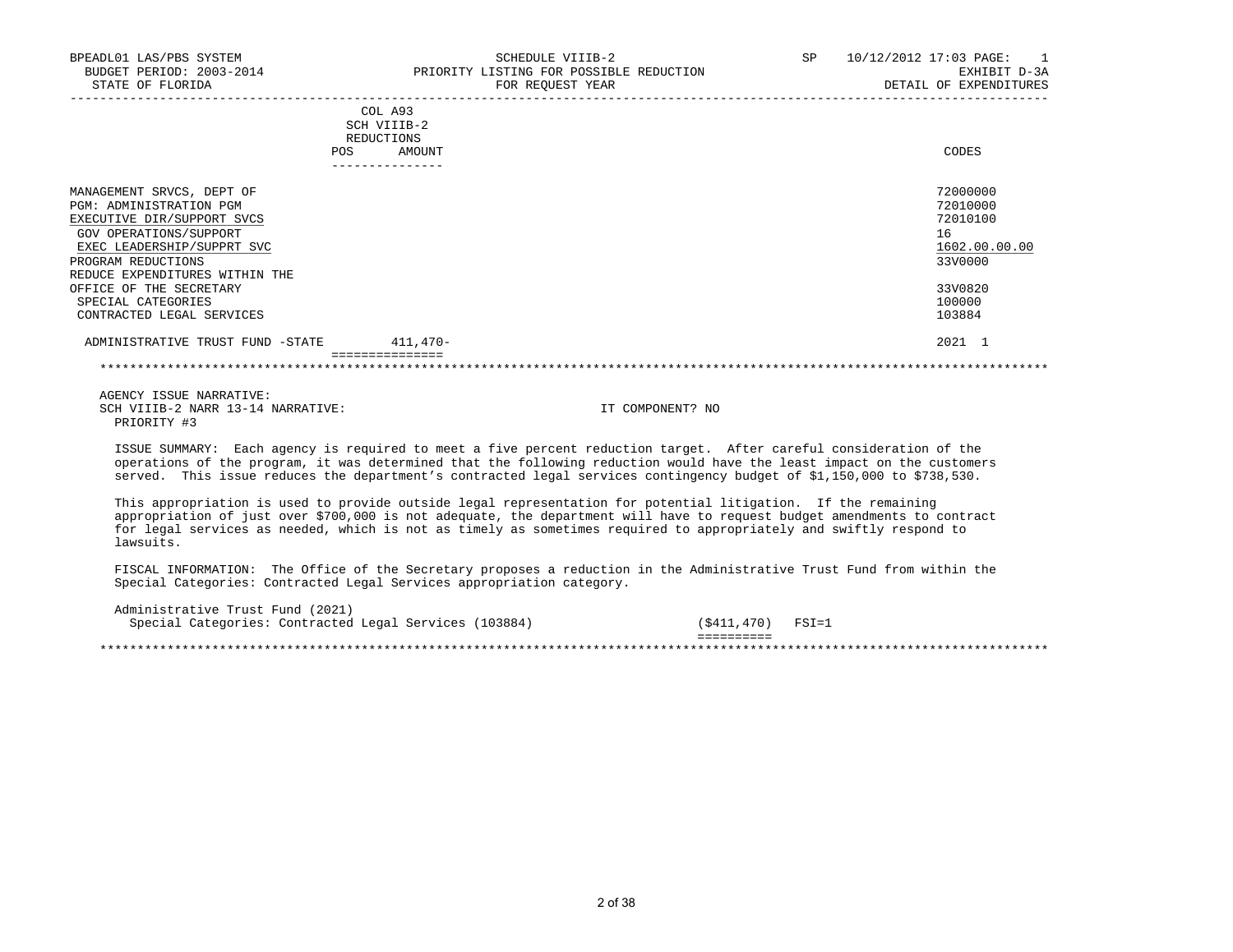| BPEADL01 LAS/PBS SYSTEM<br>BUDGET PERIOD: 2003-2014<br>STATE OF FLORIDA                                                                                                                                                                             | SCHEDULE VIIIB-2<br>PRIORITY LISTING FOR POSSIBLE REDUCTION<br>FOR REQUEST YEAR | SP 10/12/2012 17:03 PAGE:<br>$\overline{1}$<br>EXHIBIT D-3A<br>DETAIL OF EXPENDITURES   |
|-----------------------------------------------------------------------------------------------------------------------------------------------------------------------------------------------------------------------------------------------------|---------------------------------------------------------------------------------|-----------------------------------------------------------------------------------------|
|                                                                                                                                                                                                                                                     | COL A93<br>SCH VIIIB-2<br>REDUCTIONS<br><b>POS</b><br>AMOUNT                    | CODES                                                                                   |
| MANAGEMENT SRVCS, DEPT OF<br>PGM: ADMINISTRATION PGM<br>EXECUTIVE DIR/SUPPORT SVCS<br>GOV OPERATIONS/SUPPORT<br>EXEC LEADERSHIP/SUPPRT SVC<br>PROGRAM REDUCTIONS<br>REDUCE EXPENDITURES WITHIN THE<br>OFFICE OF THE SECRETARY<br>SPECIAL CATEGORIES |                                                                                 | 72000000<br>72010000<br>72010100<br>16<br>1602.00.00.00<br>33V0000<br>33V0820<br>100000 |
| CONTRACTED LEGAL SERVICES<br>ADMINISTRATIVE TRUST FUND -STATE                                                                                                                                                                                       | $411,470-$                                                                      | 103884<br>2021 1                                                                        |
|                                                                                                                                                                                                                                                     |                                                                                 |                                                                                         |
| AGENCY ISSUE NARRATIVE:                                                                                                                                                                                                                             |                                                                                 |                                                                                         |

SCH VIIIB-2 NARR 13-14 NARRATIVE: IT COMPONENT? NO PRIORITY #3

 ISSUE SUMMARY: Each agency is required to meet a five percent reduction target. After careful consideration of the operations of the program, it was determined that the following reduction would have the least impact on the customers served. This issue reduces the department's contracted legal services contingency budget of \$1,150,000 to \$738,530.

 This appropriation is used to provide outside legal representation for potential litigation. If the remaining appropriation of just over \$700,000 is not adequate, the department will have to request budget amendments to contract for legal services as needed, which is not as timely as sometimes required to appropriately and swiftly respond to lawsuits.

 FISCAL INFORMATION: The Office of the Secretary proposes a reduction in the Administrative Trust Fund from within the Special Categories: Contracted Legal Services appropriation category.

 Administrative Trust Fund (2021) Special Categories: Contracted Legal Services (103884) (\$411,470) FSI=1 ========== \*\*\*\*\*\*\*\*\*\*\*\*\*\*\*\*\*\*\*\*\*\*\*\*\*\*\*\*\*\*\*\*\*\*\*\*\*\*\*\*\*\*\*\*\*\*\*\*\*\*\*\*\*\*\*\*\*\*\*\*\*\*\*\*\*\*\*\*\*\*\*\*\*\*\*\*\*\*\*\*\*\*\*\*\*\*\*\*\*\*\*\*\*\*\*\*\*\*\*\*\*\*\*\*\*\*\*\*\*\*\*\*\*\*\*\*\*\*\*\*\*\*\*\*\*\*\*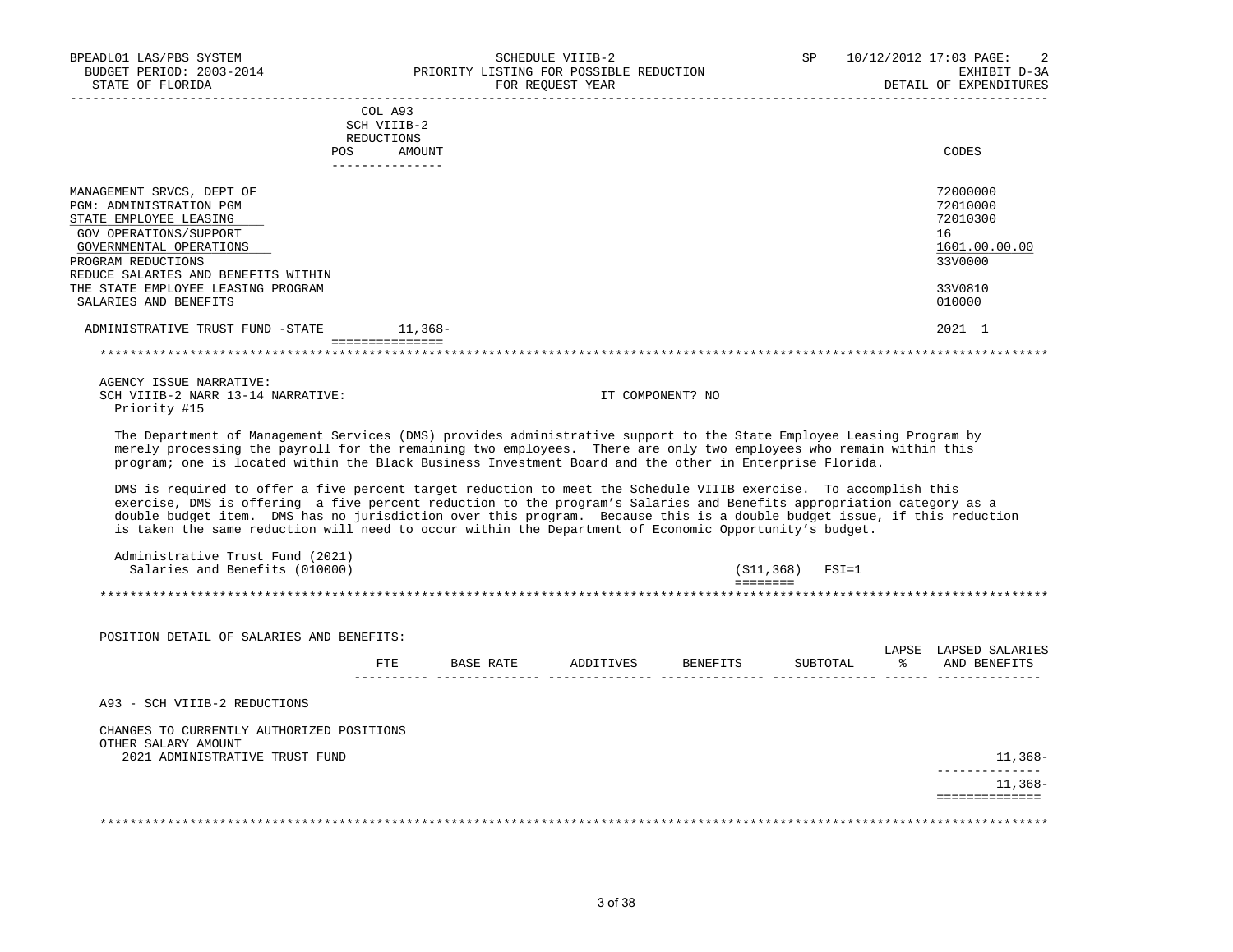| BPEADL01 LAS/PBS SYSTEM<br>BUDGET PERIOD: 2003-2014<br>STATE OF FLORIDA                                                                                                                                                                                                                                                                                                                                                                                                                                                                                                                                                                                                                                                                                                                                                                                                                                                                                     |                                                                          | PRIORITY LISTING FOR POSSIBLE REDUCTION<br>FOR REQUEST YEAR | SCHEDULE VIIIB-2 |                  | SP               | 10/12/2012 17:03 PAGE:<br>EXHIBIT D-3A<br>DETAIL OF EXPENDITURES                                  |
|-------------------------------------------------------------------------------------------------------------------------------------------------------------------------------------------------------------------------------------------------------------------------------------------------------------------------------------------------------------------------------------------------------------------------------------------------------------------------------------------------------------------------------------------------------------------------------------------------------------------------------------------------------------------------------------------------------------------------------------------------------------------------------------------------------------------------------------------------------------------------------------------------------------------------------------------------------------|--------------------------------------------------------------------------|-------------------------------------------------------------|------------------|------------------|------------------|---------------------------------------------------------------------------------------------------|
|                                                                                                                                                                                                                                                                                                                                                                                                                                                                                                                                                                                                                                                                                                                                                                                                                                                                                                                                                             |                                                                          |                                                             |                  |                  |                  |                                                                                                   |
|                                                                                                                                                                                                                                                                                                                                                                                                                                                                                                                                                                                                                                                                                                                                                                                                                                                                                                                                                             | COL A93<br>SCH VIIIB-2<br>REDUCTIONS<br>POS<br>AMOUNT<br>_______________ |                                                             |                  |                  |                  | CODES                                                                                             |
| MANAGEMENT SRVCS, DEPT OF<br>PGM: ADMINISTRATION PGM<br>STATE EMPLOYEE LEASING<br>GOV OPERATIONS/SUPPORT<br>GOVERNMENTAL OPERATIONS<br>PROGRAM REDUCTIONS<br>REDUCE SALARIES AND BENEFITS WITHIN<br>THE STATE EMPLOYEE LEASING PROGRAM<br>SALARIES AND BENEFITS<br>ADMINISTRATIVE TRUST FUND -STATE 11,368-                                                                                                                                                                                                                                                                                                                                                                                                                                                                                                                                                                                                                                                 | ------------------                                                       |                                                             |                  |                  |                  | 72000000<br>72010000<br>72010300<br>16<br>1601.00.00.00<br>33V0000<br>33V0810<br>010000<br>2021 1 |
|                                                                                                                                                                                                                                                                                                                                                                                                                                                                                                                                                                                                                                                                                                                                                                                                                                                                                                                                                             |                                                                          |                                                             |                  |                  |                  |                                                                                                   |
| AGENCY ISSUE NARRATIVE:<br>SCH VIIIB-2 NARR 13-14 NARRATIVE:<br>Priority #15<br>The Department of Management Services (DMS) provides administrative support to the State Employee Leasing Program by<br>merely processing the payroll for the remaining two employees. There are only two employees who remain within this<br>program; one is located within the Black Business Investment Board and the other in Enterprise Florida.<br>DMS is required to offer a five percent target reduction to meet the Schedule VIIIB exercise. To accomplish this<br>exercise, DMS is offering a five percent reduction to the program's Salaries and Benefits appropriation category as a<br>double budget item. DMS has no jurisdiction over this program. Because this is a double budget issue, if this reduction<br>is taken the same reduction will need to occur within the Department of Economic Opportunity's budget.<br>Administrative Trust Fund (2021) |                                                                          |                                                             |                  | IT COMPONENT? NO |                  |                                                                                                   |
| Salaries and Benefits (010000)                                                                                                                                                                                                                                                                                                                                                                                                                                                                                                                                                                                                                                                                                                                                                                                                                                                                                                                              |                                                                          |                                                             |                  |                  | (\$11,368) FSI=1 |                                                                                                   |
|                                                                                                                                                                                                                                                                                                                                                                                                                                                                                                                                                                                                                                                                                                                                                                                                                                                                                                                                                             |                                                                          |                                                             |                  | <b>EEEEEEEE</b>  |                  | ****************************                                                                      |
|                                                                                                                                                                                                                                                                                                                                                                                                                                                                                                                                                                                                                                                                                                                                                                                                                                                                                                                                                             |                                                                          |                                                             |                  |                  |                  |                                                                                                   |
| POSITION DETAIL OF SALARIES AND BENEFITS:                                                                                                                                                                                                                                                                                                                                                                                                                                                                                                                                                                                                                                                                                                                                                                                                                                                                                                                   |                                                                          |                                                             |                  |                  |                  | LAPSE LAPSED SALARIES                                                                             |
|                                                                                                                                                                                                                                                                                                                                                                                                                                                                                                                                                                                                                                                                                                                                                                                                                                                                                                                                                             |                                                                          | FTE BASE RATE ADDITIVES BENEFITS                            |                  |                  | SUBTOTAL         | % AND BENEFITS                                                                                    |
| A93 - SCH VIIIB-2 REDUCTIONS                                                                                                                                                                                                                                                                                                                                                                                                                                                                                                                                                                                                                                                                                                                                                                                                                                                                                                                                |                                                                          |                                                             |                  |                  |                  |                                                                                                   |
| CHANGES TO CURRENTLY AUTHORIZED POSITIONS<br>OTHER SALARY AMOUNT<br>2021 ADMINISTRATIVE TRUST FUND                                                                                                                                                                                                                                                                                                                                                                                                                                                                                                                                                                                                                                                                                                                                                                                                                                                          |                                                                          |                                                             |                  |                  |                  | 11,368–                                                                                           |
|                                                                                                                                                                                                                                                                                                                                                                                                                                                                                                                                                                                                                                                                                                                                                                                                                                                                                                                                                             |                                                                          |                                                             |                  |                  |                  | ______________<br>11,368–                                                                         |
|                                                                                                                                                                                                                                                                                                                                                                                                                                                                                                                                                                                                                                                                                                                                                                                                                                                                                                                                                             |                                                                          |                                                             |                  |                  |                  | ==============                                                                                    |
|                                                                                                                                                                                                                                                                                                                                                                                                                                                                                                                                                                                                                                                                                                                                                                                                                                                                                                                                                             |                                                                          |                                                             |                  |                  |                  |                                                                                                   |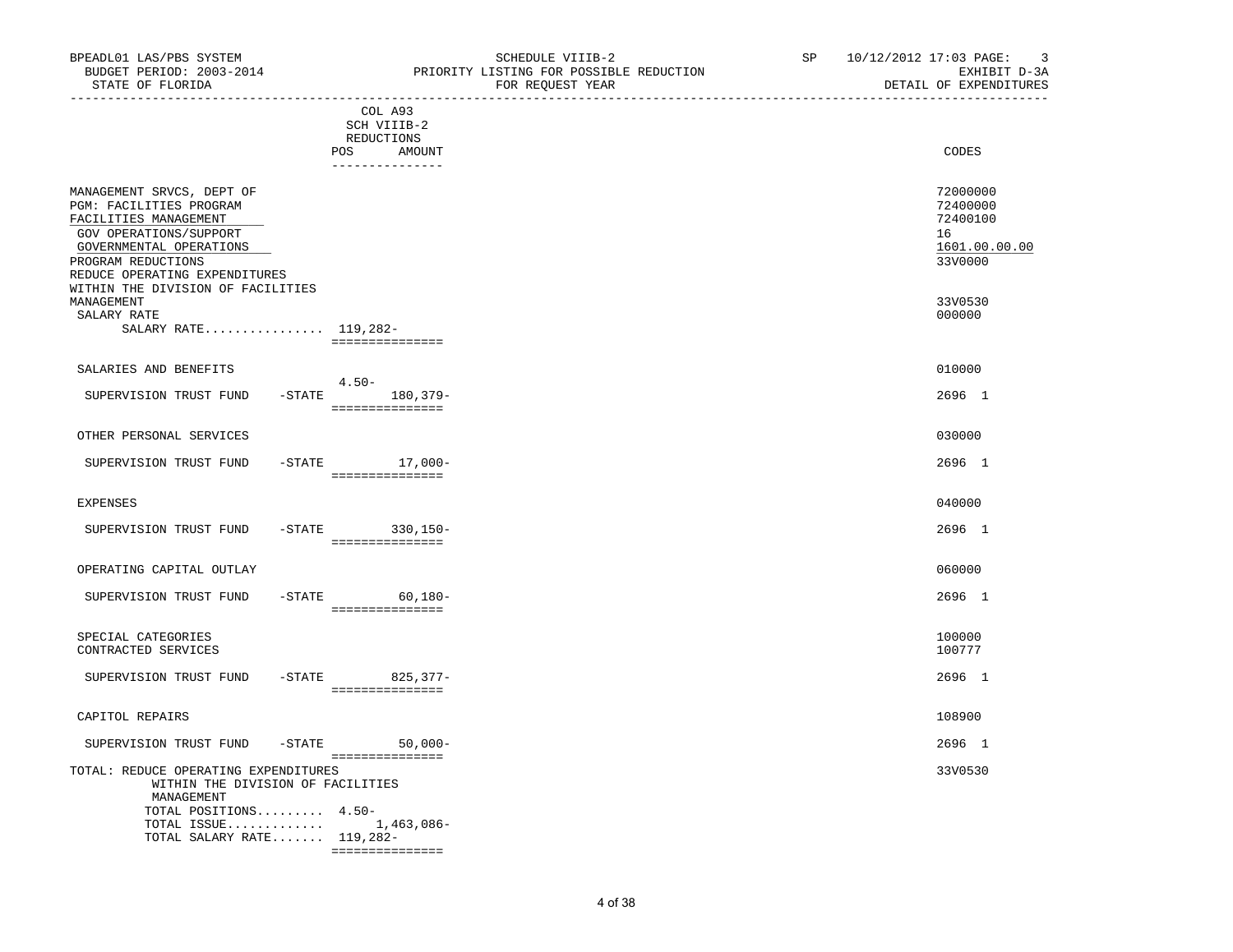| BUDGET PERIOD: 2003-2014<br>STATE OF FLORIDA                                                                                                                                              | PRIORITY LISTING FOR POSSIBLE REDUCTION<br>FOR REQUEST YEAR  | EXHIBIT D-3A<br>DETAIL OF EXPENDITURES                             |
|-------------------------------------------------------------------------------------------------------------------------------------------------------------------------------------------|--------------------------------------------------------------|--------------------------------------------------------------------|
|                                                                                                                                                                                           | COL A93<br>SCH VIIIB-2<br>REDUCTIONS<br>POS<br><b>AMOUNT</b> | CODES                                                              |
| MANAGEMENT SRVCS, DEPT OF<br>PGM: FACILITIES PROGRAM<br>FACILITIES MANAGEMENT<br>GOV OPERATIONS/SUPPORT<br>GOVERNMENTAL OPERATIONS<br>PROGRAM REDUCTIONS<br>REDUCE OPERATING EXPENDITURES | ---------------                                              | 72000000<br>72400000<br>72400100<br>16<br>1601.00.00.00<br>33V0000 |
| WITHIN THE DIVISION OF FACILITIES<br>MANAGEMENT<br>SALARY RATE<br>SALARY RATE 119,282-                                                                                                    | ===============                                              | 33V0530<br>000000                                                  |
| SALARIES AND BENEFITS<br>SUPERVISION TRUST FUND                                                                                                                                           | $4.50 -$<br>$-STATE$<br>180,379-                             | 010000<br>2696 1                                                   |
| OTHER PERSONAL SERVICES<br>SUPERVISION TRUST FUND                                                                                                                                         | ===============<br>$-$ STATE $17,000-$                       | 030000<br>2696 1                                                   |
| <b>EXPENSES</b>                                                                                                                                                                           | ===============                                              | 040000                                                             |
| SUPERVISION TRUST FUND                                                                                                                                                                    | -STATE 330, 150-                                             | 2696 1                                                             |
| OPERATING CAPITAL OUTLAY                                                                                                                                                                  |                                                              | 060000                                                             |
| SUPERVISION TRUST FUND                                                                                                                                                                    | $-STATE$ 60,180-<br>===============                          | 2696 1                                                             |
| SPECIAL CATEGORIES<br>CONTRACTED SERVICES                                                                                                                                                 |                                                              | 100000<br>100777                                                   |
| SUPERVISION TRUST FUND                                                                                                                                                                    | -STATE 825,377-<br>----------------                          | 2696 1                                                             |
| CAPITOL REPAIRS                                                                                                                                                                           |                                                              | 108900                                                             |
| $-$ STATE<br>SUPERVISION TRUST FUND                                                                                                                                                       | $50,000-$<br>________________                                | 2696 1                                                             |
| TOTAL: REDUCE OPERATING EXPENDITURES<br>WITHIN THE DIVISION OF FACILITIES<br>MANAGEMENT<br>TOTAL POSITIONS 4.50-                                                                          |                                                              | 33V0530                                                            |
| TOTAL ISSUE                                                                                                                                                                               | 1,463,086-                                                   |                                                                    |

TOTAL SALARY RATE....... 119,282-

===============

BPEADL01 LAS/PBS SYSTEM SALL SALL SOMEDULE VIIIB-2 SCHEDULE VIIIB-2 SP 10/12/2012 17:03 PAGE: 3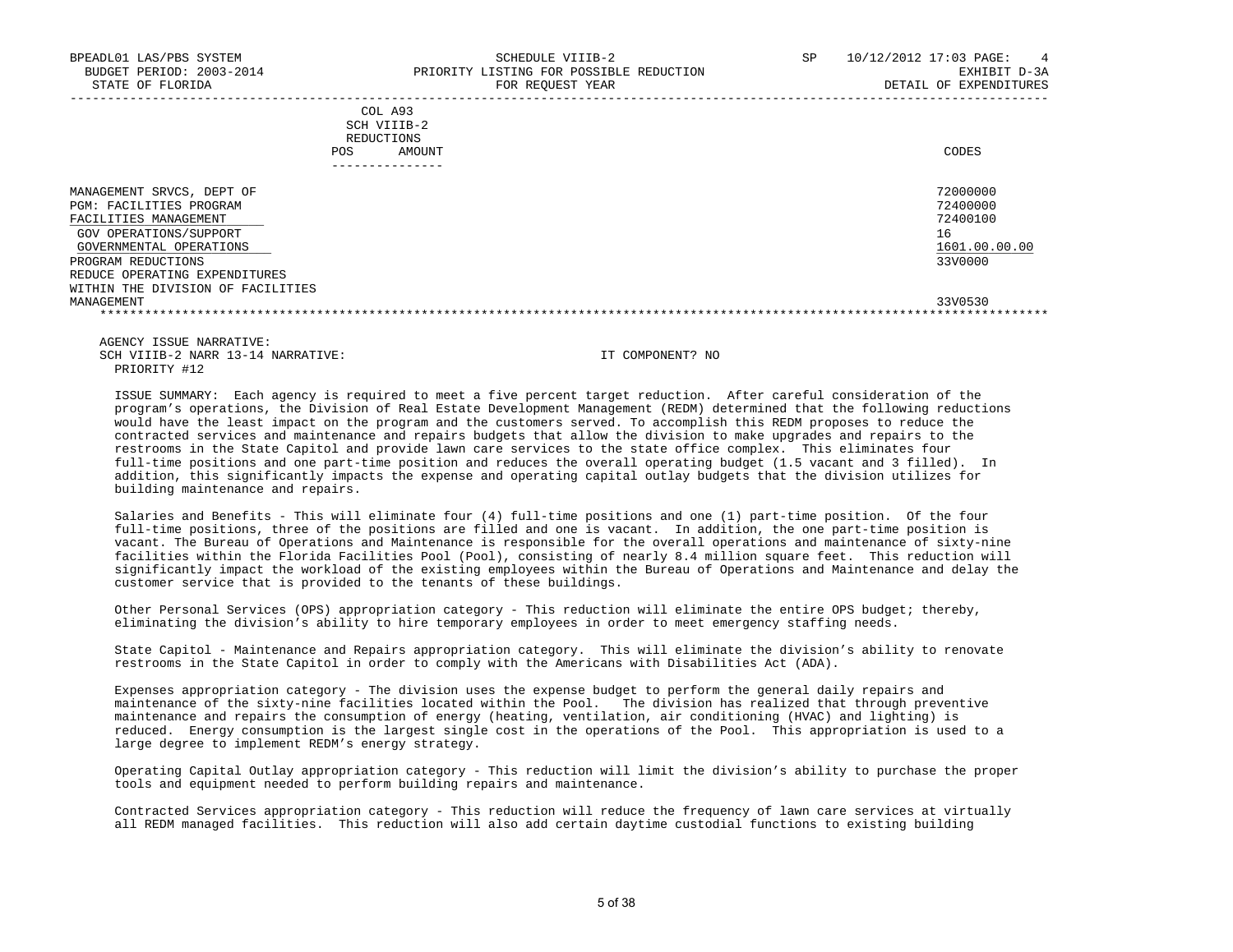| COL A93<br>SCH VIIIB-2<br>REDUCTIONS<br>AMOUNT<br><b>POS</b><br>------------                                                                                    | CODES                                                              |
|-----------------------------------------------------------------------------------------------------------------------------------------------------------------|--------------------------------------------------------------------|
| MANAGEMENT SRVCS, DEPT OF<br><b>PGM: FACILITIES PROGRAM</b><br>FACILITIES MANAGEMENT<br>GOV OPERATIONS/SUPPORT<br>GOVERNMENTAL OPERATIONS<br>PROGRAM REDUCTIONS | 72000000<br>72400000<br>72400100<br>16<br>1601.00.00.00<br>33V0000 |
| REDUCE OPERATING EXPENDITURES<br>WITHIN THE DIVISION OF FACILITIES<br>MANAGEMENT                                                                                | 33V0530                                                            |

 AGENCY ISSUE NARRATIVE: SCH VIIIB-2 NARR 13-14 NARRATIVE: IT COMPONENT? NO PRIORITY #12

 ISSUE SUMMARY: Each agency is required to meet a five percent target reduction. After careful consideration of the program's operations, the Division of Real Estate Development Management (REDM) determined that the following reductions would have the least impact on the program and the customers served. To accomplish this REDM proposes to reduce the contracted services and maintenance and repairs budgets that allow the division to make upgrades and repairs to the restrooms in the State Capitol and provide lawn care services to the state office complex. This eliminates four full-time positions and one part-time position and reduces the overall operating budget (1.5 vacant and 3 filled). In addition, this significantly impacts the expense and operating capital outlay budgets that the division utilizes for building maintenance and repairs.

 Salaries and Benefits - This will eliminate four (4) full-time positions and one (1) part-time position. Of the four full-time positions, three of the positions are filled and one is vacant. In addition, the one part-time position is vacant. The Bureau of Operations and Maintenance is responsible for the overall operations and maintenance of sixty-nine facilities within the Florida Facilities Pool (Pool), consisting of nearly 8.4 million square feet. This reduction will significantly impact the workload of the existing employees within the Bureau of Operations and Maintenance and delay the customer service that is provided to the tenants of these buildings.

 Other Personal Services (OPS) appropriation category - This reduction will eliminate the entire OPS budget; thereby, eliminating the division's ability to hire temporary employees in order to meet emergency staffing needs.

 State Capitol - Maintenance and Repairs appropriation category. This will eliminate the division's ability to renovate restrooms in the State Capitol in order to comply with the Americans with Disabilities Act (ADA).

 Expenses appropriation category - The division uses the expense budget to perform the general daily repairs and maintenance of the sixty-nine facilities located within the Pool. The division has realized that through preventive maintenance and repairs the consumption of energy (heating, ventilation, air conditioning (HVAC) and lighting) is reduced. Energy consumption is the largest single cost in the operations of the Pool. This appropriation is used to a large degree to implement REDM's energy strategy.

 Operating Capital Outlay appropriation category - This reduction will limit the division's ability to purchase the proper tools and equipment needed to perform building repairs and maintenance.

 Contracted Services appropriation category - This reduction will reduce the frequency of lawn care services at virtually all REDM managed facilities. This reduction will also add certain daytime custodial functions to existing building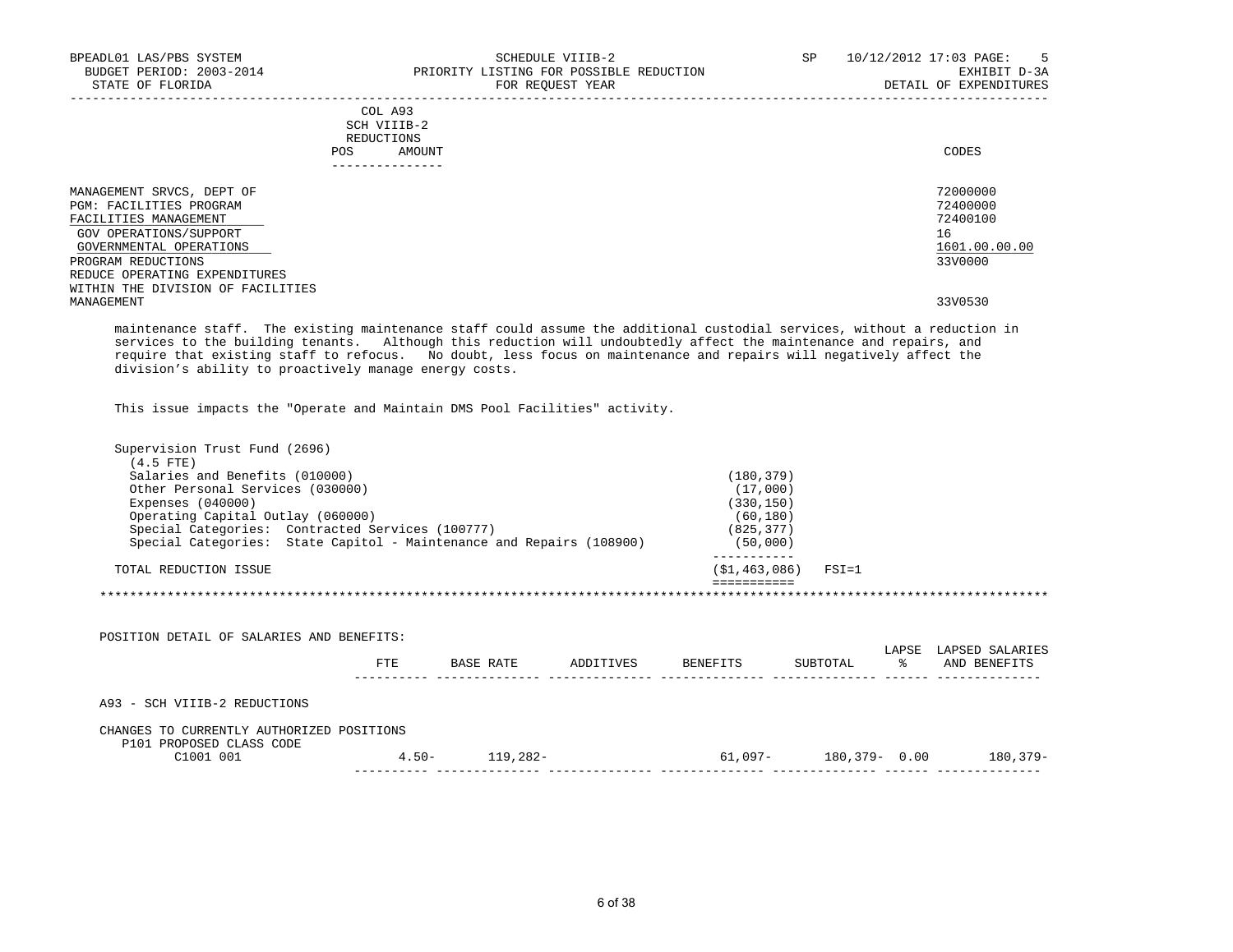| BPEADL01 LAS/PBS SYSTEM<br>BUDGET PERIOD: 2003-2014<br>STATE OF FLORIDA | SCHEDULE VIIIB-2<br>PRIORITY LISTING FOR POSSIBLE REDUCTION<br>FOR REOUEST YEAR | SP<br>10/12/2012 17:03 PAGE: | $5^{\circ}$<br>EXHIBIT D-3A<br>DETAIL OF EXPENDITURES |
|-------------------------------------------------------------------------|---------------------------------------------------------------------------------|------------------------------|-------------------------------------------------------|
|                                                                         | COL A93<br>SCH VIIIB-2<br>REDUCTIONS<br>POS<br>AMOUNT                           |                              | CODES                                                 |
| MANAGEMENT SRVCS, DEPT OF                                               |                                                                                 |                              | 72000000                                              |
| <b>PGM: FACILITIES PROGRAM</b>                                          |                                                                                 |                              | 72400000                                              |
| FACILITIES MANAGEMENT                                                   |                                                                                 |                              | 72400100                                              |
| GOV OPERATIONS/SUPPORT                                                  |                                                                                 | 16                           |                                                       |
| GOVERNMENTAL OPERATIONS                                                 |                                                                                 |                              | 1601.00.00.00                                         |
| PROGRAM REDUCTIONS                                                      |                                                                                 |                              | 33V0000                                               |
| REDUCE OPERATING EXPENDITURES                                           |                                                                                 |                              |                                                       |
| WITHIN THE DIVISION OF FACILITIES                                       |                                                                                 |                              |                                                       |
| MANAGEMENT                                                              |                                                                                 |                              | 33V0530                                               |

 maintenance staff. The existing maintenance staff could assume the additional custodial services, without a reduction in services to the building tenants. Although this reduction will undoubtedly affect the maintenance and repairs, and require that existing staff to refocus. No doubt, less focus on maintenance and repairs will negatively affect the division's ability to proactively manage energy costs.

This issue impacts the "Operate and Maintain DMS Pool Facilities" activity.

| Supervision Trust Fund (2696)                                                                                      |     |                    |                        |                           |       |                 |
|--------------------------------------------------------------------------------------------------------------------|-----|--------------------|------------------------|---------------------------|-------|-----------------|
| $(4.5$ FTE)                                                                                                        |     |                    |                        |                           |       |                 |
| Salaries and Benefits (010000)<br>Other Personal Services (030000)                                                 |     |                    | (180, 379)<br>(17,000) |                           |       |                 |
| Expenses $(040000)$                                                                                                |     |                    | (330, 150)             |                           |       |                 |
| Operating Capital Outlay (060000)                                                                                  |     |                    | (60, 180)              |                           |       |                 |
| Special Categories: Contracted Services (100777)                                                                   |     |                    | (825, 377)             |                           |       |                 |
| Special Categories: State Capitol - Maintenance and Repairs (108900)                                               |     |                    | (50,000)               |                           |       |                 |
| TOTAL REDUCTION ISSUE                                                                                              |     |                    |                        | $(S1, 463, 086)$ FSI=1    |       |                 |
|                                                                                                                    |     |                    |                        |                           |       |                 |
| POSITION DETAIL OF SALARIES AND BENEFITS:                                                                          |     |                    |                        |                           | LAPSE |                 |
|                                                                                                                    | FTE | BASE RATE          | ADDITIVES BENEFITS     | SUBTOTAL                  | ွေ    | AND BENEFITS    |
|                                                                                                                    |     |                    |                        |                           |       | LAPSED SALARIES |
|                                                                                                                    |     |                    |                        |                           |       |                 |
| A93 - SCH VIIIB-2 REDUCTIONS<br>CHANGES TO CURRENTLY AUTHORIZED POSITIONS<br>P101 PROPOSED CLASS CODE<br>C1001 001 |     | $4.50 - 119,282 -$ |                        | $61,097 - 180,379 - 0.00$ |       | 180,379-        |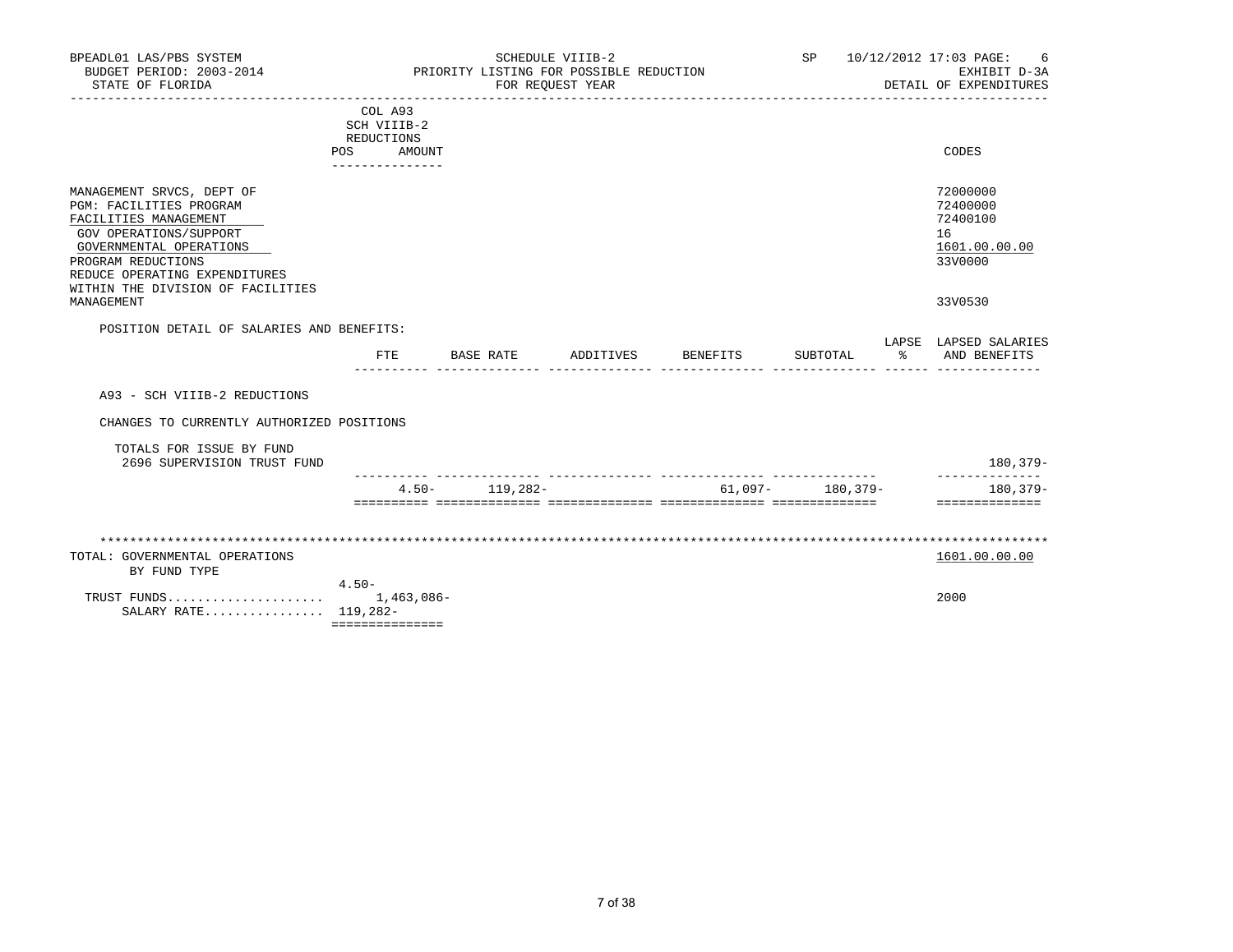| BPEADL01 LAS/PBS SYSTEM<br>BUDGET PERIOD: 2003-2014<br>STATE OF FLORIDA                                                                                                                                                        |                                                                                        | PRIORITY LISTING FOR POSSIBLE REDUCTION | SCHEDULE VIIIB-2<br>FOR REQUEST YEAR | _________________________________ | SP <sub>2</sub>  | 10/12/2012 17:03 PAGE:<br>6<br>EXHIBIT D-3A<br>DETAIL OF EXPENDITURES |
|--------------------------------------------------------------------------------------------------------------------------------------------------------------------------------------------------------------------------------|----------------------------------------------------------------------------------------|-----------------------------------------|--------------------------------------|-----------------------------------|------------------|-----------------------------------------------------------------------|
|                                                                                                                                                                                                                                | COL A93<br>SCH VIIIB-2<br>REDUCTIONS<br>POS<br>AMOUNT<br>. _ _ _ _ _ _ _ _ _ _ _ _ _ _ |                                         |                                      |                                   |                  | CODES                                                                 |
| MANAGEMENT SRVCS, DEPT OF<br>PGM: FACILITIES PROGRAM<br>FACILITIES MANAGEMENT<br>GOV OPERATIONS/SUPPORT<br>GOVERNMENTAL OPERATIONS<br>PROGRAM REDUCTIONS<br>REDUCE OPERATING EXPENDITURES<br>WITHIN THE DIVISION OF FACILITIES |                                                                                        |                                         |                                      |                                   |                  | 72000000<br>72400000<br>72400100<br>16<br>1601.00.00.00<br>33V0000    |
| MANAGEMENT                                                                                                                                                                                                                     |                                                                                        |                                         |                                      |                                   |                  | 33V0530                                                               |
| POSITION DETAIL OF SALARIES AND BENEFITS:                                                                                                                                                                                      | FTE.                                                                                   | BASE RATE                               |                                      | ADDITIVES BENEFITS                | SUBTOTAL         | LAPSE LAPSED SALARIES<br>% AND BENEFITS                               |
| A93 - SCH VIIIB-2 REDUCTIONS                                                                                                                                                                                                   |                                                                                        |                                         |                                      |                                   |                  |                                                                       |
| CHANGES TO CURRENTLY AUTHORIZED POSITIONS                                                                                                                                                                                      |                                                                                        |                                         |                                      |                                   |                  |                                                                       |
| TOTALS FOR ISSUE BY FUND<br>2696 SUPERVISION TRUST FUND                                                                                                                                                                        |                                                                                        |                                         |                                      |                                   |                  | 180,379-                                                              |
|                                                                                                                                                                                                                                |                                                                                        | $4.50 - 119,282 -$                      |                                      |                                   | 61,097- 180,379- | 180,379-<br>==============                                            |
|                                                                                                                                                                                                                                |                                                                                        |                                         |                                      |                                   |                  |                                                                       |
| TOTAL: GOVERNMENTAL OPERATIONS<br>BY FUND TYPE                                                                                                                                                                                 |                                                                                        |                                         |                                      |                                   |                  | 1601.00.00.00                                                         |
| TRUST FUNDS<br>SALARY RATE 119,282-                                                                                                                                                                                            | $4.50-$<br>1,463,086-<br>===============                                               |                                         |                                      |                                   |                  | 2000                                                                  |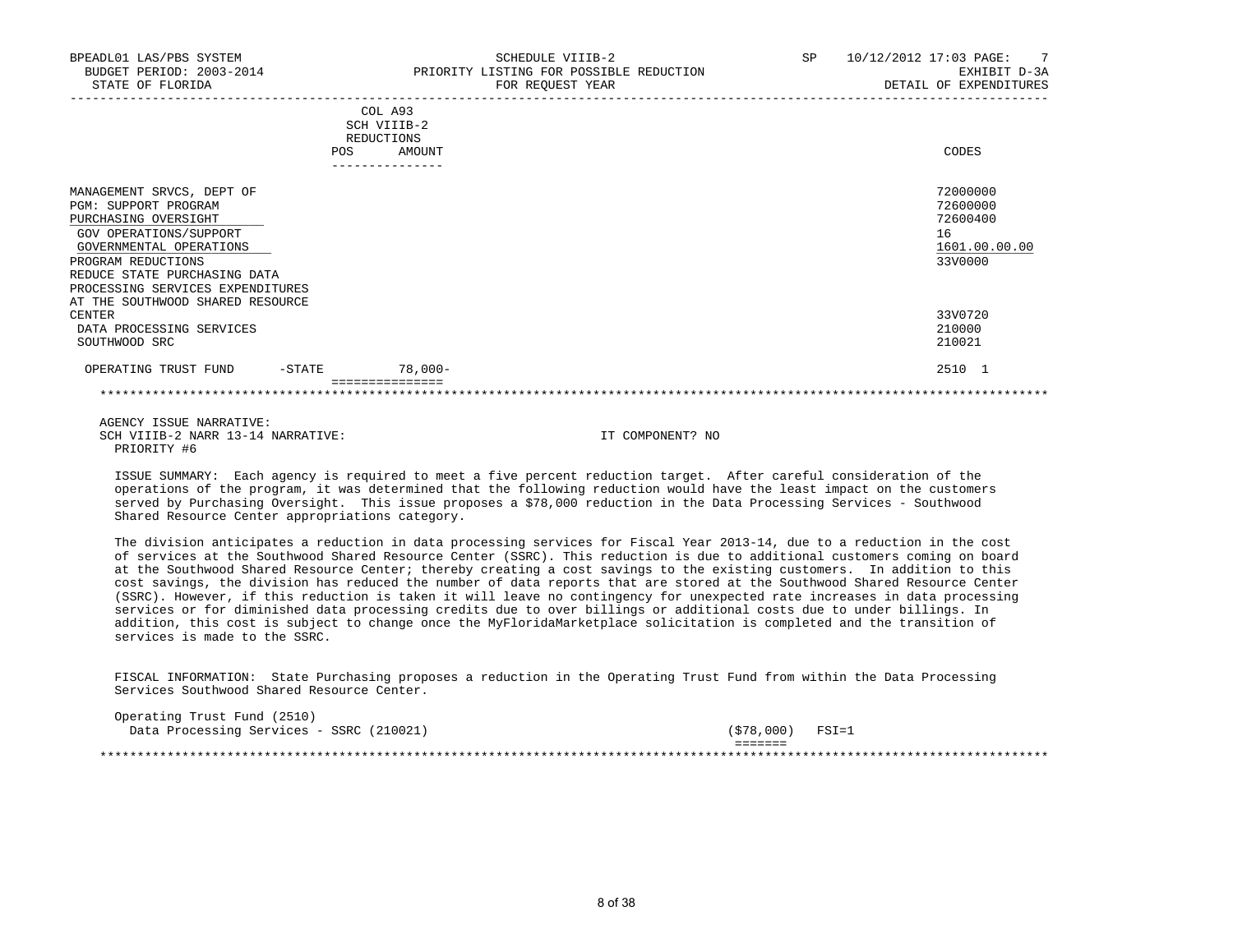| BPEADL01 LAS/PBS SYSTEM<br>BUDGET PERIOD: 2003-2014<br>STATE OF FLORIDA                                                                                                                                                                                      | SCHEDULE VIIIB-2<br>PRIORITY LISTING FOR POSSIBLE REDUCTION<br>FOR REQUEST YEAR | SP <sub>2</sub><br>10/12/2012 17:03 PAGE: 7<br>EXHIBIT D-3A<br>DETAIL OF EXPENDITURES |
|--------------------------------------------------------------------------------------------------------------------------------------------------------------------------------------------------------------------------------------------------------------|---------------------------------------------------------------------------------|---------------------------------------------------------------------------------------|
|                                                                                                                                                                                                                                                              | COL A93<br>SCH VIIIB-2<br>REDUCTIONS<br>AMOUNT<br>POS                           | CODES                                                                                 |
| MANAGEMENT SRVCS, DEPT OF<br>PGM: SUPPORT PROGRAM<br>PURCHASING OVERSIGHT<br>GOV OPERATIONS/SUPPORT<br>GOVERNMENTAL OPERATIONS<br>PROGRAM REDUCTIONS<br>REDUCE STATE PURCHASING DATA<br>PROCESSING SERVICES EXPENDITURES<br>AT THE SOUTHWOOD SHARED RESOURCE |                                                                                 | 72000000<br>72600000<br>72600400<br>16<br>1601.00.00.00<br>33V0000                    |
| <b>CENTER</b><br>DATA PROCESSING SERVICES<br>SOUTHWOOD SRC                                                                                                                                                                                                   |                                                                                 | 33V0720<br>210000<br>210021                                                           |
| OPERATING TRUST FUND -STATE                                                                                                                                                                                                                                  | $78,000 -$<br>===============                                                   | 2510 1                                                                                |

 AGENCY ISSUE NARRATIVE: SCH VIIIB-2 NARR 13-14 NARRATIVE: IT COMPONENT? NO PRIORITY #6

 ISSUE SUMMARY: Each agency is required to meet a five percent reduction target. After careful consideration of the operations of the program, it was determined that the following reduction would have the least impact on the customers served by Purchasing Oversight. This issue proposes a \$78,000 reduction in the Data Processing Services - Southwood Shared Resource Center appropriations category.

 The division anticipates a reduction in data processing services for Fiscal Year 2013-14, due to a reduction in the cost of services at the Southwood Shared Resource Center (SSRC). This reduction is due to additional customers coming on board at the Southwood Shared Resource Center; thereby creating a cost savings to the existing customers. In addition to this cost savings, the division has reduced the number of data reports that are stored at the Southwood Shared Resource Center (SSRC). However, if this reduction is taken it will leave no contingency for unexpected rate increases in data processing services or for diminished data processing credits due to over billings or additional costs due to under billings. In addition, this cost is subject to change once the MyFloridaMarketplace solicitation is completed and the transition of services is made to the SSRC.

 FISCAL INFORMATION: State Purchasing proposes a reduction in the Operating Trust Fund from within the Data Processing Services Southwood Shared Resource Center.

| Operating Trust Fund (2510)              |                         |  |
|------------------------------------------|-------------------------|--|
| Data Processing Services - SSRC (210021) | (\$78,000)<br>$FSI = 1$ |  |
|                                          | _______<br>-------      |  |
|                                          |                         |  |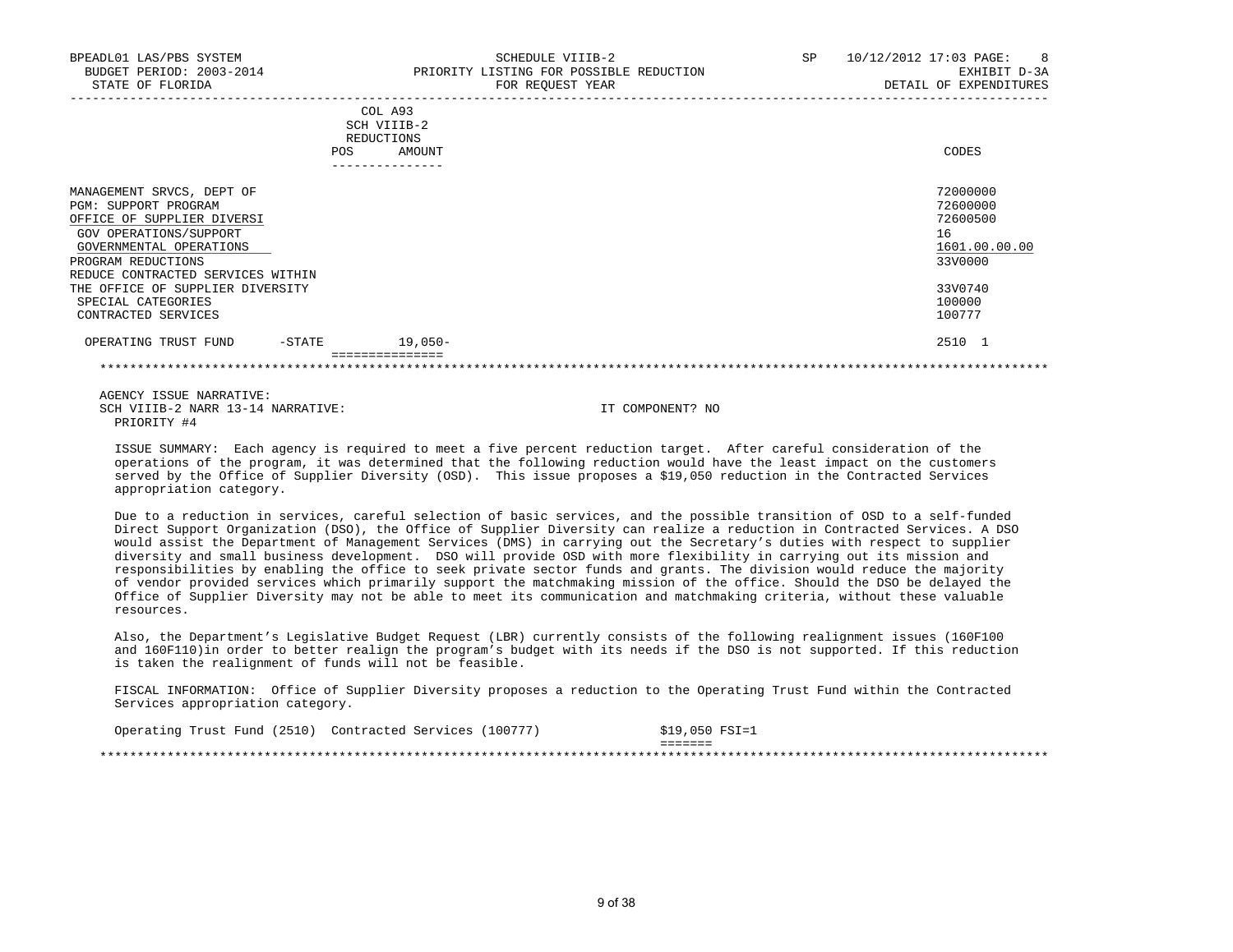| BPEADL01 LAS/PBS SYSTEM<br>BUDGET PERIOD: 2003-2014<br>STATE OF FLORIDA                                                                                                                                                                                                          | SCHEDULE VIIIB-2<br>PRIORITY LISTING FOR POSSIBLE REDUCTION<br>FOR REQUEST YEAR | SP | 10/12/2012 17:03 PAGE:<br>8 <sup>8</sup><br>EXHIBIT D-3A<br>DETAIL OF EXPENDITURES                |
|----------------------------------------------------------------------------------------------------------------------------------------------------------------------------------------------------------------------------------------------------------------------------------|---------------------------------------------------------------------------------|----|---------------------------------------------------------------------------------------------------|
|                                                                                                                                                                                                                                                                                  | COL A93<br>SCH VIIIB-2<br>REDUCTIONS<br>AMOUNT<br><b>POS</b><br>--------------- |    | CODES                                                                                             |
| MANAGEMENT SRVCS, DEPT OF<br>PGM: SUPPORT PROGRAM<br>OFFICE OF SUPPLIER DIVERSI<br>GOV OPERATIONS/SUPPORT<br>GOVERNMENTAL OPERATIONS<br>PROGRAM REDUCTIONS<br>REDUCE CONTRACTED SERVICES WITHIN<br>THE OFFICE OF SUPPLIER DIVERSITY<br>SPECIAL CATEGORIES<br>CONTRACTED SERVICES |                                                                                 |    | 72000000<br>72600000<br>72600500<br>16<br>1601.00.00.00<br>33V0000<br>33V0740<br>100000<br>100777 |
| OPERATING TRUST FUND<br>$-$ STATE                                                                                                                                                                                                                                                | 19,050-<br>===============                                                      |    | 2510 1                                                                                            |

 AGENCY ISSUE NARRATIVE: SCH VIIIB-2 NARR 13-14 NARRATIVE: IT COMPONENT? NO PRIORITY #4

 ISSUE SUMMARY: Each agency is required to meet a five percent reduction target. After careful consideration of the operations of the program, it was determined that the following reduction would have the least impact on the customers served by the Office of Supplier Diversity (OSD). This issue proposes a \$19,050 reduction in the Contracted Services appropriation category.

\*\*\*\*\*\*\*\*\*\*\*\*\*\*\*\*\*\*\*\*\*\*\*\*\*\*\*\*\*\*\*\*\*\*\*\*\*\*\*\*\*\*\*\*\*\*\*\*\*\*\*\*\*\*\*\*\*\*\*\*\*\*\*\*\*\*\*\*\*\*\*\*\*\*\*\*\*\*\*\*\*\*\*\*\*\*\*\*\*\*\*\*\*\*\*\*\*\*\*\*\*\*\*\*\*\*\*\*\*\*\*\*\*\*\*\*\*\*\*\*\*\*\*\*\*\*\*

 Due to a reduction in services, careful selection of basic services, and the possible transition of OSD to a self-funded Direct Support Organization (DSO), the Office of Supplier Diversity can realize a reduction in Contracted Services. A DSO would assist the Department of Management Services (DMS) in carrying out the Secretary's duties with respect to supplier diversity and small business development. DSO will provide OSD with more flexibility in carrying out its mission and responsibilities by enabling the office to seek private sector funds and grants. The division would reduce the majority of vendor provided services which primarily support the matchmaking mission of the office. Should the DSO be delayed the Office of Supplier Diversity may not be able to meet its communication and matchmaking criteria, without these valuable resources.

 Also, the Department's Legislative Budget Request (LBR) currently consists of the following realignment issues (160F100 and 160F110)in order to better realign the program's budget with its needs if the DSO is not supported. If this reduction is taken the realignment of funds will not be feasible.

 FISCAL INFORMATION: Office of Supplier Diversity proposes a reduction to the Operating Trust Fund within the Contracted Services appropriation category.

| Operating Trust Fund (2510) | Contracted Services | 100777) | $$19,050$ FSI=1     |  |
|-----------------------------|---------------------|---------|---------------------|--|
|                             |                     |         | --------<br>------- |  |
|                             |                     |         |                     |  |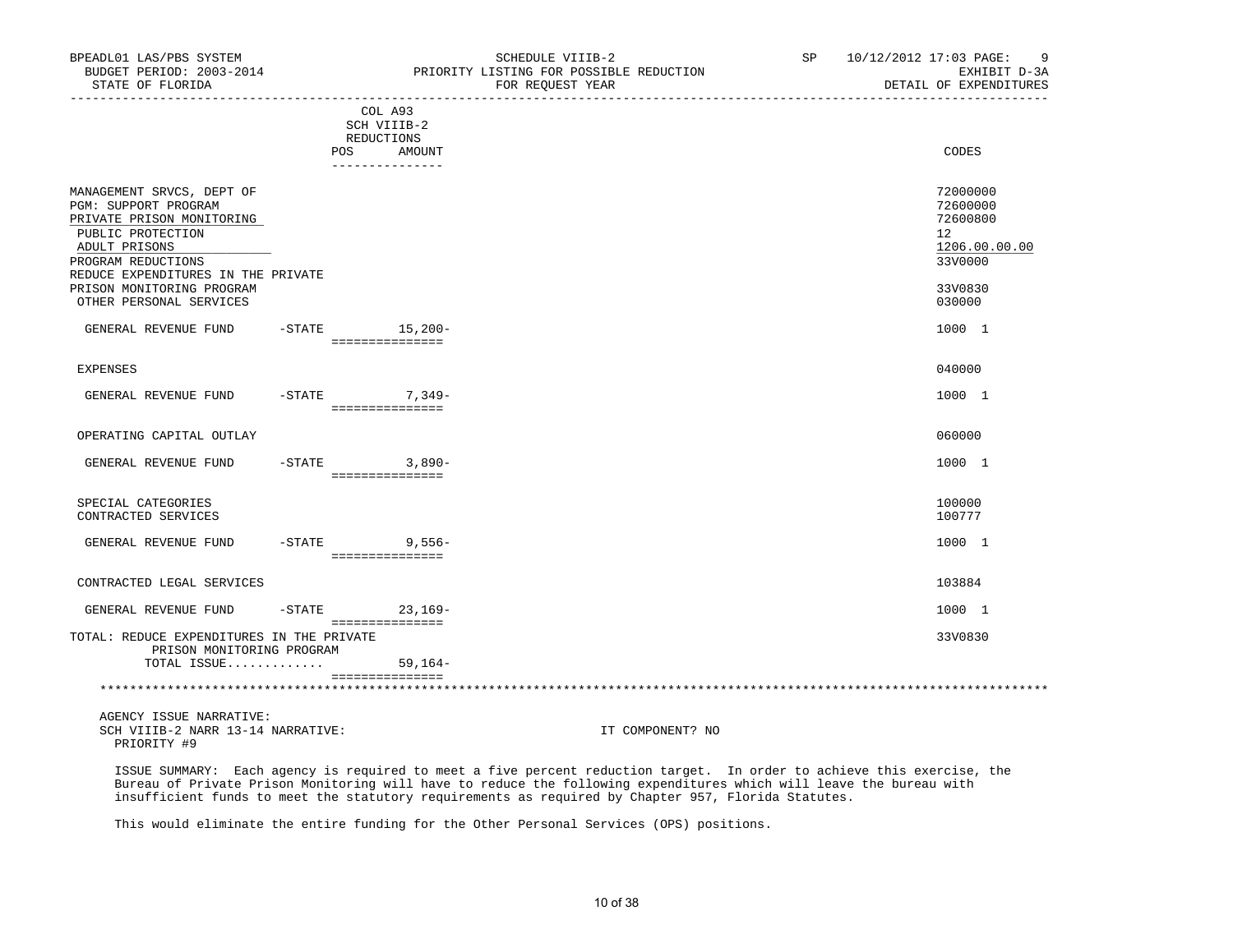| BUDGET PERIOD: 2003-2014<br>STATE OF FLORIDA                                                                                                                                                                                             |            |                                                                   | PRIORITY LISTING FOR POSSIBLE REDUCTION<br>FOR REQUEST YEAR | EXHIBIT D-3A<br>DETAIL OF EXPENDITURES                                                  |
|------------------------------------------------------------------------------------------------------------------------------------------------------------------------------------------------------------------------------------------|------------|-------------------------------------------------------------------|-------------------------------------------------------------|-----------------------------------------------------------------------------------------|
|                                                                                                                                                                                                                                          | <b>POS</b> | COL A93<br>SCH VIIIB-2<br>REDUCTIONS<br>AMOUNT<br>_______________ |                                                             | CODES                                                                                   |
| MANAGEMENT SRVCS, DEPT OF<br>PGM: SUPPORT PROGRAM<br>PRIVATE PRISON MONITORING<br>PUBLIC PROTECTION<br>ADULT PRISONS<br>PROGRAM REDUCTIONS<br>REDUCE EXPENDITURES IN THE PRIVATE<br>PRISON MONITORING PROGRAM<br>OTHER PERSONAL SERVICES |            |                                                                   |                                                             | 72000000<br>72600000<br>72600800<br>12<br>1206.00.00.00<br>33V0000<br>33V0830<br>030000 |
| GENERAL REVENUE FUND                                                                                                                                                                                                                     |            | $-$ STATE $15,200-$<br>===============                            |                                                             | 1000 1                                                                                  |
| <b>EXPENSES</b>                                                                                                                                                                                                                          |            |                                                                   |                                                             | 040000                                                                                  |
| GENERAL REVENUE FUND -STATE 7,349-                                                                                                                                                                                                       |            | ===============                                                   |                                                             | 1000 1                                                                                  |
| OPERATING CAPITAL OUTLAY                                                                                                                                                                                                                 |            |                                                                   |                                                             | 060000                                                                                  |
| GENERAL REVENUE FUND                                                                                                                                                                                                                     |            | $-STATE$ 3,890-<br>===============                                |                                                             | 1000 1                                                                                  |
| SPECIAL CATEGORIES<br>CONTRACTED SERVICES                                                                                                                                                                                                |            |                                                                   |                                                             | 100000<br>100777                                                                        |
| GENERAL REVENUE FUND                                                                                                                                                                                                                     |            | $-$ STATE 9,556 –<br>===============                              |                                                             | 1000 1                                                                                  |
| CONTRACTED LEGAL SERVICES                                                                                                                                                                                                                |            |                                                                   |                                                             | 103884                                                                                  |
| GENERAL REVENUE FUND                                                                                                                                                                                                                     | $-$ STATE  | $23,169-$                                                         |                                                             | 1000 1                                                                                  |
| TOTAL: REDUCE EXPENDITURES IN THE PRIVATE<br>PRISON MONITORING PROGRAM                                                                                                                                                                   |            | ===============                                                   |                                                             | 33V0830                                                                                 |
| TOTAL ISSUE                                                                                                                                                                                                                              |            | $59,164-$                                                         |                                                             |                                                                                         |

BPEADL01 LAS/PBS SYSTEM STRIER STRIEBER SP 10/12/2012 17:03 PAGE: 9

 AGENCY ISSUE NARRATIVE: SCH VIIIB-2 NARR 13-14 NARRATIVE: IT COMPONENT? NO PRIORITY #9

 ISSUE SUMMARY: Each agency is required to meet a five percent reduction target. In order to achieve this exercise, the Bureau of Private Prison Monitoring will have to reduce the following expenditures which will leave the bureau with insufficient funds to meet the statutory requirements as required by Chapter 957, Florida Statutes.

\*\*\*\*\*\*\*\*\*\*\*\*\*\*\*\*\*\*\*\*\*\*\*\*\*\*\*\*\*\*\*\*\*\*\*\*\*\*\*\*\*\*\*\*\*\*\*\*\*\*\*\*\*\*\*\*\*\*\*\*\*\*\*\*\*\*\*\*\*\*\*\*\*\*\*\*\*\*\*\*\*\*\*\*\*\*\*\*\*\*\*\*\*\*\*\*\*\*\*\*\*\*\*\*\*\*\*\*\*\*\*\*\*\*\*\*\*\*\*\*\*\*\*\*\*\*\*

This would eliminate the entire funding for the Other Personal Services (OPS) positions.

===============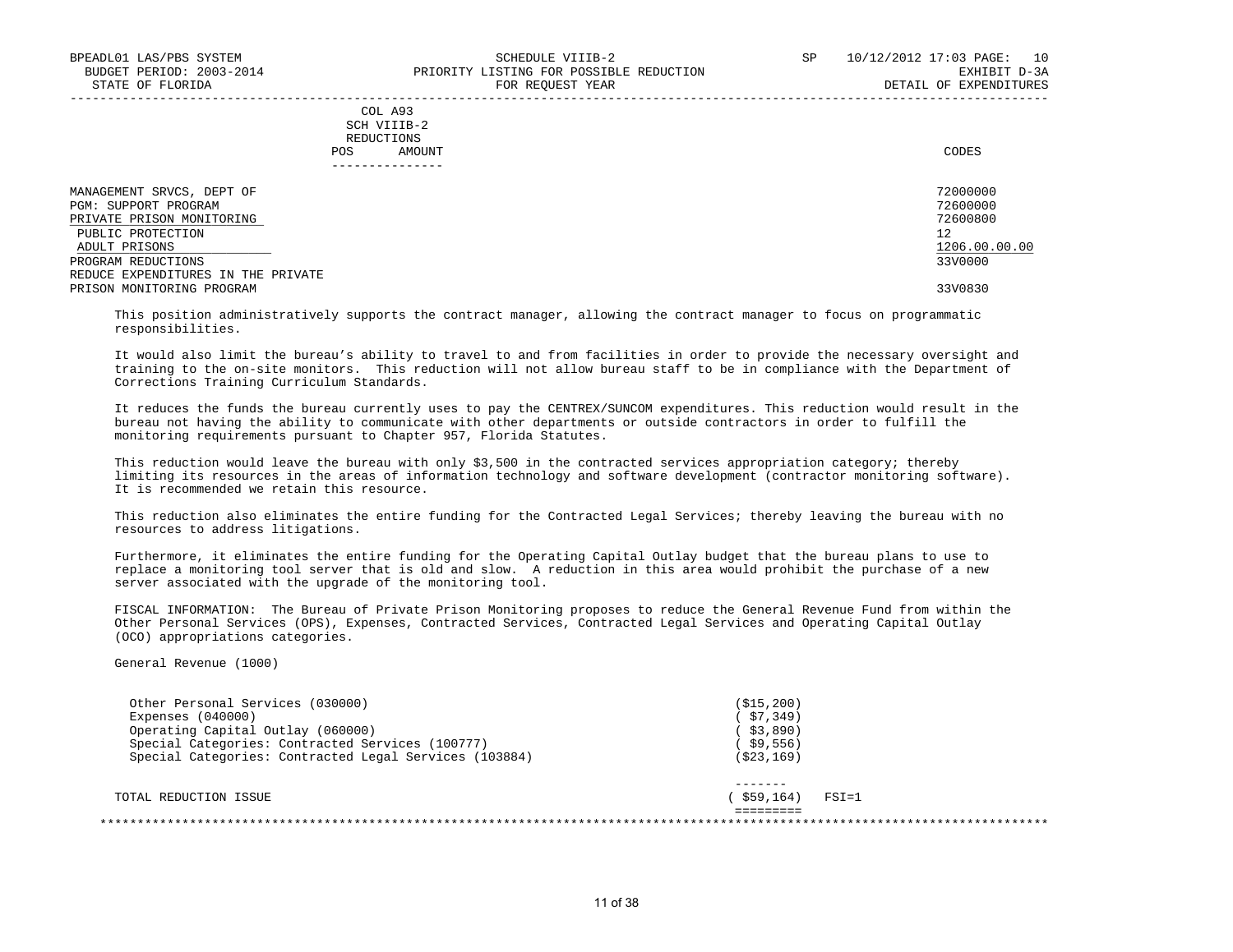## COL A93 SCH VIIIB-2 REDUCTIONS POS AMOUNT CODES

| MANAGEMENT SRVCS, DEPT OF          | 72000000      |
|------------------------------------|---------------|
| PGM: SUPPORT PROGRAM               | 72600000      |
| PRIVATE PRISON MONITORING          | 72600800      |
| PUBLIC PROTECTION                  | 12            |
| ADULT PRISONS                      | 1206.00.00.00 |
| PROGRAM REDUCTIONS                 | 33V0000       |
| REDUCE EXPENDITURES IN THE PRIVATE |               |
| PRISON MONITORING PROGRAM          | 33V0830       |

-----------------------------------------------------------------------------------------------------------------------------------

 This position administratively supports the contract manager, allowing the contract manager to focus on programmatic responsibilities.

 It would also limit the bureau's ability to travel to and from facilities in order to provide the necessary oversight and training to the on-site monitors. This reduction will not allow bureau staff to be in compliance with the Department of Corrections Training Curriculum Standards.

 It reduces the funds the bureau currently uses to pay the CENTREX/SUNCOM expenditures. This reduction would result in the bureau not having the ability to communicate with other departments or outside contractors in order to fulfill the monitoring requirements pursuant to Chapter 957, Florida Statutes.

 This reduction would leave the bureau with only \$3,500 in the contracted services appropriation category; thereby limiting its resources in the areas of information technology and software development (contractor monitoring software). It is recommended we retain this resource.

 This reduction also eliminates the entire funding for the Contracted Legal Services; thereby leaving the bureau with no resources to address litigations.

 Furthermore, it eliminates the entire funding for the Operating Capital Outlay budget that the bureau plans to use to replace a monitoring tool server that is old and slow. A reduction in this area would prohibit the purchase of a new server associated with the upgrade of the monitoring tool.

 FISCAL INFORMATION: The Bureau of Private Prison Monitoring proposes to reduce the General Revenue Fund from within the Other Personal Services (OPS), Expenses, Contracted Services, Contracted Legal Services and Operating Capital Outlay (OCO) appropriations categories.

General Revenue (1000)

| Other Personal Services (030000)                       | (S15, 200) |           |
|--------------------------------------------------------|------------|-----------|
| Expenses $(040000)$                                    | (\$7,349)  |           |
| Operating Capital Outlay (060000)                      | 53,890)    |           |
| Special Categories: Contracted Services (100777)       | (\$9,556)  |           |
| Special Categories: Contracted Legal Services (103884) | (523, 169) |           |
|                                                        |            |           |
| TOTAL REDUCTION ISSUE                                  | \$59,164)  | $FSI = 1$ |
|                                                        |            |           |
|                                                        |            |           |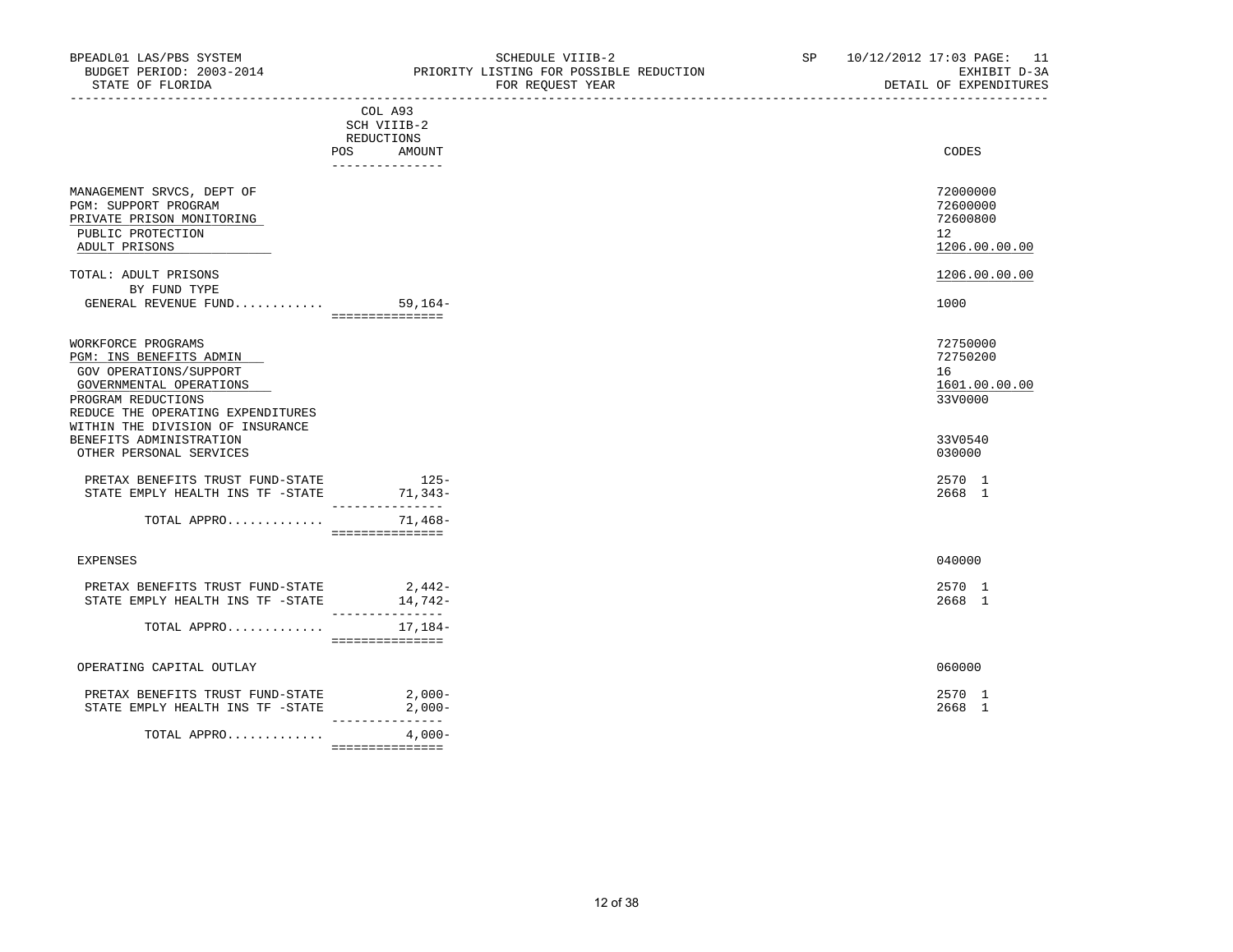|                                                                                                                                                                                                   | COL A93<br>SCH VIIIB-2<br>REDUCTIONS     |                                                         |
|---------------------------------------------------------------------------------------------------------------------------------------------------------------------------------------------------|------------------------------------------|---------------------------------------------------------|
|                                                                                                                                                                                                   | POS AMOUNT                               | CODES                                                   |
| MANAGEMENT SRVCS, DEPT OF<br>PGM: SUPPORT PROGRAM<br>PRIVATE PRISON MONITORING<br>PUBLIC PROTECTION<br>ADULT PRISONS                                                                              | --------------                           | 72000000<br>72600000<br>72600800<br>12<br>1206.00.00.00 |
| TOTAL: ADULT PRISONS<br>BY FUND TYPE<br>GENERAL REVENUE FUND                                                                                                                                      | $59,164-$                                | 1206.00.00.00<br>1000                                   |
|                                                                                                                                                                                                   | ===============                          |                                                         |
| WORKFORCE PROGRAMS<br>PGM: INS BENEFITS ADMIN<br>GOV OPERATIONS/SUPPORT<br>GOVERNMENTAL OPERATIONS<br>PROGRAM REDUCTIONS<br>REDUCE THE OPERATING EXPENDITURES<br>WITHIN THE DIVISION OF INSURANCE |                                          | 72750000<br>72750200<br>16<br>1601.00.00.00<br>33V0000  |
| BENEFITS ADMINISTRATION<br>OTHER PERSONAL SERVICES                                                                                                                                                |                                          | 33V0540<br>030000                                       |
| PRETAX BENEFITS TRUST FUND-STATE<br>STATE EMPLY HEALTH INS TF -STATE                                                                                                                              | $125-$<br>71,343-<br>---------------     | 2570 1<br>2668 1                                        |
| TOTAL APPRO                                                                                                                                                                                       | 71,468-<br>===============               |                                                         |
| EXPENSES                                                                                                                                                                                          |                                          | 040000                                                  |
| PRETAX BENEFITS TRUST FUND-STATE<br>STATE EMPLY HEALTH INS TF -STATE                                                                                                                              | $2,442-$<br>$14,742-$<br>_______________ | 2570 1<br>2668 1                                        |
| TOTAL APPRO                                                                                                                                                                                       | 17,184-<br>===============               |                                                         |
| OPERATING CAPITAL OUTLAY                                                                                                                                                                          |                                          | 060000                                                  |
| PRETAX BENEFITS TRUST FUND-STATE<br>STATE EMPLY HEALTH INS TF -STATE                                                                                                                              | $2,000-$<br>$2,000-$<br>_______________  | 2570 1<br>2668 1                                        |
| TOTAL APPRO                                                                                                                                                                                       | $4,000-$                                 |                                                         |

===============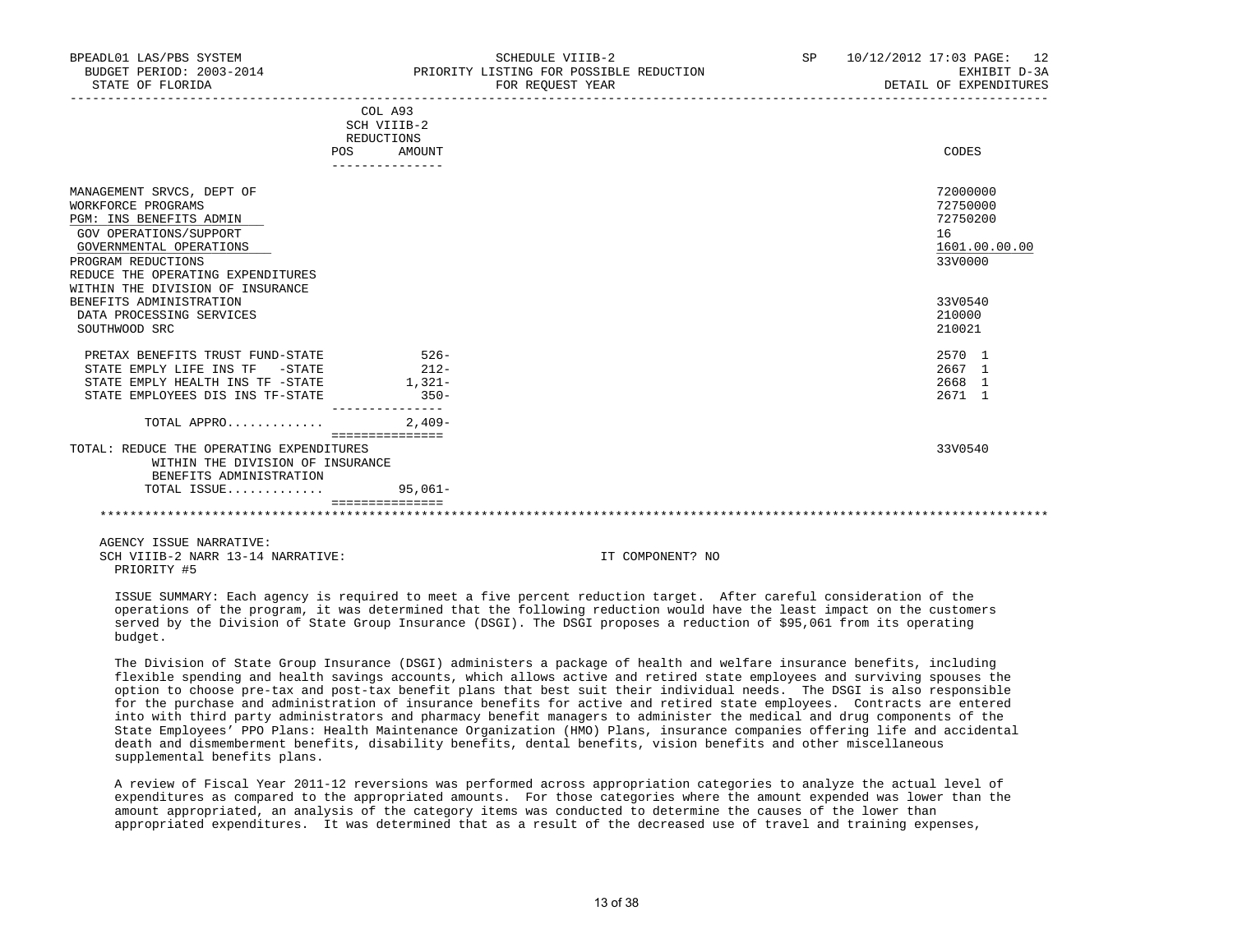| BUDGET PERIOD: 2003-2014<br>STATE OF FLORIDA                                                                                                          |                                                       | PRIORITY LISTING FOR POSSIBLE REDUCTION<br>FOR REOUEST YEAR | EXHIBIT D-3A<br>DETAIL OF EXPENDITURES                             |
|-------------------------------------------------------------------------------------------------------------------------------------------------------|-------------------------------------------------------|-------------------------------------------------------------|--------------------------------------------------------------------|
|                                                                                                                                                       | COL A93<br>SCH VIIIB-2<br>REDUCTIONS<br>AMOUNT<br>POS |                                                             | CODES                                                              |
|                                                                                                                                                       |                                                       |                                                             |                                                                    |
| MANAGEMENT SRVCS, DEPT OF<br>WORKFORCE PROGRAMS<br>PGM: INS BENEFITS ADMIN<br>GOV OPERATIONS/SUPPORT<br>GOVERNMENTAL OPERATIONS<br>PROGRAM REDUCTIONS |                                                       |                                                             | 72000000<br>72750000<br>72750200<br>16<br>1601.00.00.00<br>33V0000 |
| REDUCE THE OPERATING EXPENDITURES<br>WITHIN THE DIVISION OF INSURANCE                                                                                 |                                                       |                                                             |                                                                    |
| BENEFITS ADMINISTRATION<br>DATA PROCESSING SERVICES<br>SOUTHWOOD SRC                                                                                  |                                                       |                                                             | 33V0540<br>210000<br>210021                                        |
| PRETAX BENEFITS TRUST FUND-STATE                                                                                                                      | $526-$                                                |                                                             | 2570 1                                                             |
| STATE EMPLY LIFE INS TF -STATE                                                                                                                        | $212-$                                                |                                                             | 2667 1                                                             |
| STATE EMPLY HEALTH INS TF -STATE<br>STATE EMPLOYEES DIS INS TF-STATE                                                                                  | $1,321-$<br>$350-$                                    |                                                             | 2668 1<br>2671 1                                                   |
| TOTAL APPRO                                                                                                                                           | $2.409-$<br>================                          |                                                             |                                                                    |
| TOTAL: REDUCE THE OPERATING EXPENDITURES<br>WITHIN THE DIVISION OF INSURANCE<br>BENEFITS ADMINISTRATION<br>TOTAL ISSUE                                | $95.061 -$                                            |                                                             | 33V0540                                                            |
|                                                                                                                                                       |                                                       |                                                             |                                                                    |
|                                                                                                                                                       |                                                       |                                                             |                                                                    |

BPEADL01 LAS/PBS SYSTEM SCHEDULE VIIIB-2 SP 10/12/2012 17:03 PAGE: 12

 AGENCY ISSUE NARRATIVE: SCH VIIIB-2 NARR 13-14 NARRATIVE: IT COMPONENT? NO PRIORITY #5

 ISSUE SUMMARY: Each agency is required to meet a five percent reduction target. After careful consideration of the operations of the program, it was determined that the following reduction would have the least impact on the customers served by the Division of State Group Insurance (DSGI). The DSGI proposes a reduction of \$95,061 from its operating budget.

 The Division of State Group Insurance (DSGI) administers a package of health and welfare insurance benefits, including flexible spending and health savings accounts, which allows active and retired state employees and surviving spouses the option to choose pre-tax and post-tax benefit plans that best suit their individual needs. The DSGI is also responsible for the purchase and administration of insurance benefits for active and retired state employees. Contracts are entered into with third party administrators and pharmacy benefit managers to administer the medical and drug components of the State Employees' PPO Plans: Health Maintenance Organization (HMO) Plans, insurance companies offering life and accidental death and dismemberment benefits, disability benefits, dental benefits, vision benefits and other miscellaneous supplemental benefits plans.

 A review of Fiscal Year 2011-12 reversions was performed across appropriation categories to analyze the actual level of expenditures as compared to the appropriated amounts. For those categories where the amount expended was lower than the amount appropriated, an analysis of the category items was conducted to determine the causes of the lower than appropriated expenditures. It was determined that as a result of the decreased use of travel and training expenses,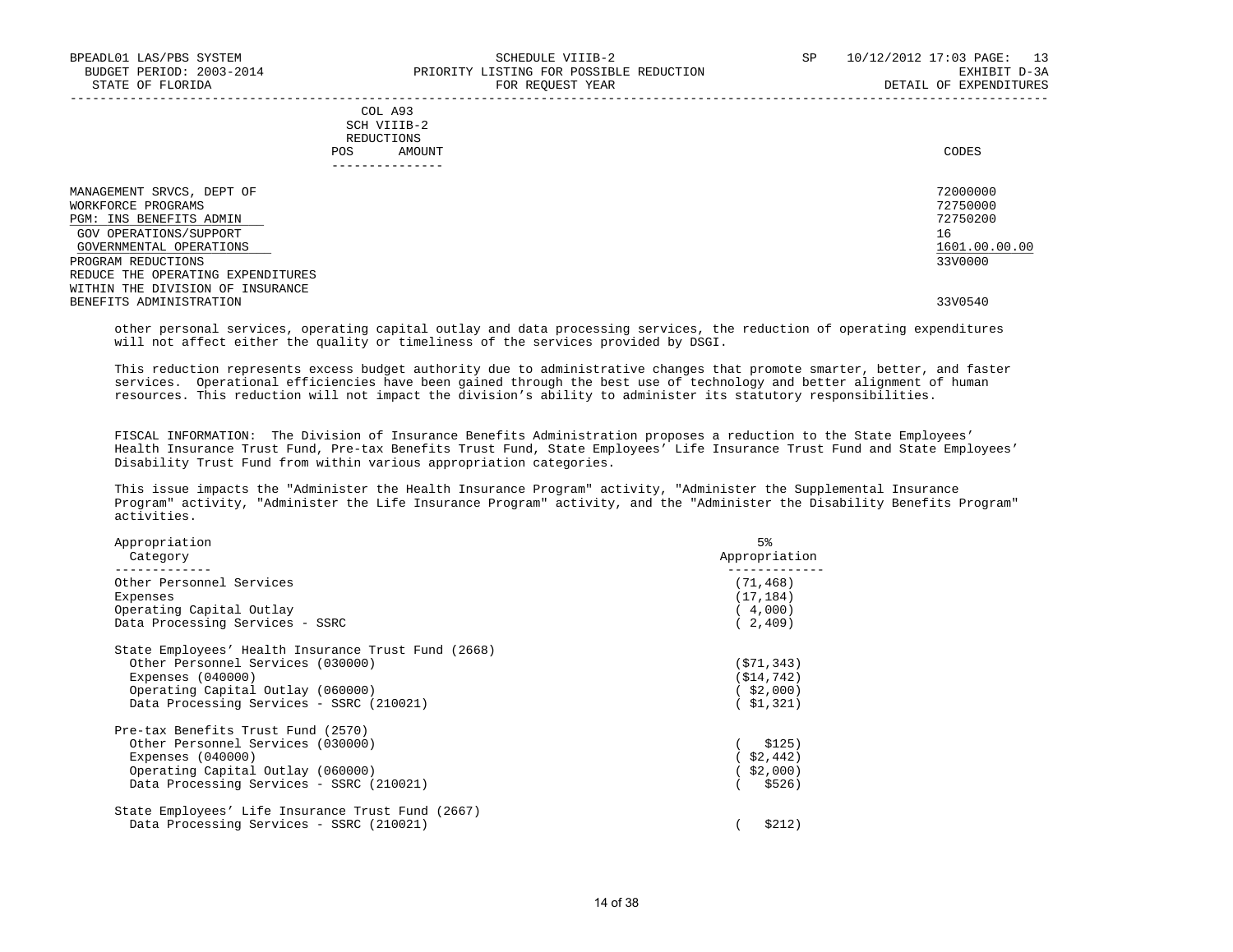|     | --------------- |       |
|-----|-----------------|-------|
| POS | AMOUNT          | CODES |
|     | REDUCTIONS      |       |
|     | SCH VIIIB-2     |       |
|     | COL A93         |       |

| MANAGEMENT SRVCS, DEPT OF         | 72000000      |
|-----------------------------------|---------------|
| WORKFORCE PROGRAMS                | 72750000      |
| PGM: INS BENEFITS ADMIN           | 72750200      |
| GOV OPERATIONS/SUPPORT            | 16            |
| GOVERNMENTAL OPERATIONS           | 1601.00.00.00 |
| PROGRAM REDUCTIONS                | 33V0000       |
| REDUCE THE OPERATING EXPENDITURES |               |
| WITHIN THE DIVISION OF INSURANCE  |               |
| BENEFITS ADMINISTRATION           | 33V0540       |
|                                   |               |

 other personal services, operating capital outlay and data processing services, the reduction of operating expenditures will not affect either the quality or timeliness of the services provided by DSGI.

 This reduction represents excess budget authority due to administrative changes that promote smarter, better, and faster services. Operational efficiencies have been gained through the best use of technology and better alignment of human resources. This reduction will not impact the division's ability to administer its statutory responsibilities.

 FISCAL INFORMATION: The Division of Insurance Benefits Administration proposes a reduction to the State Employees' Health Insurance Trust Fund, Pre-tax Benefits Trust Fund, State Employees' Life Insurance Trust Fund and State Employees' Disability Trust Fund from within various appropriation categories.

 This issue impacts the "Administer the Health Insurance Program" activity, "Administer the Supplemental Insurance Program" activity, "Administer the Life Insurance Program" activity, and the "Administer the Disability Benefits Program" activities.

| Appropriation<br>Category                           | 5%<br>Appropriation |
|-----------------------------------------------------|---------------------|
| Other Personnel Services                            | (71, 468)           |
| Expenses                                            | (17, 184)           |
| Operating Capital Outlay                            | (4,000)             |
| Data Processing Services - SSRC                     | (2, 409)            |
| State Employees' Health Insurance Trust Fund (2668) |                     |
| Other Personnel Services (030000)                   | (571, 343)          |
| Expenses $(040000)$                                 | ( \$14, 742)        |
| Operating Capital Outlay (060000)                   | $($ \$2,000)        |
| Data Processing Services - SSRC (210021)            | ( \$1,321)          |
| Pre-tax Benefits Trust Fund (2570)                  |                     |
| Other Personnel Services (030000)                   | \$125)              |
| Expenses $(040000)$                                 | $($ \$2,442)        |
| Operating Capital Outlay (060000)                   | \$2,000)            |
| Data Processing Services - SSRC (210021)            | \$526)              |
| State Employees' Life Insurance Trust Fund (2667)   |                     |
| Data Processing Services - SSRC (210021)            | \$212)              |
|                                                     |                     |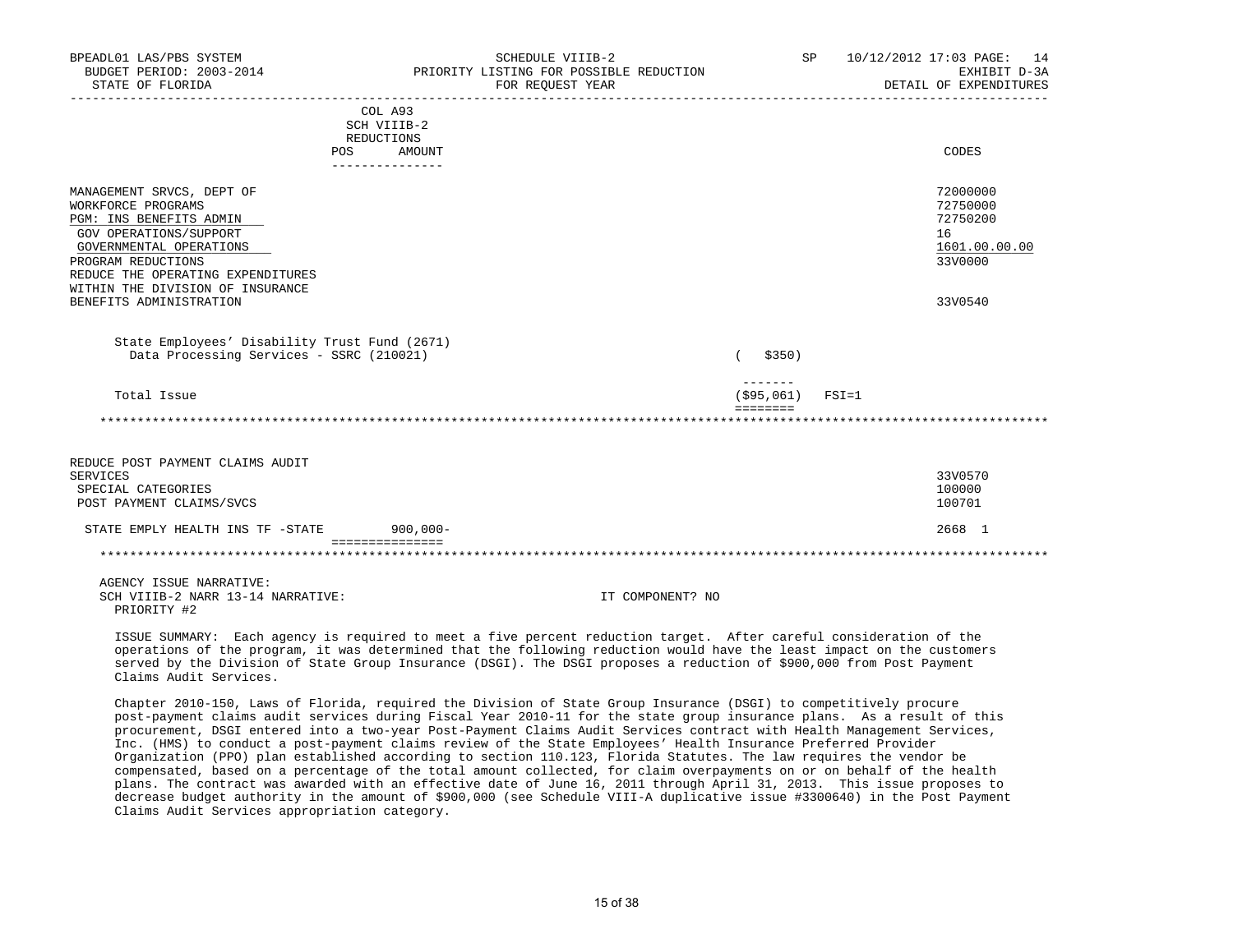| BPEADL01 LAS/PBS SYSTEM<br>BUDGET PERIOD: 2003-2014<br>STATE OF FLORIDA                                                                                                                                                                                   |                                                     | SCHEDULE VIIIB-2<br>PRIORITY LISTING FOR POSSIBLE REDUCTION<br>FOR REQUEST YEAR |                                                     | SP and the set of the set of the set of the set of the set of the set of the set of the set of the set of the set of the set of the set of the set of the set of the set of the set of the set of the set of the set of the se | 10/12/2012 17:03 PAGE: 14<br>EXHIBIT D-3A<br>DETAIL OF EXPENDITURES           |
|-----------------------------------------------------------------------------------------------------------------------------------------------------------------------------------------------------------------------------------------------------------|-----------------------------------------------------|---------------------------------------------------------------------------------|-----------------------------------------------------|--------------------------------------------------------------------------------------------------------------------------------------------------------------------------------------------------------------------------------|-------------------------------------------------------------------------------|
| REDUCTIONS<br>POS                                                                                                                                                                                                                                         | COL A93<br>SCH VIIIB-2<br>AMOUNT<br>--------------- |                                                                                 |                                                     |                                                                                                                                                                                                                                | CODES                                                                         |
| MANAGEMENT SRVCS, DEPT OF<br>WORKFORCE PROGRAMS<br>PGM: INS BENEFITS ADMIN<br>GOV OPERATIONS/SUPPORT<br>GOVERNMENTAL OPERATIONS<br>PROGRAM REDUCTIONS<br>REDUCE THE OPERATING EXPENDITURES<br>WITHIN THE DIVISION OF INSURANCE<br>BENEFITS ADMINISTRATION |                                                     |                                                                                 |                                                     |                                                                                                                                                                                                                                | 72000000<br>72750000<br>72750200<br>16<br>1601.00.00.00<br>33V0000<br>33V0540 |
| State Employees' Disability Trust Fund (2671)<br>Data Processing Services - SSRC (210021)                                                                                                                                                                 |                                                     |                                                                                 | \$350)                                              |                                                                                                                                                                                                                                |                                                                               |
| Total Issue                                                                                                                                                                                                                                               |                                                     |                                                                                 | $\frac{1}{2}$<br>$($ \$95,061)<br>$=$ = = = = = = = | $FSI = 1$                                                                                                                                                                                                                      |                                                                               |
|                                                                                                                                                                                                                                                           |                                                     |                                                                                 |                                                     |                                                                                                                                                                                                                                |                                                                               |
| REDUCE POST PAYMENT CLAIMS AUDIT<br>SERVICES<br>SPECIAL CATEGORIES<br>POST PAYMENT CLAIMS/SVCS                                                                                                                                                            |                                                     |                                                                                 |                                                     |                                                                                                                                                                                                                                | 33V0570<br>100000<br>100701                                                   |
| STATE EMPLY HEALTH INS TF -STATE                                                                                                                                                                                                                          | $900,000 -$<br>===============                      |                                                                                 |                                                     |                                                                                                                                                                                                                                | 2668 1                                                                        |
|                                                                                                                                                                                                                                                           |                                                     |                                                                                 |                                                     |                                                                                                                                                                                                                                |                                                                               |
| AGENCY ISSUE NARRATIVE:<br>SCH VIIIB-2 NARR 13-14 NARRATIVE:<br>PRIORITY #2                                                                                                                                                                               |                                                     | IT COMPONENT? NO                                                                |                                                     |                                                                                                                                                                                                                                |                                                                               |

 ISSUE SUMMARY: Each agency is required to meet a five percent reduction target. After careful consideration of the operations of the program, it was determined that the following reduction would have the least impact on the customers served by the Division of State Group Insurance (DSGI). The DSGI proposes a reduction of \$900,000 from Post Payment Claims Audit Services.

 Chapter 2010-150, Laws of Florida, required the Division of State Group Insurance (DSGI) to competitively procure post-payment claims audit services during Fiscal Year 2010-11 for the state group insurance plans. As a result of this procurement, DSGI entered into a two-year Post-Payment Claims Audit Services contract with Health Management Services, Inc. (HMS) to conduct a post-payment claims review of the State Employees' Health Insurance Preferred Provider Organization (PPO) plan established according to section 110.123, Florida Statutes. The law requires the vendor be compensated, based on a percentage of the total amount collected, for claim overpayments on or on behalf of the health plans. The contract was awarded with an effective date of June 16, 2011 through April 31, 2013. This issue proposes to decrease budget authority in the amount of \$900,000 (see Schedule VIII-A duplicative issue #3300640) in the Post Payment Claims Audit Services appropriation category.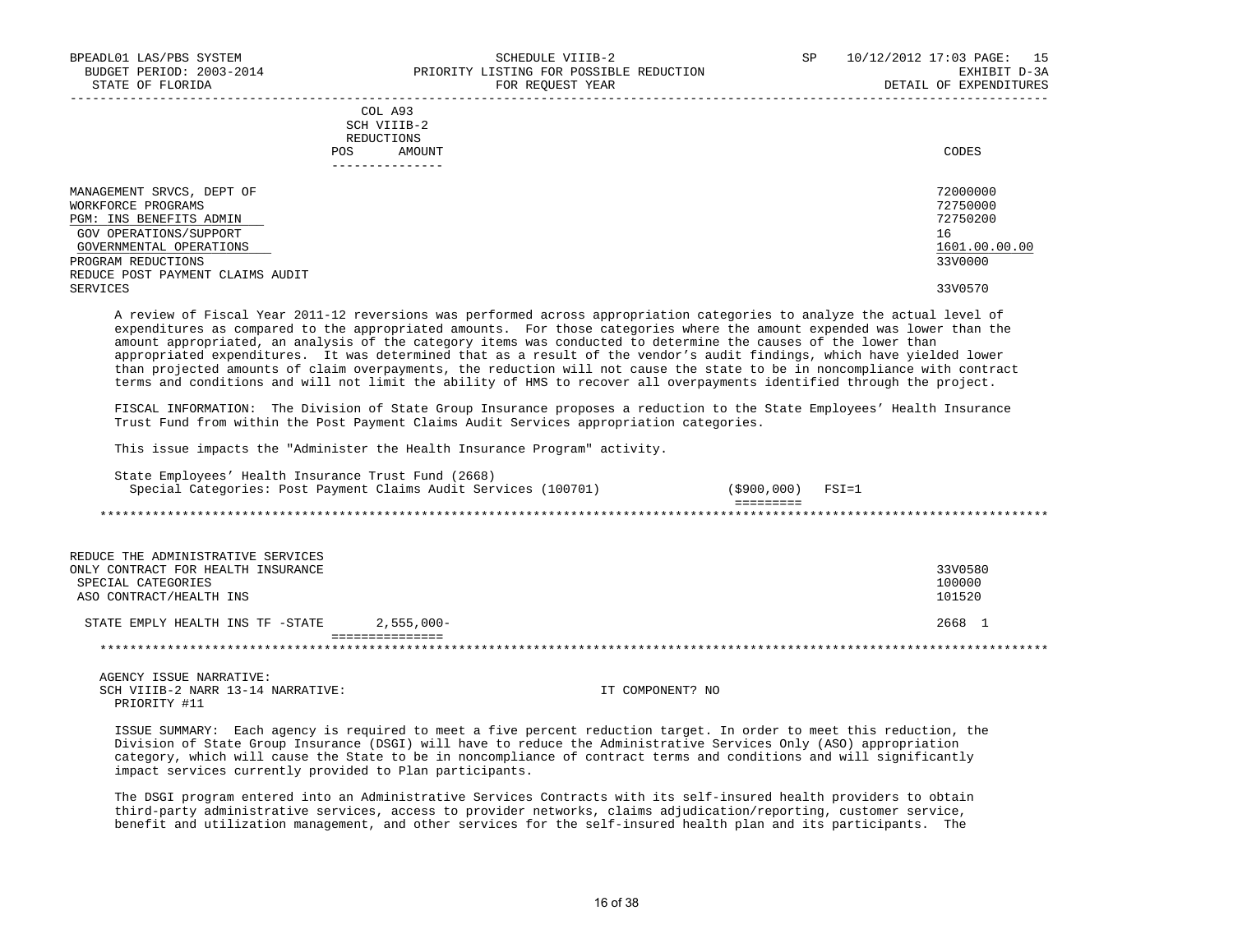|     | --------------- |       |
|-----|-----------------|-------|
| POS | AMOUNT          | CODES |
|     | REDUCTIONS      |       |
|     | SCH VIIIB-2     |       |
|     | COL A93         |       |

| MANAGEMENT SRVCS, DEPT OF        | 72000000      |
|----------------------------------|---------------|
| WORKFORCE PROGRAMS               | 72750000      |
| PGM: INS BENEFITS ADMIN          | 72750200      |
| GOV OPERATIONS/SUPPORT           | 16            |
| GOVERNMENTAL OPERATIONS          | 1601.00.00.00 |
| PROGRAM REDUCTIONS               | 33V0000       |
| REDUCE POST PAYMENT CLAIMS AUDIT |               |
| SERVICES                         | 33V0570       |

 A review of Fiscal Year 2011-12 reversions was performed across appropriation categories to analyze the actual level of expenditures as compared to the appropriated amounts. For those categories where the amount expended was lower than the amount appropriated, an analysis of the category items was conducted to determine the causes of the lower than appropriated expenditures. It was determined that as a result of the vendor's audit findings, which have yielded lower than projected amounts of claim overpayments, the reduction will not cause the state to be in noncompliance with contract terms and conditions and will not limit the ability of HMS to recover all overpayments identified through the project.

 FISCAL INFORMATION: The Division of State Group Insurance proposes a reduction to the State Employees' Health Insurance Trust Fund from within the Post Payment Claims Audit Services appropriation categories.

This issue impacts the "Administer the Health Insurance Program" activity.

| State Employees' Health Insurance Trust Fund (2668) | Special Categories: Post Payment Claims Audit Services (100701) | (\$900,000) | $FSI = 1$ |
|-----------------------------------------------------|-----------------------------------------------------------------|-------------|-----------|
|                                                     |                                                                 |             |           |
|                                                     |                                                                 |             |           |
|                                                     |                                                                 |             |           |
| REDUCE THE ADMINISTRATIVE SERVICES                  |                                                                 |             |           |
| ONLY CONTRACT FOR HEALTH INSURANCE                  |                                                                 |             | 33V0580   |
| SPECIAL CATEGORIES                                  |                                                                 |             | 100000    |
| ASO CONTRACT/HEALTH INS                             |                                                                 |             | 101520    |
| STATE EMPLY HEALTH INS TF -STATE                    | $2.555.000 -$                                                   |             | 2668 1    |
|                                                     |                                                                 |             |           |

 AGENCY ISSUE NARRATIVE: SCH VIIIB-2 NARR 13-14 NARRATIVE: IT COMPONENT? NO PRIORITY #11

 ISSUE SUMMARY: Each agency is required to meet a five percent reduction target. In order to meet this reduction, the Division of State Group Insurance (DSGI) will have to reduce the Administrative Services Only (ASO) appropriation category, which will cause the State to be in noncompliance of contract terms and conditions and will significantly impact services currently provided to Plan participants.

 The DSGI program entered into an Administrative Services Contracts with its self-insured health providers to obtain third-party administrative services, access to provider networks, claims adjudication/reporting, customer service, benefit and utilization management, and other services for the self-insured health plan and its participants. The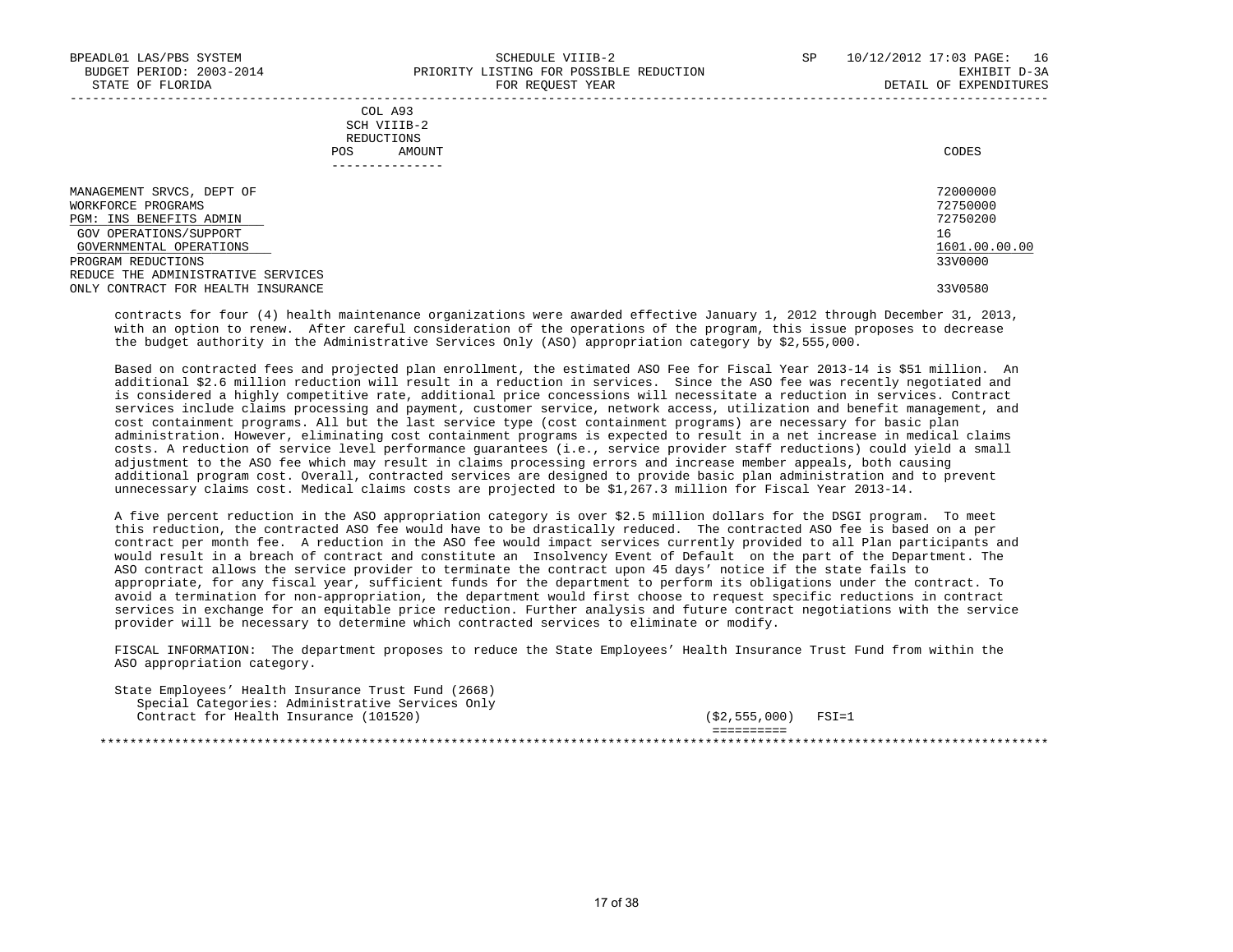|            | _______________ |       |
|------------|-----------------|-------|
| POS        | AMOUNT          | CODES |
| REDUCTIONS |                 |       |
|            | SCH VIIIB-2     |       |
|            | COL A93         |       |

| MANAGEMENT SRVCS, DEPT OF          | 72000000      |
|------------------------------------|---------------|
| WORKFORCE PROGRAMS                 | 72750000      |
| PGM: INS BENEFITS ADMIN            | 72750200      |
| GOV OPERATIONS/SUPPORT             | 16            |
| GOVERNMENTAL OPERATIONS            | 1601.00.00.00 |
| PROGRAM REDUCTIONS                 | 33V0000       |
| REDUCE THE ADMINISTRATIVE SERVICES |               |
| ONLY CONTRACT FOR HEALTH INSURANCE | 33V0580       |
|                                    |               |

 contracts for four (4) health maintenance organizations were awarded effective January 1, 2012 through December 31, 2013, with an option to renew. After careful consideration of the operations of the program, this issue proposes to decrease the budget authority in the Administrative Services Only (ASO) appropriation category by \$2,555,000.

 Based on contracted fees and projected plan enrollment, the estimated ASO Fee for Fiscal Year 2013-14 is \$51 million. An additional \$2.6 million reduction will result in a reduction in services. Since the ASO fee was recently negotiated and is considered a highly competitive rate, additional price concessions will necessitate a reduction in services. Contract services include claims processing and payment, customer service, network access, utilization and benefit management, and cost containment programs. All but the last service type (cost containment programs) are necessary for basic plan administration. However, eliminating cost containment programs is expected to result in a net increase in medical claims costs. A reduction of service level performance guarantees (i.e., service provider staff reductions) could yield a small adjustment to the ASO fee which may result in claims processing errors and increase member appeals, both causing additional program cost. Overall, contracted services are designed to provide basic plan administration and to prevent unnecessary claims cost. Medical claims costs are projected to be \$1,267.3 million for Fiscal Year 2013-14.

 A five percent reduction in the ASO appropriation category is over \$2.5 million dollars for the DSGI program. To meet this reduction, the contracted ASO fee would have to be drastically reduced. The contracted ASO fee is based on a per contract per month fee. A reduction in the ASO fee would impact services currently provided to all Plan participants and would result in a breach of contract and constitute an Insolvency Event of Default on the part of the Department. The ASO contract allows the service provider to terminate the contract upon 45 days' notice if the state fails to appropriate, for any fiscal year, sufficient funds for the department to perform its obligations under the contract. To avoid a termination for non-appropriation, the department would first choose to request specific reductions in contract services in exchange for an equitable price reduction. Further analysis and future contract negotiations with the service provider will be necessary to determine which contracted services to eliminate or modify.

 FISCAL INFORMATION: The department proposes to reduce the State Employees' Health Insurance Trust Fund from within the ASO appropriation category.

 State Employees' Health Insurance Trust Fund (2668) Special Categories: Administrative Services Only Contract for Health Insurance (101520) (\$2,555,000) FSI=1 ==========

\*\*\*\*\*\*\*\*\*\*\*\*\*\*\*\*\*\*\*\*\*\*\*\*\*\*\*\*\*\*\*\*\*\*\*\*\*\*\*\*\*\*\*\*\*\*\*\*\*\*\*\*\*\*\*\*\*\*\*\*\*\*\*\*\*\*\*\*\*\*\*\*\*\*\*\*\*\*\*\*\*\*\*\*\*\*\*\*\*\*\*\*\*\*\*\*\*\*\*\*\*\*\*\*\*\*\*\*\*\*\*\*\*\*\*\*\*\*\*\*\*\*\*\*\*\*\*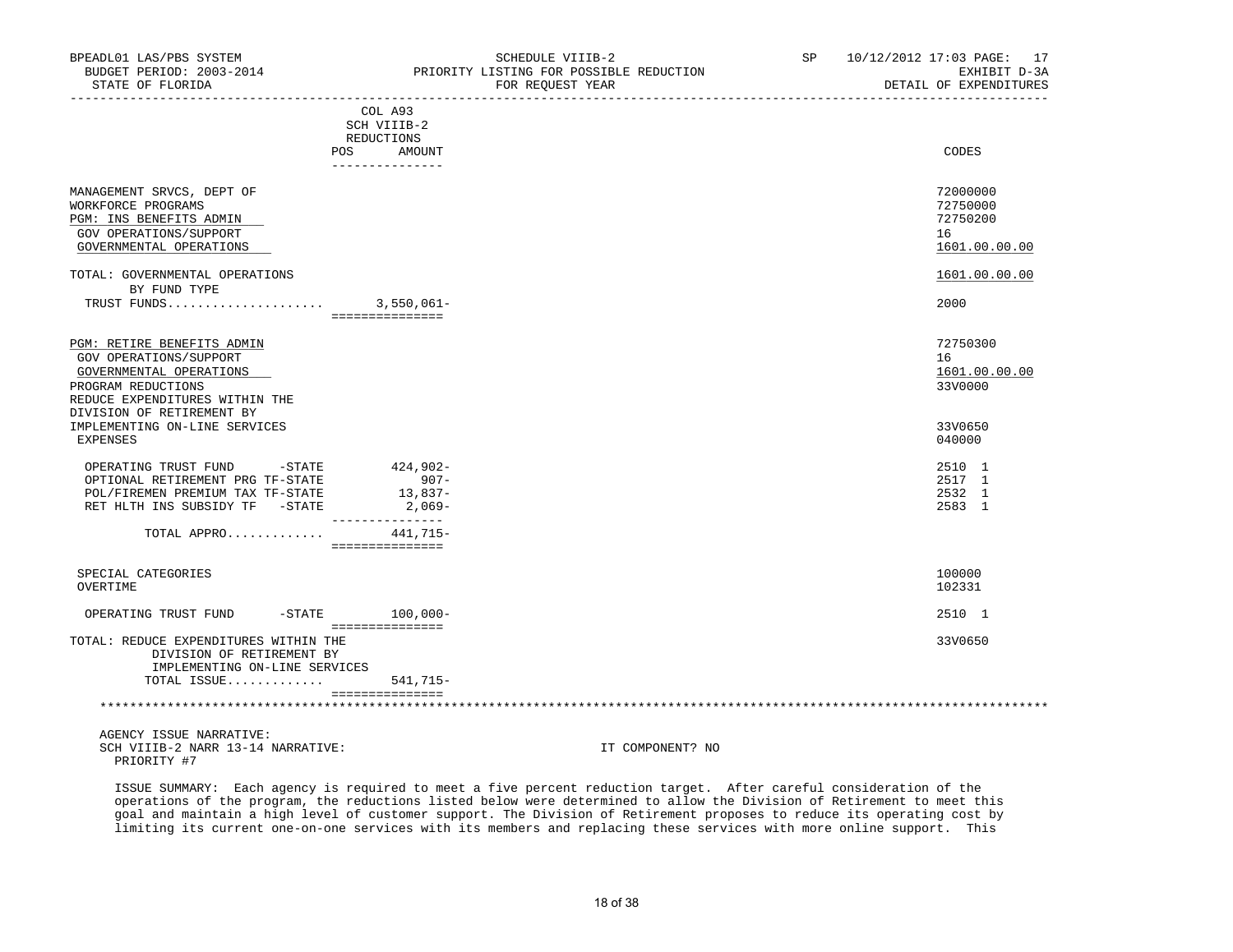PRIORITY #7

|                                                                                                                                                                      | COL A93<br>SCH VIIIB-2<br>REDUCTIONS           |                  |                                                         |
|----------------------------------------------------------------------------------------------------------------------------------------------------------------------|------------------------------------------------|------------------|---------------------------------------------------------|
| POS                                                                                                                                                                  | AMOUNT<br>---------------                      |                  | CODES                                                   |
| MANAGEMENT SRVCS, DEPT OF<br>WORKFORCE PROGRAMS<br>PGM: INS BENEFITS ADMIN<br>GOV OPERATIONS/SUPPORT<br>GOVERNMENTAL OPERATIONS                                      |                                                |                  | 72000000<br>72750000<br>72750200<br>16<br>1601.00.00.00 |
| TOTAL: GOVERNMENTAL OPERATIONS<br>BY FUND TYPE                                                                                                                       |                                                |                  | 1601.00.00.00                                           |
|                                                                                                                                                                      | ===============                                |                  | 2000                                                    |
| PGM: RETIRE BENEFITS ADMIN<br>GOV OPERATIONS/SUPPORT<br>GOVERNMENTAL OPERATIONS<br>PROGRAM REDUCTIONS<br>REDUCE EXPENDITURES WITHIN THE<br>DIVISION OF RETIREMENT BY |                                                |                  | 72750300<br>16<br>1601.00.00.00<br>33V0000              |
| IMPLEMENTING ON-LINE SERVICES<br>EXPENSES                                                                                                                            |                                                |                  | 33V0650<br>040000                                       |
| OPERATING TRUST FUND -STATE<br>OPTIONAL RETIREMENT PRG TF-STATE<br>POL/FIREMEN PREMIUM TAX TF-STATE<br>RET HLTH INS SUBSIDY TF -STATE                                | $424,902-$<br>$907 -$<br>13,837-<br>2,069-     |                  | 2510 1<br>2517 1<br>2532 1<br>2583 1                    |
| TOTAL APPRO                                                                                                                                                          | ---------------<br>441,715-<br>=============== |                  |                                                         |
| SPECIAL CATEGORIES<br>OVERTIME                                                                                                                                       |                                                |                  | 100000<br>102331                                        |
| OPERATING TRUST FUND -STATE 100,000-                                                                                                                                 | ===============                                |                  | 2510 1                                                  |
| TOTAL: REDUCE EXPENDITURES WITHIN THE<br>DIVISION OF RETIREMENT BY<br>IMPLEMENTING ON-LINE SERVICES                                                                  |                                                |                  | 33V0650                                                 |
| TOTAL ISSUE                                                                                                                                                          | 541,715-<br><b>COSSOCOSSOCOSS</b>              |                  |                                                         |
|                                                                                                                                                                      |                                                |                  |                                                         |
| AGENCY ISSUE NARRATIVE:<br>SCH VIIIB-2 NARR 13-14 NARRATIVE:                                                                                                         |                                                | IT COMPONENT? NO |                                                         |

 ISSUE SUMMARY: Each agency is required to meet a five percent reduction target. After careful consideration of the operations of the program, the reductions listed below were determined to allow the Division of Retirement to meet this goal and maintain a high level of customer support. The Division of Retirement proposes to reduce its operating cost by limiting its current one-on-one services with its members and replacing these services with more online support. This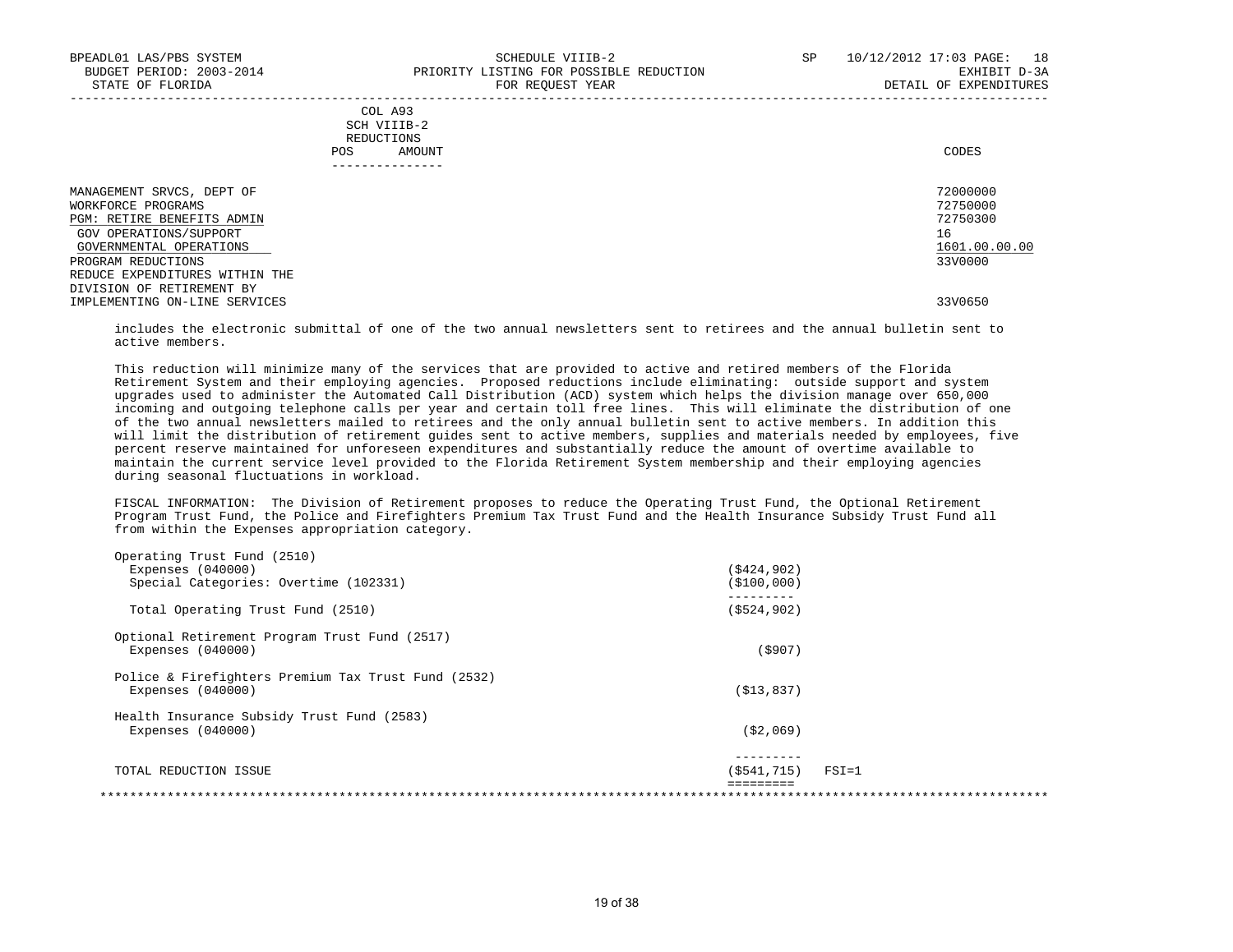|     | --------------- |       |
|-----|-----------------|-------|
| POS | AMOUNT          | CODES |
|     | REDUCTIONS      |       |
|     | SCH VIIIB-2     |       |
|     | COL A93         |       |

| MANAGEMENT SRVCS, DEPT OF         | 72000000      |
|-----------------------------------|---------------|
| WORKFORCE PROGRAMS                | 72750000      |
| <b>PGM: RETIRE BENEFITS ADMIN</b> | 72750300      |
| GOV OPERATIONS/SUPPORT            | 16            |
| GOVERNMENTAL OPERATIONS           | 1601.00.00.00 |
| PROGRAM REDUCTIONS                | 33V0000       |
| REDUCE EXPENDITURES WITHIN THE    |               |
| DIVISION OF RETIREMENT BY         |               |
| IMPLEMENTING ON-LINE SERVICES     | 33V0650       |

 includes the electronic submittal of one of the two annual newsletters sent to retirees and the annual bulletin sent to active members.

 This reduction will minimize many of the services that are provided to active and retired members of the Florida Retirement System and their employing agencies. Proposed reductions include eliminating: outside support and system upgrades used to administer the Automated Call Distribution (ACD) system which helps the division manage over 650,000 incoming and outgoing telephone calls per year and certain toll free lines. This will eliminate the distribution of one of the two annual newsletters mailed to retirees and the only annual bulletin sent to active members. In addition this will limit the distribution of retirement guides sent to active members, supplies and materials needed by employees, five percent reserve maintained for unforeseen expenditures and substantially reduce the amount of overtime available to maintain the current service level provided to the Florida Retirement System membership and their employing agencies during seasonal fluctuations in workload.

 FISCAL INFORMATION: The Division of Retirement proposes to reduce the Operating Trust Fund, the Optional Retirement Program Trust Fund, the Police and Firefighters Premium Tax Trust Fund and the Health Insurance Subsidy Trust Fund all from within the Expenses appropriation category.

| Operating Trust Fund (2510)                         |               |           |
|-----------------------------------------------------|---------------|-----------|
| Expenses $(040000)$                                 | (S424, 902)   |           |
| Special Categories: Overtime (102331)               | ( \$100,000)  |           |
| Total Operating Trust Fund (2510)                   | ( \$524, 902) |           |
| Optional Retirement Program Trust Fund (2517)       |               |           |
| Expenses $(040000)$                                 | (5907)        |           |
| Police & Firefighters Premium Tax Trust Fund (2532) |               |           |
| Expenses $(040000)$                                 | ( \$13, 837)  |           |
| Health Insurance Subsidy Trust Fund (2583)          |               |           |
| Expenses $(040000)$                                 | ( \$2,069)    |           |
|                                                     |               |           |
| TOTAL REDUCTION ISSUE                               | (\$541,715)   | $FSI = 1$ |
|                                                     |               |           |
|                                                     |               |           |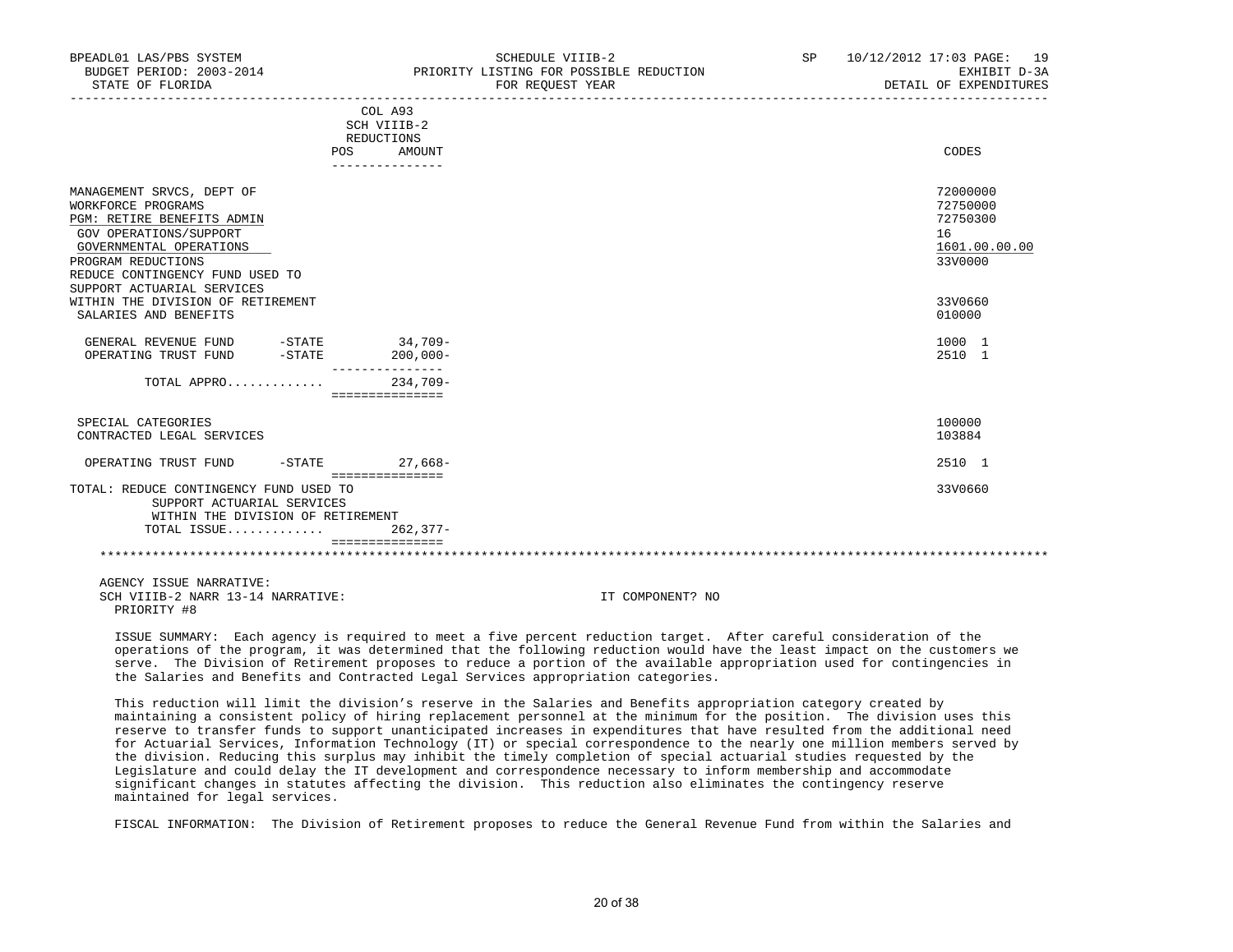| BUDGET PERIOD: 2003-2014<br>STATE OF FLORIDA                                                                                                                                                                              |                                                  | PRIORITY LISTING FOR POSSIBLE REDUCTION<br>FOR REQUEST YEAR | EXHIBIT D-3A<br>DETAIL OF EXPENDITURES                             |
|---------------------------------------------------------------------------------------------------------------------------------------------------------------------------------------------------------------------------|--------------------------------------------------|-------------------------------------------------------------|--------------------------------------------------------------------|
|                                                                                                                                                                                                                           | COL A93<br>SCH VIIIB-2<br>REDUCTIONS             |                                                             |                                                                    |
| POS                                                                                                                                                                                                                       | AMOUNT<br>---------------                        |                                                             | CODES                                                              |
| MANAGEMENT SRVCS, DEPT OF<br>WORKFORCE PROGRAMS<br>PGM: RETIRE BENEFITS ADMIN<br>GOV OPERATIONS/SUPPORT<br>GOVERNMENTAL OPERATIONS<br>PROGRAM REDUCTIONS<br>REDUCE CONTINGENCY FUND USED TO<br>SUPPORT ACTUARIAL SERVICES |                                                  |                                                             | 72000000<br>72750000<br>72750300<br>16<br>1601.00.00.00<br>33V0000 |
| WITHIN THE DIVISION OF RETIREMENT<br>SALARIES AND BENEFITS                                                                                                                                                                |                                                  |                                                             | 33V0660<br>010000                                                  |
| GENERAL REVENUE FUND -STATE 34,709-<br>OPERATING TRUST FUND<br>$-$ STATE                                                                                                                                                  | $200,000 -$                                      |                                                             | 1000 1<br>2510 1                                                   |
| TOTAL APPRO                                                                                                                                                                                                               | ---------------<br>$234.709-$<br>=============== |                                                             |                                                                    |
| SPECIAL CATEGORIES<br>CONTRACTED LEGAL SERVICES                                                                                                                                                                           |                                                  |                                                             | 100000<br>103884                                                   |
| OPERATING TRUST FUND<br>-STATE                                                                                                                                                                                            | $27.668-$<br>===============                     |                                                             | 2510 1                                                             |
| TOTAL: REDUCE CONTINGENCY FUND USED TO<br>SUPPORT ACTUARIAL SERVICES<br>WITHIN THE DIVISION OF RETIREMENT                                                                                                                 |                                                  |                                                             | 33V0660                                                            |
| TOTAL ISSUE                                                                                                                                                                                                               | $262.377-$<br>===============                    |                                                             |                                                                    |
|                                                                                                                                                                                                                           |                                                  |                                                             |                                                                    |
| AGENCY ISSUE NARRATIVE:<br>SCH VIIIB-2 NARR 13-14 NARRATIVE:                                                                                                                                                              |                                                  | IT COMPONENT? NO                                            |                                                                    |

BPEADL01 LAS/PBS SYSTEM SCHEDULE VIIIB-2 SP 10/12/2012 17:03 PAGE: 19

 ISSUE SUMMARY: Each agency is required to meet a five percent reduction target. After careful consideration of the operations of the program, it was determined that the following reduction would have the least impact on the customers we serve. The Division of Retirement proposes to reduce a portion of the available appropriation used for contingencies in the Salaries and Benefits and Contracted Legal Services appropriation categories.

PRIORITY #8

 This reduction will limit the division's reserve in the Salaries and Benefits appropriation category created by maintaining a consistent policy of hiring replacement personnel at the minimum for the position. The division uses this reserve to transfer funds to support unanticipated increases in expenditures that have resulted from the additional need for Actuarial Services, Information Technology (IT) or special correspondence to the nearly one million members served by the division. Reducing this surplus may inhibit the timely completion of special actuarial studies requested by the Legislature and could delay the IT development and correspondence necessary to inform membership and accommodate significant changes in statutes affecting the division. This reduction also eliminates the contingency reserve maintained for legal services.

FISCAL INFORMATION: The Division of Retirement proposes to reduce the General Revenue Fund from within the Salaries and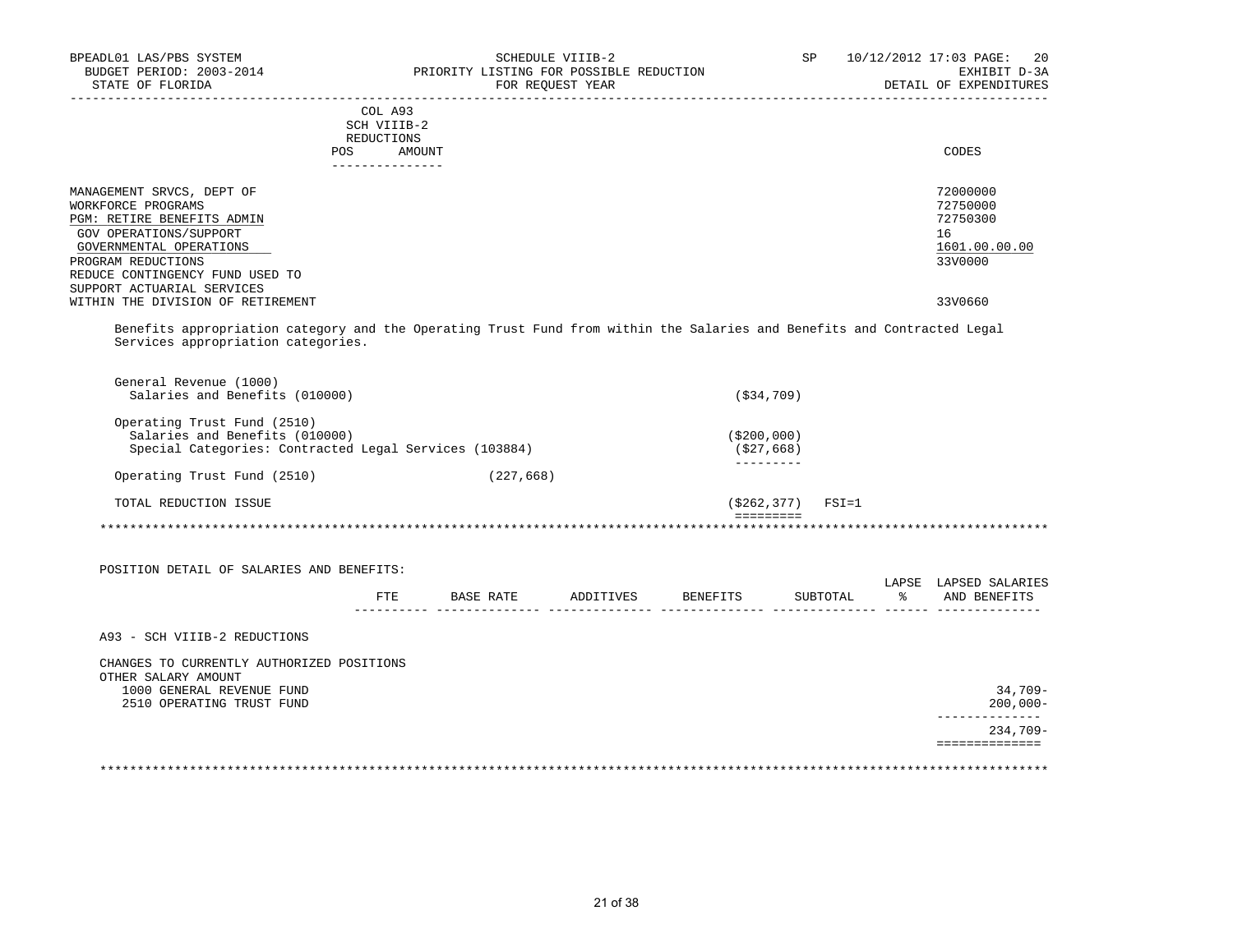| BUDGET PERIOD: 2003-2014                               | SCHEDULE VIIIB-2<br>PRIORITY LISTING FOR POSSIBLE REDUCTION                                                             | SP and the set of the set of the set of the set of the set of the set of the set of the set of the set of the set of the set of the set of the set of the set of the set of the set of the set of the set of the set of the se | 10/12/2012 17:03 PAGE:<br>20<br>EXHIBIT D-3A |
|--------------------------------------------------------|-------------------------------------------------------------------------------------------------------------------------|--------------------------------------------------------------------------------------------------------------------------------------------------------------------------------------------------------------------------------|----------------------------------------------|
| STATE OF FLORIDA                                       | FOR REQUEST YEAR                                                                                                        |                                                                                                                                                                                                                                | DETAIL OF EXPENDITURES                       |
|                                                        | COL A93                                                                                                                 |                                                                                                                                                                                                                                |                                              |
|                                                        | SCH VIIIB-2                                                                                                             |                                                                                                                                                                                                                                |                                              |
| POS                                                    | REDUCTIONS<br>AMOUNT                                                                                                    |                                                                                                                                                                                                                                | CODES                                        |
|                                                        | _______________                                                                                                         |                                                                                                                                                                                                                                |                                              |
| MANAGEMENT SRVCS, DEPT OF                              |                                                                                                                         |                                                                                                                                                                                                                                | 72000000                                     |
| WORKFORCE PROGRAMS                                     |                                                                                                                         |                                                                                                                                                                                                                                | 72750000                                     |
| PGM: RETIRE BENEFITS ADMIN                             |                                                                                                                         |                                                                                                                                                                                                                                | 72750300                                     |
| GOV OPERATIONS/SUPPORT                                 |                                                                                                                         |                                                                                                                                                                                                                                | 16                                           |
| GOVERNMENTAL OPERATIONS                                |                                                                                                                         |                                                                                                                                                                                                                                | 1601.00.00.00                                |
| PROGRAM REDUCTIONS                                     |                                                                                                                         |                                                                                                                                                                                                                                | 33V0000                                      |
| REDUCE CONTINGENCY FUND USED TO                        |                                                                                                                         |                                                                                                                                                                                                                                |                                              |
| SUPPORT ACTUARIAL SERVICES                             |                                                                                                                         |                                                                                                                                                                                                                                |                                              |
| WITHIN THE DIVISION OF RETIREMENT                      |                                                                                                                         |                                                                                                                                                                                                                                | 33V0660                                      |
| Services appropriation categories.                     | Benefits appropriation category and the Operating Trust Fund from within the Salaries and Benefits and Contracted Legal |                                                                                                                                                                                                                                |                                              |
| General Revenue (1000)                                 |                                                                                                                         |                                                                                                                                                                                                                                |                                              |
|                                                        |                                                                                                                         |                                                                                                                                                                                                                                |                                              |
| Salaries and Benefits (010000)                         |                                                                                                                         | ( \$34, 709)                                                                                                                                                                                                                   |                                              |
| Operating Trust Fund (2510)                            |                                                                                                                         |                                                                                                                                                                                                                                |                                              |
| Salaries and Benefits (010000)                         |                                                                                                                         | ( \$200, 000 )                                                                                                                                                                                                                 |                                              |
| Special Categories: Contracted Legal Services (103884) |                                                                                                                         | ( \$27, 668)                                                                                                                                                                                                                   |                                              |
| Operating Trust Fund (2510)                            | (227, 668)                                                                                                              | $- - - - - - - -$                                                                                                                                                                                                              |                                              |
|                                                        |                                                                                                                         |                                                                                                                                                                                                                                |                                              |
| TOTAL REDUCTION ISSUE                                  |                                                                                                                         | $(S262, 377)$ FSI=1<br>=========                                                                                                                                                                                               |                                              |
|                                                        |                                                                                                                         |                                                                                                                                                                                                                                |                                              |
|                                                        |                                                                                                                         |                                                                                                                                                                                                                                |                                              |
| POSITION DETAIL OF SALARIES AND BENEFITS:              |                                                                                                                         |                                                                                                                                                                                                                                | LAPSE LAPSED SALARIES                        |
|                                                        | FTE BASE RATE ADDITIVES BENEFITS                                                                                        | SUBTOTAL                                                                                                                                                                                                                       | % AND BENEFITS                               |
| A93 - SCH VIIIB-2 REDUCTIONS                           |                                                                                                                         |                                                                                                                                                                                                                                |                                              |
|                                                        |                                                                                                                         |                                                                                                                                                                                                                                |                                              |
| CHANGES TO CURRENTLY AUTHORIZED POSITIONS              |                                                                                                                         |                                                                                                                                                                                                                                |                                              |
| OTHER SALARY AMOUNT                                    |                                                                                                                         |                                                                                                                                                                                                                                |                                              |
| 1000 GENERAL REVENUE FUND<br>2510 OPERATING TRUST FUND |                                                                                                                         |                                                                                                                                                                                                                                | $34,709-$<br>$200.000 -$                     |
|                                                        |                                                                                                                         |                                                                                                                                                                                                                                | -------------                                |
|                                                        |                                                                                                                         |                                                                                                                                                                                                                                | $234,709-$<br>==============                 |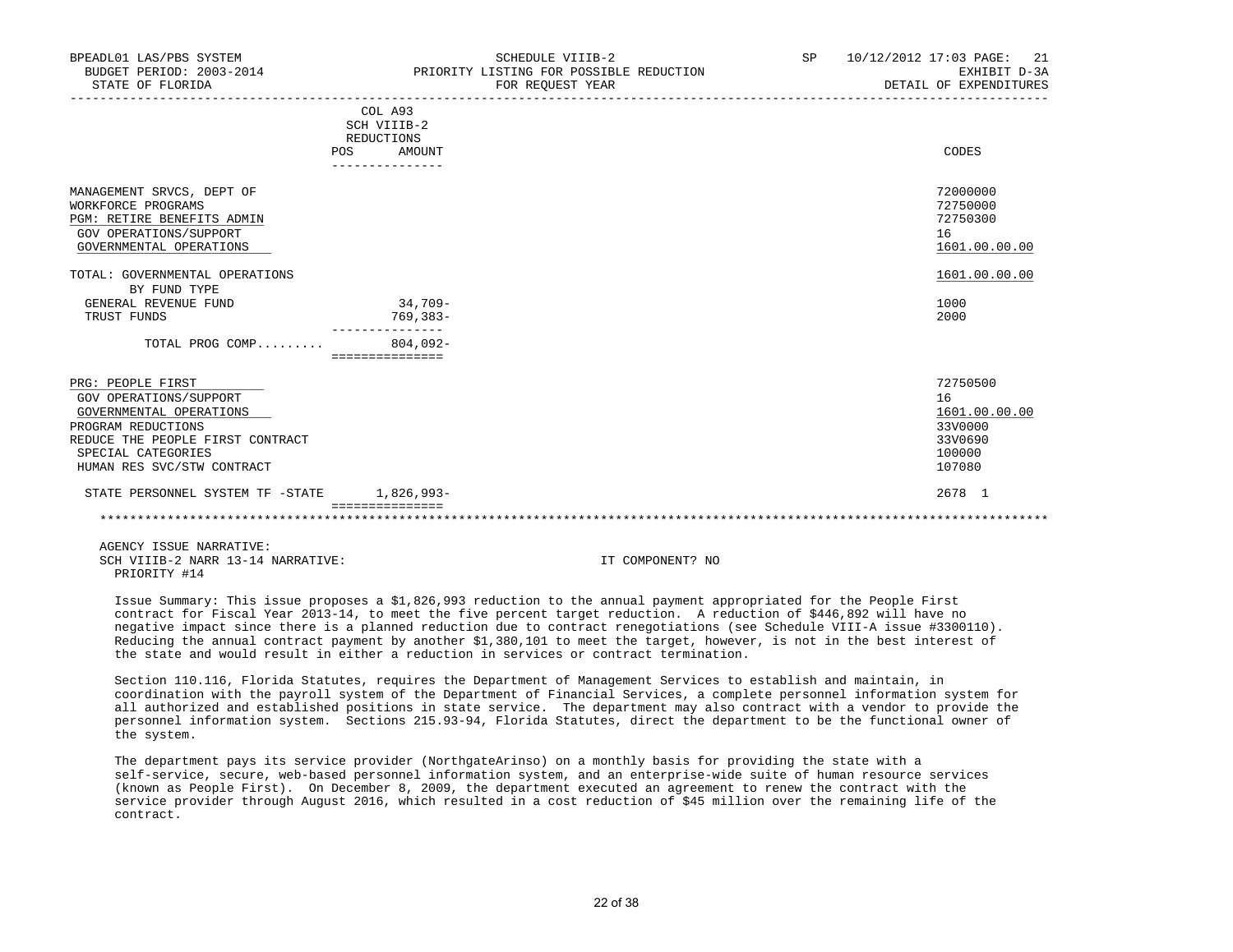| BPEADL01 LAS/PBS SYSTEM<br>BUDGET PERIOD: 2003-2014<br>STATE OF FLORIDA                                                                                                              |                                                                                 | SCHEDULE VIIIB-2<br>PRIORITY LISTING FOR POSSIBLE REDUCTION<br>FOR REOUEST YEAR | <b>SP</b> | 10/12/2012 17:03 PAGE: 21<br>EXHIBIT D-3A<br>DETAIL OF EXPENDITURES       |
|--------------------------------------------------------------------------------------------------------------------------------------------------------------------------------------|---------------------------------------------------------------------------------|---------------------------------------------------------------------------------|-----------|---------------------------------------------------------------------------|
|                                                                                                                                                                                      | COL A93<br>SCH VIIIB-2<br>REDUCTIONS<br><b>POS</b><br>AMOUNT<br>_______________ |                                                                                 |           | CODES                                                                     |
| MANAGEMENT SRVCS, DEPT OF<br>WORKFORCE PROGRAMS<br>PGM: RETIRE BENEFITS ADMIN<br>GOV OPERATIONS/SUPPORT<br>GOVERNMENTAL OPERATIONS<br>TOTAL: GOVERNMENTAL OPERATIONS                 |                                                                                 |                                                                                 |           | 72000000<br>72750000<br>72750300<br>16<br>1601.00.00.00<br>1601.00.00.00  |
| BY FUND TYPE<br>GENERAL REVENUE FUND<br>TRUST FUNDS                                                                                                                                  | $34.709 -$<br>769,383-<br>---------------                                       |                                                                                 |           | 1000<br>2000                                                              |
| TOTAL PROG COMP                                                                                                                                                                      | $804.092 -$<br>================                                                 |                                                                                 |           |                                                                           |
| PRG: PEOPLE FIRST<br>GOV OPERATIONS/SUPPORT<br>GOVERNMENTAL OPERATIONS<br>PROGRAM REDUCTIONS<br>REDUCE THE PEOPLE FIRST CONTRACT<br>SPECIAL CATEGORIES<br>HUMAN RES SVC/STW CONTRACT |                                                                                 |                                                                                 |           | 72750500<br>16<br>1601.00.00.00<br>33V0000<br>33V0690<br>100000<br>107080 |
| STATE PERSONNEL SYSTEM TF -STATE 1,826,993-                                                                                                                                          | ===============                                                                 |                                                                                 |           | 2678 1                                                                    |
|                                                                                                                                                                                      |                                                                                 |                                                                                 |           |                                                                           |

 AGENCY ISSUE NARRATIVE: SCH VIIIB-2 NARR 13-14 NARRATIVE: IT COMPONENT? NO PRIORITY #14

 Issue Summary: This issue proposes a \$1,826,993 reduction to the annual payment appropriated for the People First contract for Fiscal Year 2013-14, to meet the five percent target reduction. A reduction of \$446,892 will have no negative impact since there is a planned reduction due to contract renegotiations (see Schedule VIII-A issue #3300110). Reducing the annual contract payment by another \$1,380,101 to meet the target, however, is not in the best interest of the state and would result in either a reduction in services or contract termination.

 Section 110.116, Florida Statutes, requires the Department of Management Services to establish and maintain, in coordination with the payroll system of the Department of Financial Services, a complete personnel information system for all authorized and established positions in state service. The department may also contract with a vendor to provide the personnel information system. Sections 215.93-94, Florida Statutes, direct the department to be the functional owner of the system.

 The department pays its service provider (NorthgateArinso) on a monthly basis for providing the state with a self-service, secure, web-based personnel information system, and an enterprise-wide suite of human resource services (known as People First). On December 8, 2009, the department executed an agreement to renew the contract with the service provider through August 2016, which resulted in a cost reduction of \$45 million over the remaining life of the contract.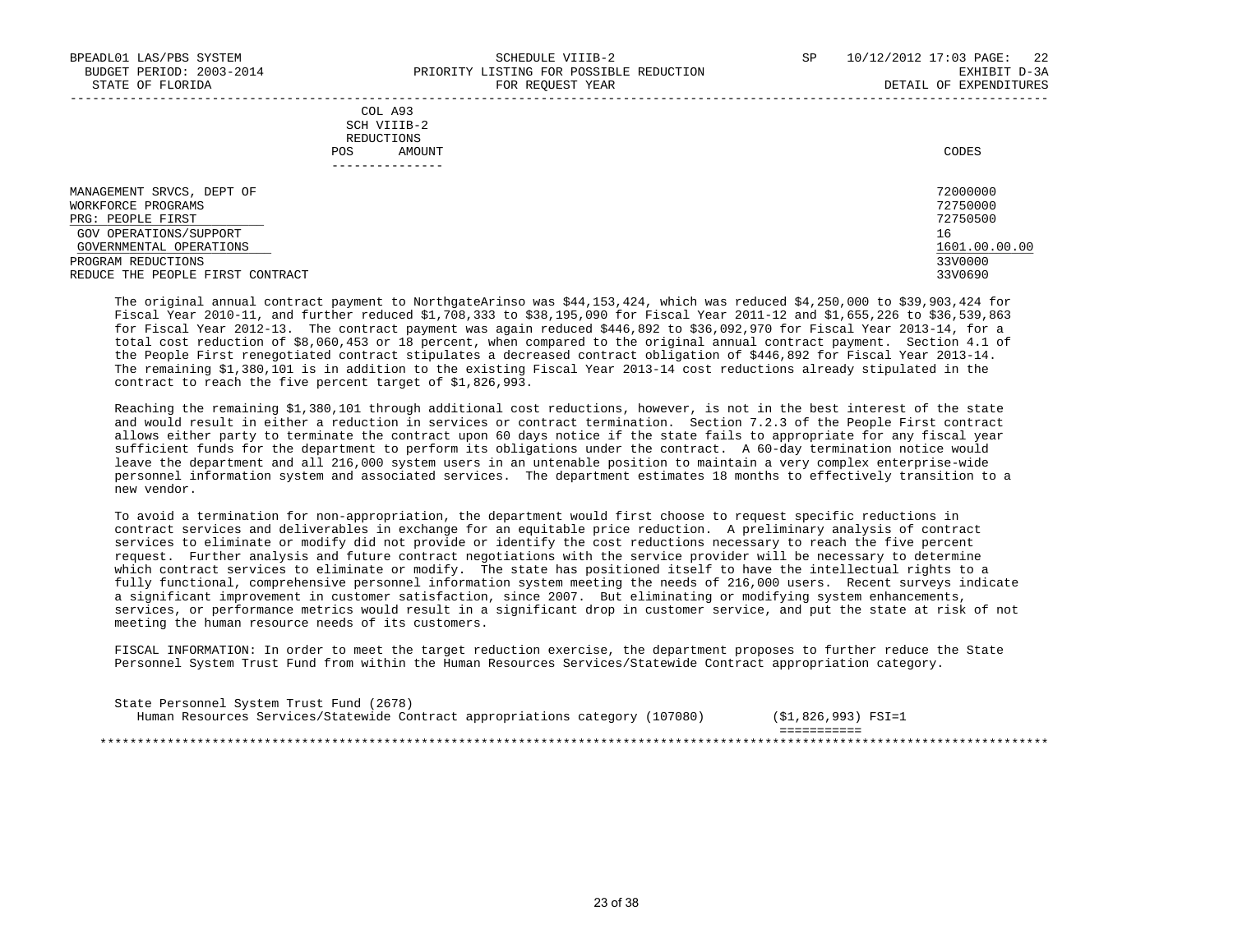| COL A93                                                                                                         |             |
|-----------------------------------------------------------------------------------------------------------------|-------------|
| the contract of the contract of the contract of the contract of the contract of the contract of the contract of |             |
| REDUCTIONS                                                                                                      |             |
| AMOUNT                                                                                                          | CODES       |
|                                                                                                                 | SCH VIIIB-2 |

| MANAGEMENT SRVCS, DEPT OF        | 72000000      |
|----------------------------------|---------------|
| WORKFORCE PROGRAMS               | 72750000      |
| PRG: PEOPLE FIRST                | 72750500      |
| GOV OPERATIONS/SUPPORT           | 16            |
| GOVERNMENTAL OPERATIONS          | 1601.00.00.00 |
| PROGRAM REDUCTIONS               | 33V0000       |
| REDUCE THE PEOPLE FIRST CONTRACT | 33V0690       |

 The original annual contract payment to NorthgateArinso was \$44,153,424, which was reduced \$4,250,000 to \$39,903,424 for Fiscal Year 2010-11, and further reduced \$1,708,333 to \$38,195,090 for Fiscal Year 2011-12 and \$1,655,226 to \$36,539,863 for Fiscal Year 2012-13. The contract payment was again reduced \$446,892 to \$36,092,970 for Fiscal Year 2013-14, for a total cost reduction of \$8,060,453 or 18 percent, when compared to the original annual contract payment. Section 4.1 of the People First renegotiated contract stipulates a decreased contract obligation of \$446,892 for Fiscal Year 2013-14. The remaining \$1,380,101 is in addition to the existing Fiscal Year 2013-14 cost reductions already stipulated in the contract to reach the five percent target of \$1,826,993.

 Reaching the remaining \$1,380,101 through additional cost reductions, however, is not in the best interest of the state and would result in either a reduction in services or contract termination. Section 7.2.3 of the People First contract allows either party to terminate the contract upon 60 days notice if the state fails to appropriate for any fiscal year sufficient funds for the department to perform its obligations under the contract. A 60-day termination notice would leave the department and all 216,000 system users in an untenable position to maintain a very complex enterprise-wide personnel information system and associated services. The department estimates 18 months to effectively transition to a new vendor.

 To avoid a termination for non-appropriation, the department would first choose to request specific reductions in contract services and deliverables in exchange for an equitable price reduction. A preliminary analysis of contract services to eliminate or modify did not provide or identify the cost reductions necessary to reach the five percent request. Further analysis and future contract negotiations with the service provider will be necessary to determine which contract services to eliminate or modify. The state has positioned itself to have the intellectual rights to a fully functional, comprehensive personnel information system meeting the needs of 216,000 users. Recent surveys indicate a significant improvement in customer satisfaction, since 2007. But eliminating or modifying system enhancements, services, or performance metrics would result in a significant drop in customer service, and put the state at risk of not meeting the human resource needs of its customers.

 FISCAL INFORMATION: In order to meet the target reduction exercise, the department proposes to further reduce the State Personnel System Trust Fund from within the Human Resources Services/Statewide Contract appropriation category.

| State Personnel System Trust Fund (2678)                                     |                     |  |
|------------------------------------------------------------------------------|---------------------|--|
| Human Resources Services/Statewide Contract appropriations category (107080) | (\$1,826,993) FSI=1 |  |
|                                                                              |                     |  |
|                                                                              |                     |  |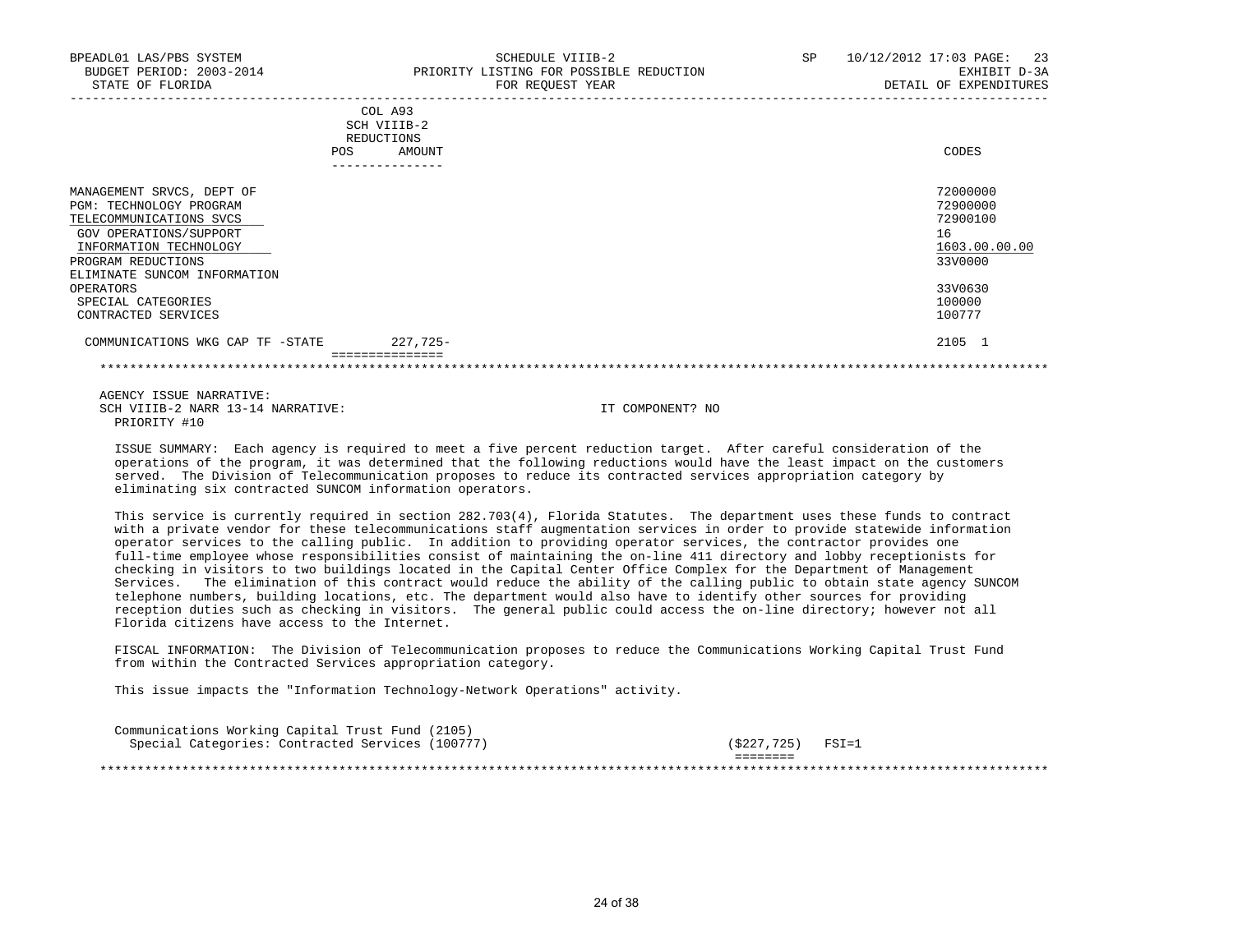| BPEADL01 LAS/PBS SYSTEM<br>BUDGET PERIOD: 2003-2014<br>STATE OF FLORIDA                                                                                                                                                                                    | SCHEDULE VIIIB-2<br>PRIORITY LISTING FOR POSSIBLE REDUCTION<br>FOR REQUEST YEAR | SP | 10/12/2012 17:03 PAGE: 23<br>EXHIBIT D-3A<br>DETAIL OF EXPENDITURES                               |
|------------------------------------------------------------------------------------------------------------------------------------------------------------------------------------------------------------------------------------------------------------|---------------------------------------------------------------------------------|----|---------------------------------------------------------------------------------------------------|
|                                                                                                                                                                                                                                                            | COL A93<br>SCH VIIIB-2<br>REDUCTIONS<br>AMOUNT<br>POS<br>---------------        |    | CODES                                                                                             |
| MANAGEMENT SRVCS, DEPT OF<br><b>PGM: TECHNOLOGY PROGRAM</b><br>TELECOMMUNICATIONS SVCS<br>GOV OPERATIONS/SUPPORT<br>INFORMATION TECHNOLOGY<br>PROGRAM REDUCTIONS<br>ELIMINATE SUNCOM INFORMATION<br>OPERATORS<br>SPECIAL CATEGORIES<br>CONTRACTED SERVICES |                                                                                 |    | 72000000<br>72900000<br>72900100<br>16<br>1603.00.00.00<br>33V0000<br>33V0630<br>100000<br>100777 |
| COMMUNICATIONS WKG CAP TF -STATE                                                                                                                                                                                                                           | 227,725-                                                                        |    | 2105 1                                                                                            |

\*\*\*\*\*\*\*\*\*\*\*\*\*\*\*\*\*\*\*\*\*\*\*\*\*\*\*\*\*\*\*\*\*\*\*\*\*\*\*\*\*\*\*\*\*\*\*\*\*\*\*\*\*\*\*\*\*\*\*\*\*\*\*\*\*\*\*\*\*\*\*\*\*\*\*\*\*\*\*\*\*\*\*\*\*\*\*\*\*\*\*\*\*\*\*\*\*\*\*\*\*\*\*\*\*\*\*\*\*\*\*\*\*\*\*\*\*\*\*\*\*\*\*\*\*\*\*

 AGENCY ISSUE NARRATIVE: SCH VIIIB-2 NARR 13-14 NARRATIVE: IT COMPONENT? NO PRIORITY #10

 ISSUE SUMMARY: Each agency is required to meet a five percent reduction target. After careful consideration of the operations of the program, it was determined that the following reductions would have the least impact on the customers served. The Division of Telecommunication proposes to reduce its contracted services appropriation category by eliminating six contracted SUNCOM information operators.

 This service is currently required in section 282.703(4), Florida Statutes. The department uses these funds to contract with a private vendor for these telecommunications staff augmentation services in order to provide statewide information operator services to the calling public. In addition to providing operator services, the contractor provides one full-time employee whose responsibilities consist of maintaining the on-line 411 directory and lobby receptionists for checking in visitors to two buildings located in the Capital Center Office Complex for the Department of Management Services. The elimination of this contract would reduce the ability of the calling public to obtain state agency SUNCOM telephone numbers, building locations, etc. The department would also have to identify other sources for providing reception duties such as checking in visitors. The general public could access the on-line directory; however not all Florida citizens have access to the Internet.

 FISCAL INFORMATION: The Division of Telecommunication proposes to reduce the Communications Working Capital Trust Fund from within the Contracted Services appropriation category.

This issue impacts the "Information Technology-Network Operations" activity.

| Communications Working Capital Trust Fund (2105) |                      |         |
|--------------------------------------------------|----------------------|---------|
| Special Categories: Contracted Services (100777) | (5227.725)           | $FSI=1$ |
|                                                  | --------<br>-------- |         |
|                                                  |                      |         |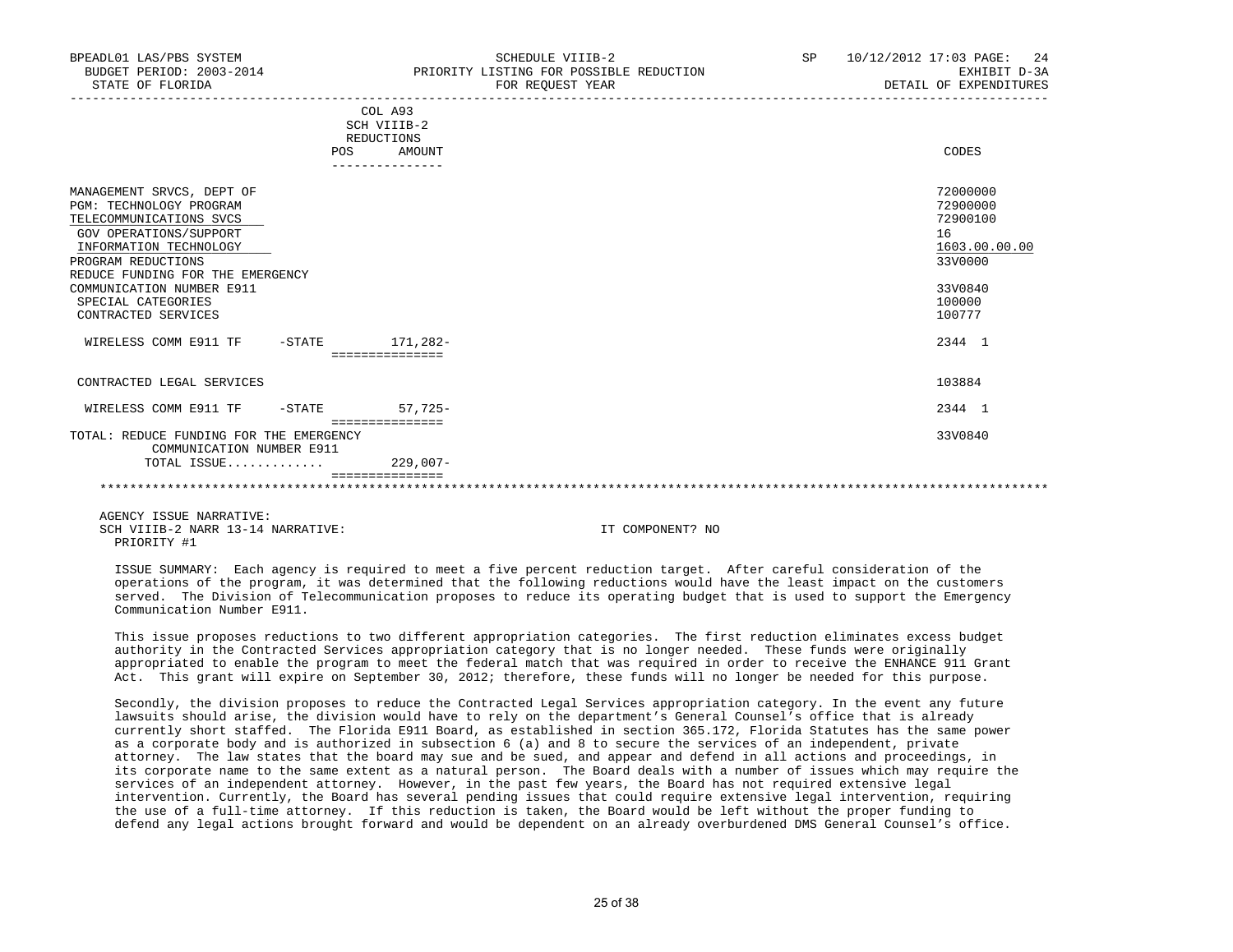| BUDGET PERIOD: 2003-2014<br>STATE OF FLORIDA                                                                                                                                                                                                                                   | PRIORITY LISTING FOR POSSIBLE REDUCTION<br>FOR REOUEST YEAR              | EXHIBIT D-3A<br>DETAIL OF EXPENDITURES                                                            |
|--------------------------------------------------------------------------------------------------------------------------------------------------------------------------------------------------------------------------------------------------------------------------------|--------------------------------------------------------------------------|---------------------------------------------------------------------------------------------------|
|                                                                                                                                                                                                                                                                                | COL A93<br>SCH VIIIB-2<br>REDUCTIONS<br>AMOUNT<br>POS<br>--------------- | CODES                                                                                             |
| MANAGEMENT SRVCS, DEPT OF<br><b>PGM: TECHNOLOGY PROGRAM</b><br>TELECOMMUNICATIONS SVCS<br>GOV OPERATIONS/SUPPORT<br>INFORMATION TECHNOLOGY<br>PROGRAM REDUCTIONS<br>REDUCE FUNDING FOR THE EMERGENCY<br>COMMUNICATION NUMBER E911<br>SPECIAL CATEGORIES<br>CONTRACTED SERVICES |                                                                          | 72000000<br>72900000<br>72900100<br>16<br>1603.00.00.00<br>33V0000<br>33V0840<br>100000<br>100777 |
| WIRELESS COMM E911 TF -STATE 171,282-                                                                                                                                                                                                                                          | ===============                                                          | 2344 1                                                                                            |
| CONTRACTED LEGAL SERVICES                                                                                                                                                                                                                                                      |                                                                          | 103884                                                                                            |
| WIRELESS COMM E911 TF -STATE                                                                                                                                                                                                                                                   | $57.725-$<br>===============                                             | 2344 1                                                                                            |
| TOTAL: REDUCE FUNDING FOR THE EMERGENCY<br>COMMUNICATION NUMBER E911<br>TOTAL ISSUE                                                                                                                                                                                            | 229,007-                                                                 | 33V0840                                                                                           |
|                                                                                                                                                                                                                                                                                |                                                                          |                                                                                                   |

BPEADL01 LAS/PBS SYSTEM SALL SOME STRIDULE VIIIB-2 SP 10/12/2012 17:03 PAGE: 24

 AGENCY ISSUE NARRATIVE: SCH VIIIB-2 NARR 13-14 NARRATIVE: IT COMPONENT? NO PRIORITY #1

 ISSUE SUMMARY: Each agency is required to meet a five percent reduction target. After careful consideration of the operations of the program, it was determined that the following reductions would have the least impact on the customers served. The Division of Telecommunication proposes to reduce its operating budget that is used to support the Emergency Communication Number E911.

 This issue proposes reductions to two different appropriation categories. The first reduction eliminates excess budget authority in the Contracted Services appropriation category that is no longer needed. These funds were originally appropriated to enable the program to meet the federal match that was required in order to receive the ENHANCE 911 Grant Act. This grant will expire on September 30, 2012; therefore, these funds will no longer be needed for this purpose.

 Secondly, the division proposes to reduce the Contracted Legal Services appropriation category. In the event any future lawsuits should arise, the division would have to rely on the department's General Counsel's office that is already currently short staffed. The Florida E911 Board, as established in section 365.172, Florida Statutes has the same power as a corporate body and is authorized in subsection 6 (a) and 8 to secure the services of an independent, private attorney. The law states that the board may sue and be sued, and appear and defend in all actions and proceedings, in its corporate name to the same extent as a natural person. The Board deals with a number of issues which may require the services of an independent attorney. However, in the past few years, the Board has not required extensive legal intervention. Currently, the Board has several pending issues that could require extensive legal intervention, requiring the use of a full-time attorney. If this reduction is taken, the Board would be left without the proper funding to defend any legal actions brought forward and would be dependent on an already overburdened DMS General Counsel's office.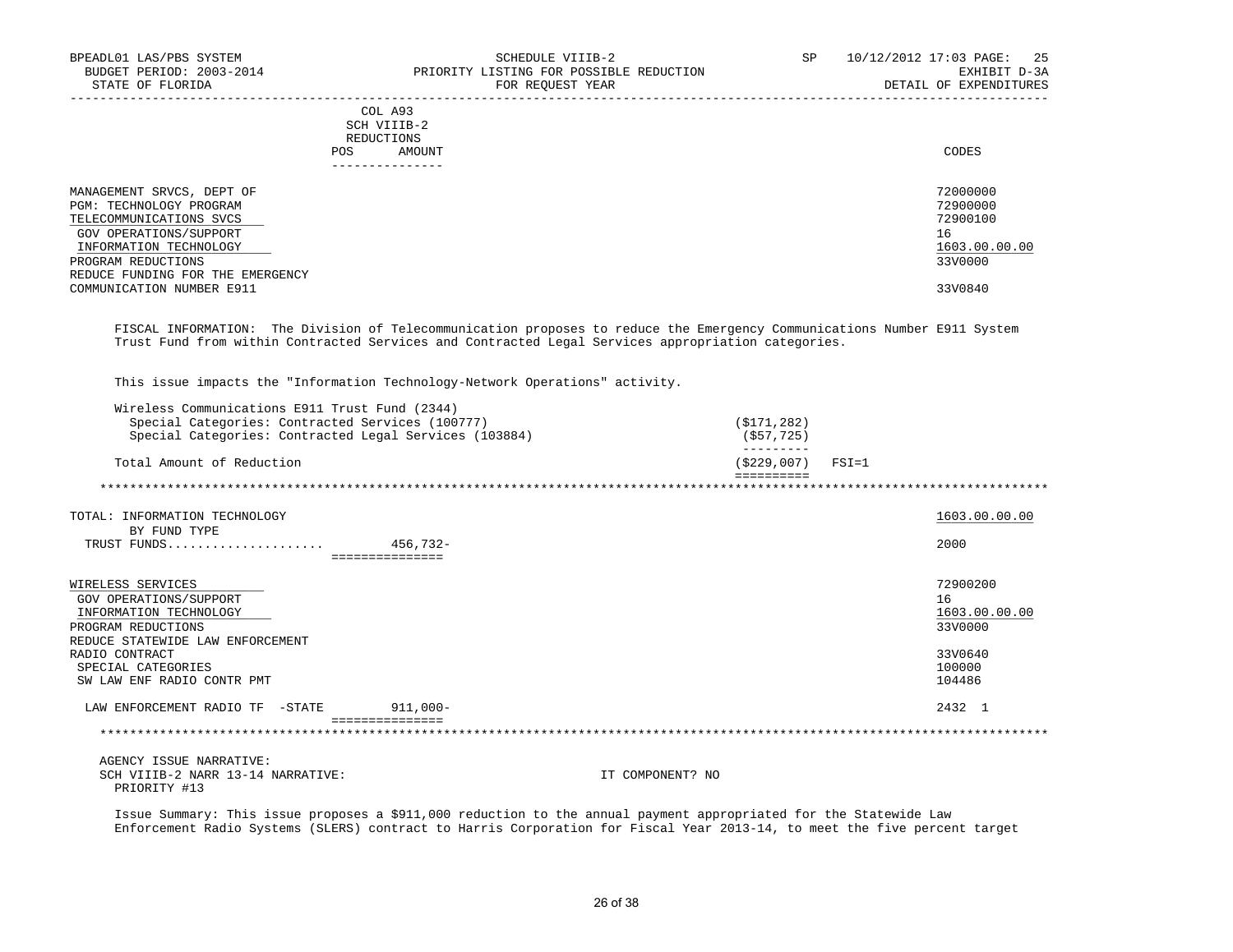| BPEADL01 LAS/PBS SYSTEM<br>BUDGET PERIOD: 2003-2014<br>STATE OF FLORIDA |      | SCHEDULE VIIIB-2<br>PRIORITY LISTING FOR POSSIBLE REDUCTION<br>FOR REQUEST YEAR | SP. | 10/12/2012 17:03 PAGE: 25<br>EXHIBIT D-3A<br>DETAIL OF EXPENDITURES |
|-------------------------------------------------------------------------|------|---------------------------------------------------------------------------------|-----|---------------------------------------------------------------------|
|                                                                         | POS. | COL A93<br>SCH VIIIB-2<br>REDUCTIONS<br>AMOUNT                                  |     | CODES                                                               |
| MANAGEMENT SRVCS, DEPT OF<br>PGM: TECHNOLOGY PROGRAM                    |      |                                                                                 |     | 72000000<br>72900000                                                |

| TELECOMMUNICATIONS SVCS          | 72900100      |
|----------------------------------|---------------|
| GOV OPERATIONS/SUPPORT           | - 6           |
| INFORMATION TECHNOLOGY           | 1603.00.00.00 |
| PROGRAM REDUCTIONS               | 33V0000       |
| REDUCE FUNDING FOR THE EMERGENCY |               |
| COMMUNICATION NUMBER E911        | 33V0840       |

 FISCAL INFORMATION: The Division of Telecommunication proposes to reduce the Emergency Communications Number E911 System Trust Fund from within Contracted Services and Contracted Legal Services appropriation categories.

This issue impacts the "Information Technology-Network Operations" activity.

| Wireless Communications E911 Trust Fund (2344)<br>Special Categories: Contracted Services (100777)<br>Special Categories: Contracted Legal Services (103884)                                                             | (S171, 282)<br>$($ \$57,725)     |                                                                           |
|--------------------------------------------------------------------------------------------------------------------------------------------------------------------------------------------------------------------------|----------------------------------|---------------------------------------------------------------------------|
| Total Amount of Reduction                                                                                                                                                                                                | $(5229,007)$ FSI=1<br>========== |                                                                           |
|                                                                                                                                                                                                                          |                                  |                                                                           |
| TOTAL: INFORMATION TECHNOLOGY<br>BY FUND TYPE                                                                                                                                                                            |                                  | 1603.00.00.00                                                             |
| 456,732-<br>TRUST FUNDS                                                                                                                                                                                                  |                                  | 2000                                                                      |
| ===============<br>WIRELESS SERVICES<br>GOV OPERATIONS/SUPPORT<br>INFORMATION TECHNOLOGY<br>PROGRAM REDUCTIONS<br>REDUCE STATEWIDE LAW ENFORCEMENT<br>RADIO CONTRACT<br>SPECIAL CATEGORIES<br>SW LAW ENF RADIO CONTR PMT |                                  | 72900200<br>16<br>1603.00.00.00<br>33V0000<br>33V0640<br>100000<br>104486 |
| LAW ENFORCEMENT RADIO TF -STATE<br>$911,000 -$                                                                                                                                                                           |                                  | 2432 1                                                                    |
|                                                                                                                                                                                                                          |                                  |                                                                           |
| AGENCY ISSUE NARRATIVE:                                                                                                                                                                                                  |                                  |                                                                           |

SCH VIIIB-2 NARR 13-14 NARRATIVE: IT COMPONENT? NO PRIORITY #13

 Issue Summary: This issue proposes a \$911,000 reduction to the annual payment appropriated for the Statewide Law Enforcement Radio Systems (SLERS) contract to Harris Corporation for Fiscal Year 2013-14, to meet the five percent target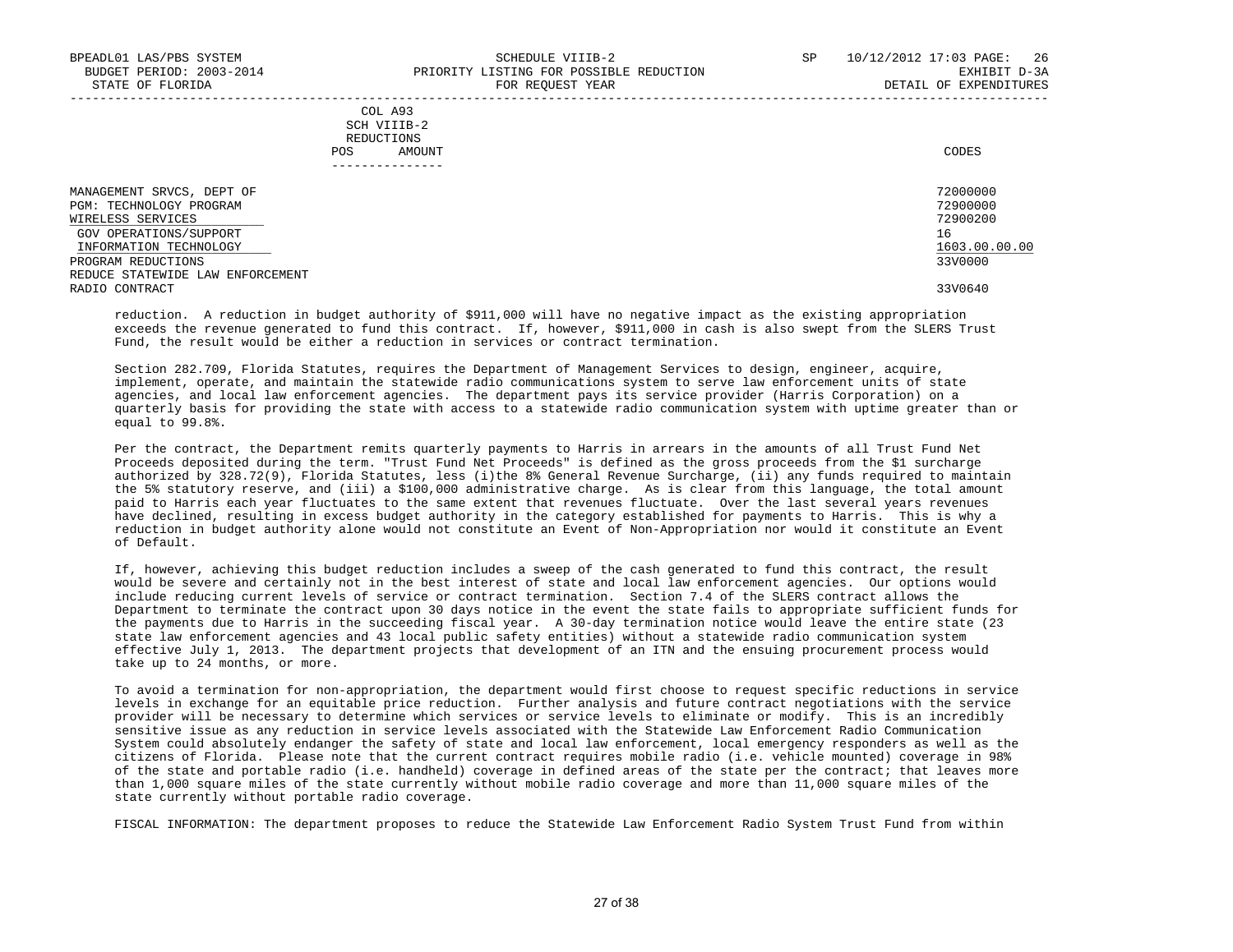|     | --------------- |       |
|-----|-----------------|-------|
| POS | AMOUNT          | CODES |
|     | REDUCTIONS      |       |
|     | SCH VIIIB-2     |       |
|     | COL A93         |       |

| MANAGEMENT SRVCS, DEPT OF        | 72000000      |
|----------------------------------|---------------|
| PGM: TECHNOLOGY PROGRAM          | 72900000      |
| WIRELESS SERVICES                | 72900200      |
| GOV OPERATIONS/SUPPORT           | 16            |
| INFORMATION TECHNOLOGY           | 1603.00.00.00 |
| PROGRAM REDUCTIONS               | 33V0000       |
| REDUCE STATEWIDE LAW ENFORCEMENT |               |
| RADIO CONTRACT                   | 33V0640       |
|                                  |               |

 reduction. A reduction in budget authority of \$911,000 will have no negative impact as the existing appropriation exceeds the revenue generated to fund this contract. If, however, \$911,000 in cash is also swept from the SLERS Trust Fund, the result would be either a reduction in services or contract termination.

 Section 282.709, Florida Statutes, requires the Department of Management Services to design, engineer, acquire, implement, operate, and maintain the statewide radio communications system to serve law enforcement units of state agencies, and local law enforcement agencies. The department pays its service provider (Harris Corporation) on a quarterly basis for providing the state with access to a statewide radio communication system with uptime greater than or equal to 99.8%.

 Per the contract, the Department remits quarterly payments to Harris in arrears in the amounts of all Trust Fund Net Proceeds deposited during the term. "Trust Fund Net Proceeds" is defined as the gross proceeds from the \$1 surcharge authorized by 328.72(9), Florida Statutes, less (i)the 8% General Revenue Surcharge, (ii) any funds required to maintain the 5% statutory reserve, and (iii) a \$100,000 administrative charge. As is clear from this language, the total amount paid to Harris each year fluctuates to the same extent that revenues fluctuate. Over the last several years revenues have declined, resulting in excess budget authority in the category established for payments to Harris. This is why a reduction in budget authority alone would not constitute an Event of Non-Appropriation nor would it constitute an Event of Default.

 If, however, achieving this budget reduction includes a sweep of the cash generated to fund this contract, the result would be severe and certainly not in the best interest of state and local law enforcement agencies. Our options would include reducing current levels of service or contract termination. Section 7.4 of the SLERS contract allows the Department to terminate the contract upon 30 days notice in the event the state fails to appropriate sufficient funds for the payments due to Harris in the succeeding fiscal year. A 30-day termination notice would leave the entire state (23 state law enforcement agencies and 43 local public safety entities) without a statewide radio communication system effective July 1, 2013. The department projects that development of an ITN and the ensuing procurement process would take up to 24 months, or more.

 To avoid a termination for non-appropriation, the department would first choose to request specific reductions in service levels in exchange for an equitable price reduction. Further analysis and future contract negotiations with the service provider will be necessary to determine which services or service levels to eliminate or modify. This is an incredibly sensitive issue as any reduction in service levels associated with the Statewide Law Enforcement Radio Communication System could absolutely endanger the safety of state and local law enforcement, local emergency responders as well as the citizens of Florida. Please note that the current contract requires mobile radio (i.e. vehicle mounted) coverage in 98% of the state and portable radio (i.e. handheld) coverage in defined areas of the state per the contract; that leaves more than 1,000 square miles of the state currently without mobile radio coverage and more than 11,000 square miles of the state currently without portable radio coverage.

FISCAL INFORMATION: The department proposes to reduce the Statewide Law Enforcement Radio System Trust Fund from within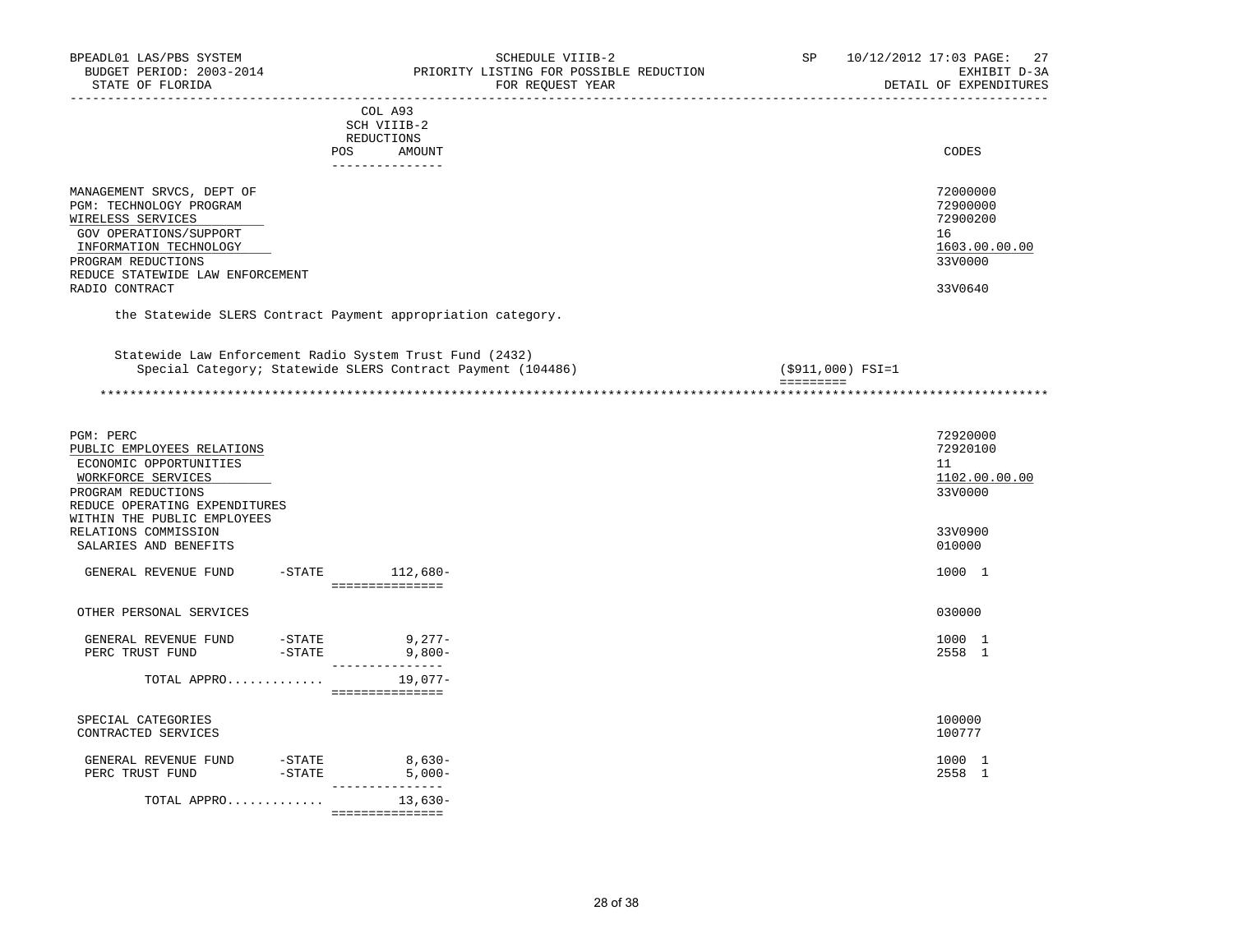| BPEADL01 LAS/PBS SYSTEM<br>BUDGET PERIOD: 2003-2014<br>STATE OF FLORIDA<br>-------------------                                                                                                            | SCHEDULE VIIIB-2<br>PRIORITY LISTING FOR POSSIBLE REDUCTION<br>FOR REQUEST YEAR<br>--------------------------<br>______________________<br>______________________________ | SP       |                   | 10/12/2012 17:03 PAGE: 27<br>EXHIBIT D-3A<br>DETAIL OF EXPENDITURES           |
|-----------------------------------------------------------------------------------------------------------------------------------------------------------------------------------------------------------|---------------------------------------------------------------------------------------------------------------------------------------------------------------------------|----------|-------------------|-------------------------------------------------------------------------------|
|                                                                                                                                                                                                           | COL A93<br>SCH VIIIB-2<br>REDUCTIONS<br>POS<br>AMOUNT<br>---------------                                                                                                  |          |                   | CODES                                                                         |
| MANAGEMENT SRVCS, DEPT OF<br>PGM: TECHNOLOGY PROGRAM<br>WIRELESS SERVICES<br>GOV OPERATIONS/SUPPORT<br>INFORMATION TECHNOLOGY<br>PROGRAM REDUCTIONS<br>REDUCE STATEWIDE LAW ENFORCEMENT<br>RADIO CONTRACT |                                                                                                                                                                           |          |                   | 72000000<br>72900000<br>72900200<br>16<br>1603.00.00.00<br>33V0000<br>33V0640 |
|                                                                                                                                                                                                           | the Statewide SLERS Contract Payment appropriation category.                                                                                                              |          |                   |                                                                               |
|                                                                                                                                                                                                           | Statewide Law Enforcement Radio System Trust Fund (2432)<br>Special Category; Statewide SLERS Contract Payment (104486)                                                   | eeeeeeee | (\$911,000) FSI=1 | *******************************                                               |
|                                                                                                                                                                                                           |                                                                                                                                                                           |          |                   |                                                                               |
| PGM: PERC<br>PUBLIC EMPLOYEES RELATIONS<br>ECONOMIC OPPORTUNITIES<br>WORKFORCE SERVICES<br>PROGRAM REDUCTIONS<br>REDUCE OPERATING EXPENDITURES<br>WITHIN THE PUBLIC EMPLOYEES                             |                                                                                                                                                                           |          |                   | 72920000<br>72920100<br>11<br>1102.00.00.00<br>33V0000                        |
| RELATIONS COMMISSION<br>SALARIES AND BENEFITS                                                                                                                                                             |                                                                                                                                                                           |          |                   | 33V0900<br>010000                                                             |
| GENERAL REVENUE FUND -STATE 112,680-                                                                                                                                                                      | ----------------                                                                                                                                                          |          |                   | 1000 1                                                                        |
| OTHER PERSONAL SERVICES                                                                                                                                                                                   |                                                                                                                                                                           |          |                   | 030000                                                                        |
| GENERAL REVENUE FUND -STATE 9,277-<br>PERC TRUST FUND -STATE 9,800-                                                                                                                                       | _________________                                                                                                                                                         |          |                   | 1000 1<br>2558 1                                                              |
| TOTAL APPRO 19,077-                                                                                                                                                                                       | ================                                                                                                                                                          |          |                   |                                                                               |
| SPECIAL CATEGORIES<br>CONTRACTED SERVICES                                                                                                                                                                 |                                                                                                                                                                           |          |                   | 100000<br>100777                                                              |
| GENERAL REVENUE FUND<br>$-STATE$<br>PERC TRUST FUND                                                                                                                                                       | $-STATE$ 8,630-<br>$5,000-$                                                                                                                                               |          |                   | 1000 1<br>2558 1                                                              |
| TOTAL APPRO                                                                                                                                                                                               | $13,630-$<br>===============                                                                                                                                              |          |                   |                                                                               |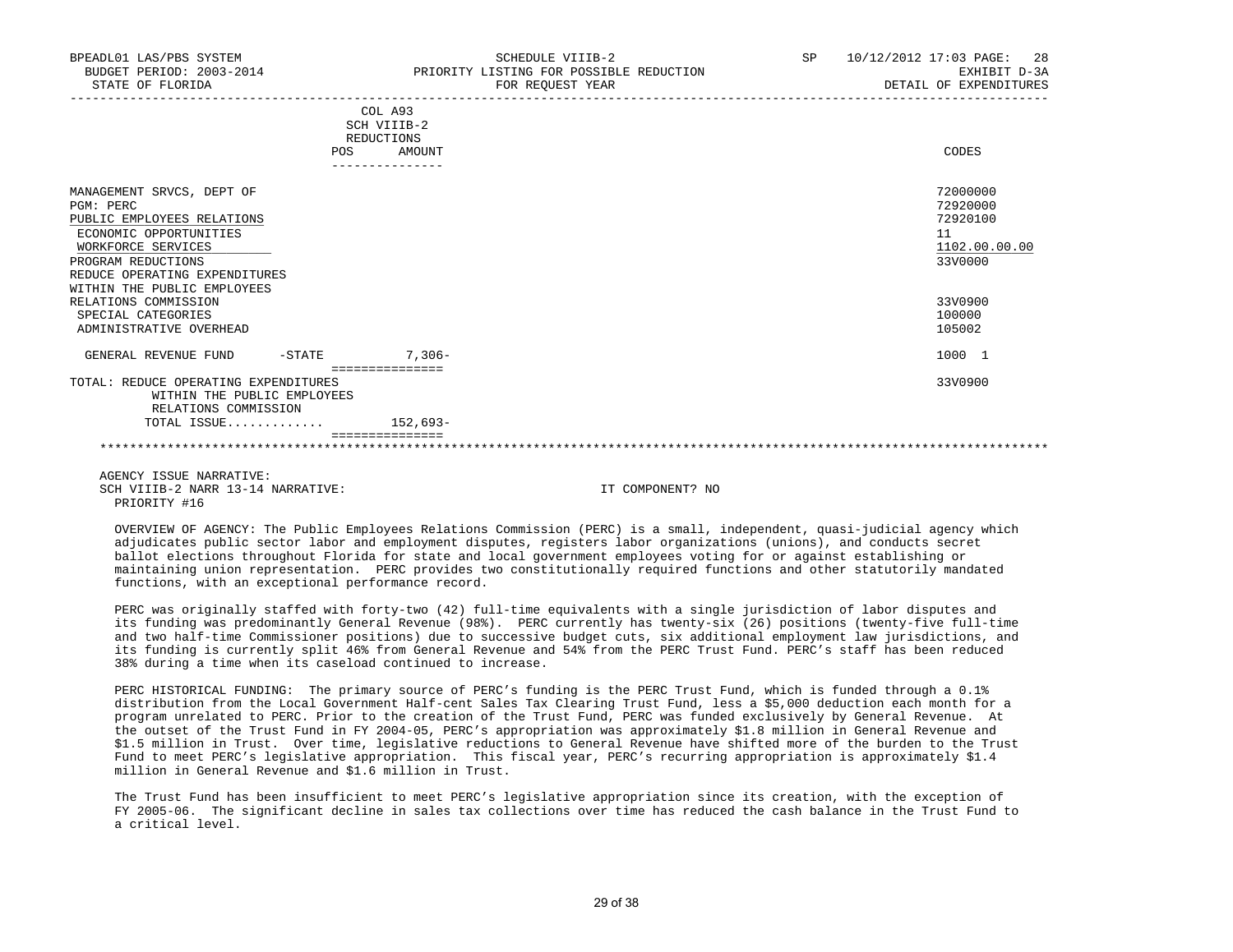|                                                                                                                                                                                                                                                                                     | COL A93<br>SCH VIIIB-2<br>REDUCTIONS |    |                                                                                             |
|-------------------------------------------------------------------------------------------------------------------------------------------------------------------------------------------------------------------------------------------------------------------------------------|--------------------------------------|----|---------------------------------------------------------------------------------------------|
| POS                                                                                                                                                                                                                                                                                 | AMOUNT                               |    | CODES                                                                                       |
| MANAGEMENT SRVCS, DEPT OF<br>PGM: PERC<br>PUBLIC EMPLOYEES RELATIONS<br>ECONOMIC OPPORTUNITIES<br>WORKFORCE SERVICES<br>PROGRAM REDUCTIONS<br>REDUCE OPERATING EXPENDITURES<br>WITHIN THE PUBLIC EMPLOYEES<br>RELATIONS COMMISSION<br>SPECIAL CATEGORIES<br>ADMINISTRATIVE OVERHEAD |                                      | 11 | 72000000<br>72920000<br>72920100<br>1102.00.00.00<br>33V0000<br>33V0900<br>100000<br>105002 |
|                                                                                                                                                                                                                                                                                     |                                      |    |                                                                                             |
| $-STATE$<br>GENERAL REVENUE FUND                                                                                                                                                                                                                                                    | $7,306-$                             |    | 1000 1                                                                                      |
|                                                                                                                                                                                                                                                                                     | ===============                      |    |                                                                                             |
| TOTAL: REDUCE OPERATING EXPENDITURES<br>WITHIN THE PUBLIC EMPLOYEES<br>RELATIONS COMMISSION                                                                                                                                                                                         |                                      |    | 33V0900                                                                                     |
| TOTAL ISSUE                                                                                                                                                                                                                                                                         | 152,693-                             |    |                                                                                             |
|                                                                                                                                                                                                                                                                                     |                                      |    |                                                                                             |

 AGENCY ISSUE NARRATIVE: SCH VIIIB-2 NARR 13-14 NARRATIVE: IT COMPONENT? NO PRIORITY #16

 OVERVIEW OF AGENCY: The Public Employees Relations Commission (PERC) is a small, independent, quasi-judicial agency which adjudicates public sector labor and employment disputes, registers labor organizations (unions), and conducts secret ballot elections throughout Florida for state and local government employees voting for or against establishing or maintaining union representation. PERC provides two constitutionally required functions and other statutorily mandated functions, with an exceptional performance record.

 PERC was originally staffed with forty-two (42) full-time equivalents with a single jurisdiction of labor disputes and its funding was predominantly General Revenue (98%). PERC currently has twenty-six (26) positions (twenty-five full-time and two half-time Commissioner positions) due to successive budget cuts, six additional employment law jurisdictions, and its funding is currently split 46% from General Revenue and 54% from the PERC Trust Fund. PERC's staff has been reduced 38% during a time when its caseload continued to increase.

 PERC HISTORICAL FUNDING: The primary source of PERC's funding is the PERC Trust Fund, which is funded through a 0.1% distribution from the Local Government Half-cent Sales Tax Clearing Trust Fund, less a \$5,000 deduction each month for a program unrelated to PERC. Prior to the creation of the Trust Fund, PERC was funded exclusively by General Revenue. At the outset of the Trust Fund in FY 2004-05, PERC's appropriation was approximately \$1.8 million in General Revenue and \$1.5 million in Trust. Over time, legislative reductions to General Revenue have shifted more of the burden to the Trust Fund to meet PERC's legislative appropriation. This fiscal year, PERC's recurring appropriation is approximately \$1.4 million in General Revenue and \$1.6 million in Trust.

 The Trust Fund has been insufficient to meet PERC's legislative appropriation since its creation, with the exception of FY 2005-06. The significant decline in sales tax collections over time has reduced the cash balance in the Trust Fund to a critical level.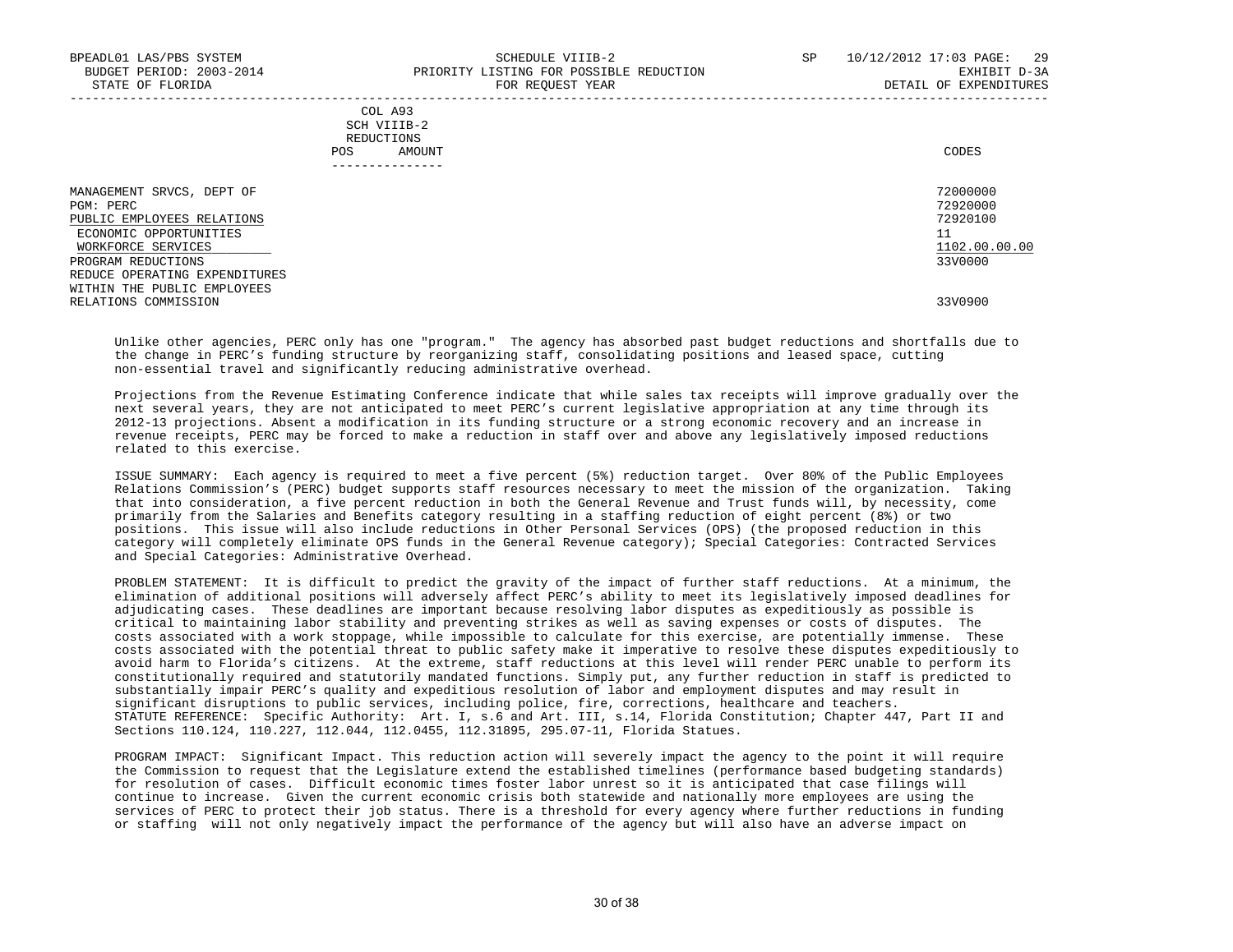|            | _______________ |       |
|------------|-----------------|-------|
| POS        | AMOUNT          | CODES |
| REDUCTIONS |                 |       |
|            | SCH VIIIB-2     |       |
|            | COL A93         |       |

| MANAGEMENT SRVCS, DEPT OF     | 72000000      |
|-------------------------------|---------------|
| PGM: PERC                     | 72920000      |
| PUBLIC EMPLOYEES RELATIONS    | 72920100      |
| ECONOMIC OPPORTUNITIES        | 11            |
| WORKFORCE SERVICES            | 1102.00.00.00 |
| PROGRAM REDUCTIONS            | 33V0000       |
| REDUCE OPERATING EXPENDITURES |               |
| WITHIN THE PUBLIC EMPLOYEES   |               |
| RELATIONS COMMISSION          | 33V0900       |
|                               |               |

 Unlike other agencies, PERC only has one "program." The agency has absorbed past budget reductions and shortfalls due to the change in PERC's funding structure by reorganizing staff, consolidating positions and leased space, cutting non-essential travel and significantly reducing administrative overhead.

 Projections from the Revenue Estimating Conference indicate that while sales tax receipts will improve gradually over the next several years, they are not anticipated to meet PERC's current legislative appropriation at any time through its 2012-13 projections. Absent a modification in its funding structure or a strong economic recovery and an increase in revenue receipts, PERC may be forced to make a reduction in staff over and above any legislatively imposed reductions related to this exercise.

 ISSUE SUMMARY: Each agency is required to meet a five percent (5%) reduction target. Over 80% of the Public Employees Relations Commission's (PERC) budget supports staff resources necessary to meet the mission of the organization. Taking that into consideration, a five percent reduction in both the General Revenue and Trust funds will, by necessity, come primarily from the Salaries and Benefits category resulting in a staffing reduction of eight percent (8%) or two positions. This issue will also include reductions in Other Personal Services (OPS) (the proposed reduction in this category will completely eliminate OPS funds in the General Revenue category); Special Categories: Contracted Services and Special Categories: Administrative Overhead.

 PROBLEM STATEMENT: It is difficult to predict the gravity of the impact of further staff reductions. At a minimum, the elimination of additional positions will adversely affect PERC's ability to meet its legislatively imposed deadlines for adjudicating cases. These deadlines are important because resolving labor disputes as expeditiously as possible is critical to maintaining labor stability and preventing strikes as well as saving expenses or costs of disputes. The costs associated with a work stoppage, while impossible to calculate for this exercise, are potentially immense. These costs associated with the potential threat to public safety make it imperative to resolve these disputes expeditiously to avoid harm to Florida's citizens. At the extreme, staff reductions at this level will render PERC unable to perform its constitutionally required and statutorily mandated functions. Simply put, any further reduction in staff is predicted to substantially impair PERC's quality and expeditious resolution of labor and employment disputes and may result in significant disruptions to public services, including police, fire, corrections, healthcare and teachers. STATUTE REFERENCE: Specific Authority: Art. I, s.6 and Art. III, s.14, Florida Constitution; Chapter 447, Part II and Sections 110.124, 110.227, 112.044, 112.0455, 112.31895, 295.07-11, Florida Statues.

 PROGRAM IMPACT: Significant Impact. This reduction action will severely impact the agency to the point it will require the Commission to request that the Legislature extend the established timelines (performance based budgeting standards) for resolution of cases. Difficult economic times foster labor unrest so it is anticipated that case filings will continue to increase. Given the current economic crisis both statewide and nationally more employees are using the services of PERC to protect their job status. There is a threshold for every agency where further reductions in funding or staffing will not only negatively impact the performance of the agency but will also have an adverse impact on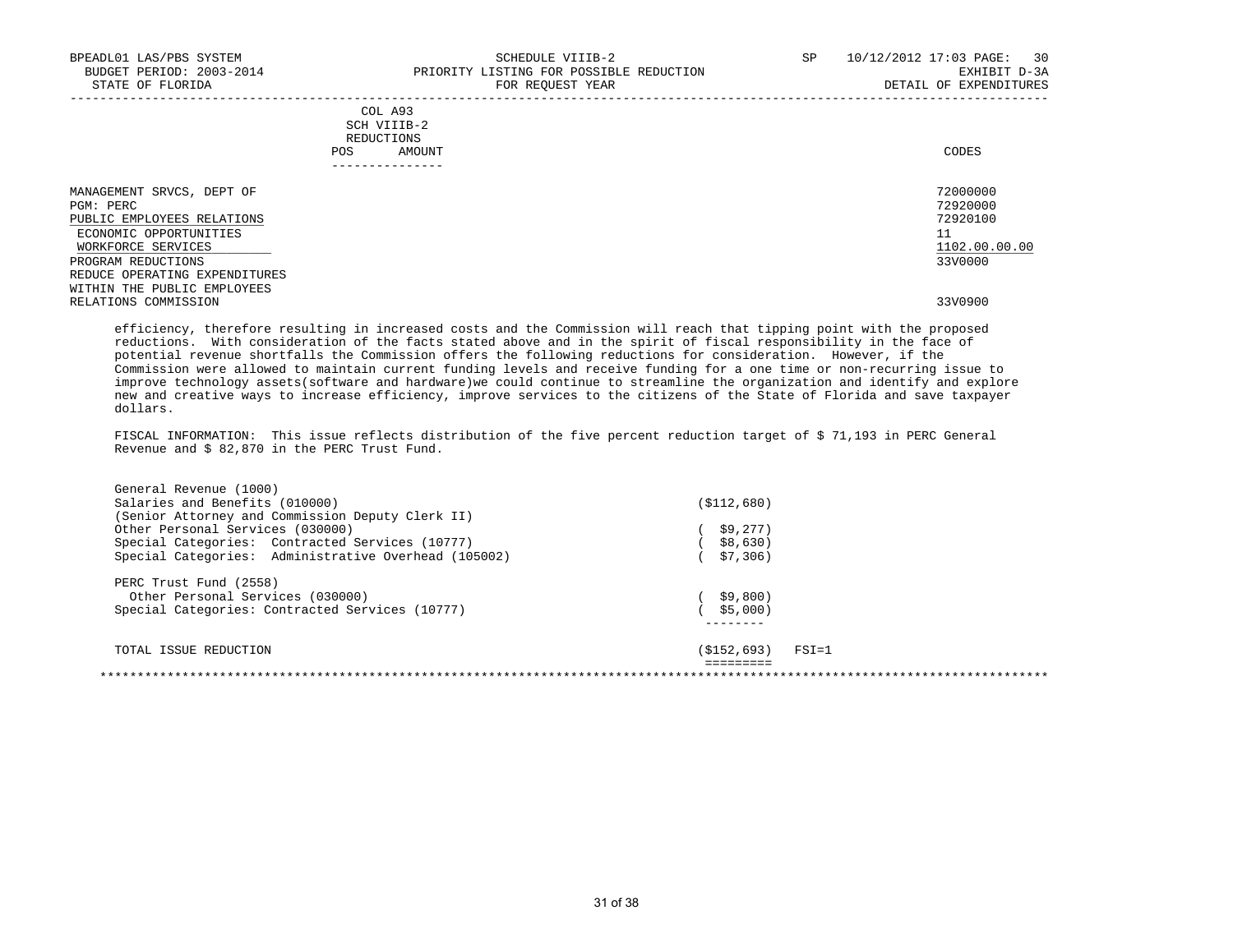| BPEADL01 LAS/PBS SYSTEM<br>BUDGET PERIOD: 2003-2014<br>STATE OF FLORIDA                                              | SCHEDULE VIIIB-2<br>PRIORITY LISTING FOR POSSIBLE REDUCTION<br>FOR REQUEST YEAR | SP<br>10/12/2012 17:03 PAGE:<br>30<br>EXHIBIT D-3A<br>DETAIL OF EXPENDITURES |
|----------------------------------------------------------------------------------------------------------------------|---------------------------------------------------------------------------------|------------------------------------------------------------------------------|
|                                                                                                                      | COL A93<br>SCH VIIIB-2<br>REDUCTIONS<br>POS<br>AMOUNT                           | CODES                                                                        |
| MANAGEMENT SRVCS, DEPT OF<br>PGM: PERC<br>PUBLIC EMPLOYEES RELATIONS<br>ECONOMIC OPPORTUNITIES<br>WORKFORCE SERVICES |                                                                                 | 72000000<br>72920000<br>72920100<br>11<br>1102.00.00.00                      |
| PROGRAM REDUCTIONS<br>REDUCE OPERATING EXPENDITURES<br>WITHIN THE PUBLIC EMPLOYEES<br>RELATIONS COMMISSION           |                                                                                 | 33V0000<br>33V0900                                                           |

 efficiency, therefore resulting in increased costs and the Commission will reach that tipping point with the proposed reductions. With consideration of the facts stated above and in the spirit of fiscal responsibility in the face of potential revenue shortfalls the Commission offers the following reductions for consideration. However, if the Commission were allowed to maintain current funding levels and receive funding for a one time or non-recurring issue to improve technology assets(software and hardware)we could continue to streamline the organization and identify and explore new and creative ways to increase efficiency, improve services to the citizens of the State of Florida and save taxpayer dollars.

 FISCAL INFORMATION: This issue reflects distribution of the five percent reduction target of \$ 71,193 in PERC General Revenue and \$ 82,870 in the PERC Trust Fund.

| General Revenue (1000)                               |                                     |  |
|------------------------------------------------------|-------------------------------------|--|
| Salaries and Benefits (010000)                       | ( \$112, 680)                       |  |
| (Senior Attorney and Commission Deputy Clerk II)     |                                     |  |
| Other Personal Services (030000)                     | \$9,277)                            |  |
| Special Categories: Contracted Services (10777)      | \$8,630)                            |  |
| Special Categories: Administrative Overhead (105002) | \$7,306)                            |  |
| PERC Trust Fund (2558)                               |                                     |  |
| Other Personal Services (030000)                     | \$9,800)                            |  |
| Special Categories: Contracted Services (10777)      | \$5,000)                            |  |
|                                                      |                                     |  |
| TOTAL ISSUE REDUCTION                                | (\$152,693)<br>$\texttt{FSI}\!=\!1$ |  |
|                                                      |                                     |  |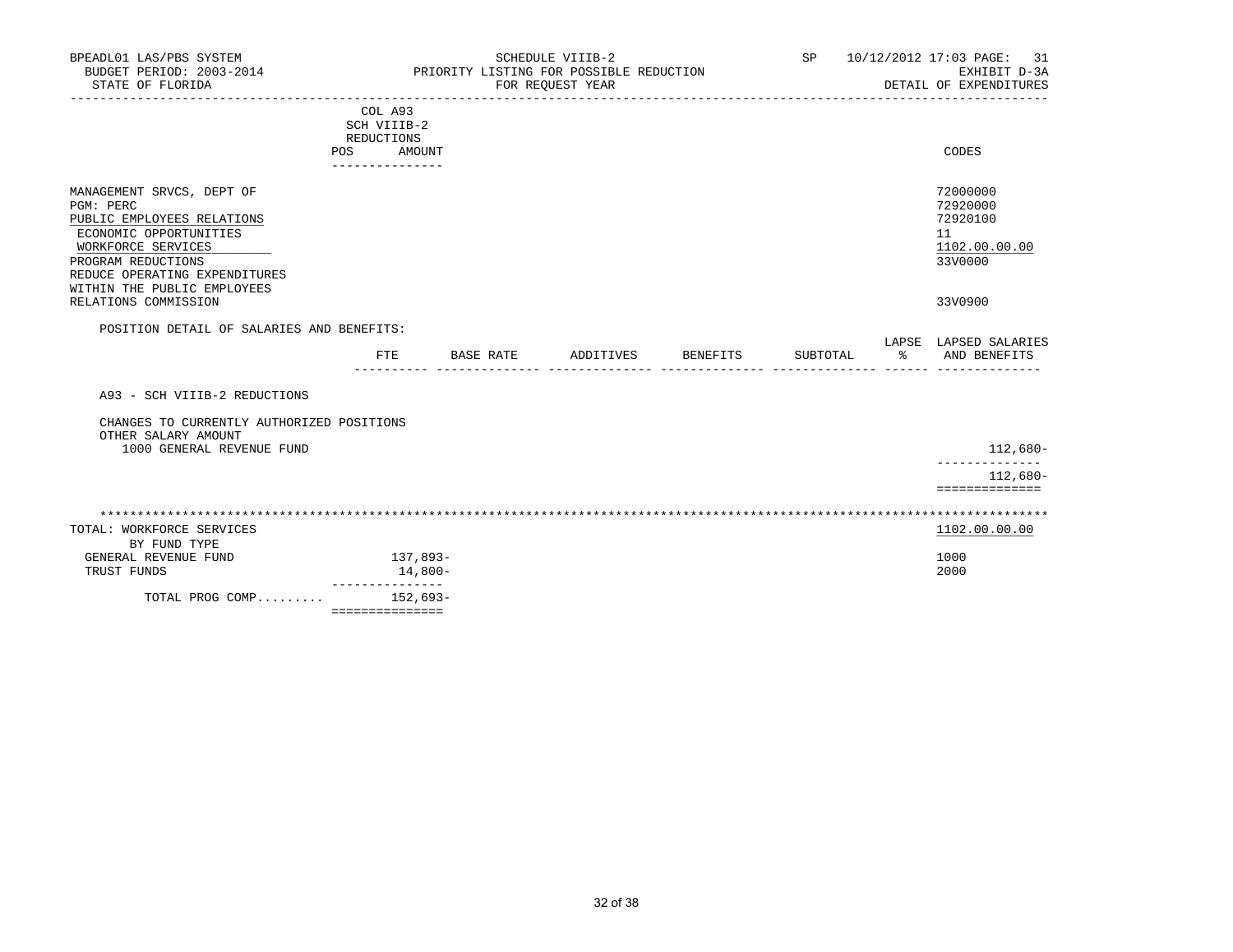| BPEADL01 LAS/PBS SYSTEM<br>BUDGET PERIOD: 2003-2014<br>STATE OF FLORIDA                                                                                                     |                                                    | SCHEDULE VIIIB-2<br>PRIORITY LISTING FOR POSSIBLE REDUCTION<br>FOR REQUEST YEAR |                                    | SP       | 10/12/2012 17:03 PAGE:<br>-31<br>EXHIBIT D-3A<br>DETAIL OF EXPENDITURES |
|-----------------------------------------------------------------------------------------------------------------------------------------------------------------------------|----------------------------------------------------|---------------------------------------------------------------------------------|------------------------------------|----------|-------------------------------------------------------------------------|
|                                                                                                                                                                             | ------------------------<br>COL A93<br>SCH VIIIB-2 |                                                                                 | __________________________________ |          |                                                                         |
|                                                                                                                                                                             | REDUCTIONS<br><b>POS</b><br>AMOUNT                 |                                                                                 |                                    |          | CODES                                                                   |
|                                                                                                                                                                             | ---------------                                    |                                                                                 |                                    |          |                                                                         |
| MANAGEMENT SRVCS, DEPT OF<br>PGM: PERC<br>PUBLIC EMPLOYEES RELATIONS<br>ECONOMIC OPPORTUNITIES<br>WORKFORCE SERVICES<br>PROGRAM REDUCTIONS<br>REDUCE OPERATING EXPENDITURES |                                                    |                                                                                 |                                    |          | 72000000<br>72920000<br>72920100<br>11<br>1102.00.00.00<br>33V0000      |
| WITHIN THE PUBLIC EMPLOYEES<br>RELATIONS COMMISSION                                                                                                                         |                                                    |                                                                                 |                                    |          | 33V0900                                                                 |
| POSITION DETAIL OF SALARIES AND BENEFITS:                                                                                                                                   |                                                    |                                                                                 |                                    |          |                                                                         |
|                                                                                                                                                                             | FTE.<br>BASE RATE                                  | ADDITIVES                                                                       | <b>BENEFITS</b>                    | SUBTOTAL | LAPSE LAPSED SALARIES<br>% AND BENEFITS                                 |
| A93 - SCH VIIIB-2 REDUCTIONS                                                                                                                                                |                                                    |                                                                                 |                                    |          |                                                                         |
| CHANGES TO CURRENTLY AUTHORIZED POSITIONS<br>OTHER SALARY AMOUNT                                                                                                            |                                                    |                                                                                 |                                    |          |                                                                         |
| 1000 GENERAL REVENUE FUND                                                                                                                                                   |                                                    |                                                                                 |                                    |          | 112,680-                                                                |
|                                                                                                                                                                             |                                                    |                                                                                 |                                    |          | $112,680-$<br>==============                                            |
|                                                                                                                                                                             |                                                    |                                                                                 |                                    |          |                                                                         |
| TOTAL: WORKFORCE SERVICES<br>BY FUND TYPE                                                                                                                                   |                                                    |                                                                                 |                                    |          | 1102.00.00.00                                                           |
| GENERAL REVENUE FUND<br>TRUST FUNDS                                                                                                                                         | 137,893-<br>14,800-                                |                                                                                 |                                    |          | 1000<br>2000                                                            |
| TOTAL PROG COMP 152,693-                                                                                                                                                    | ________________<br>===============                |                                                                                 |                                    |          |                                                                         |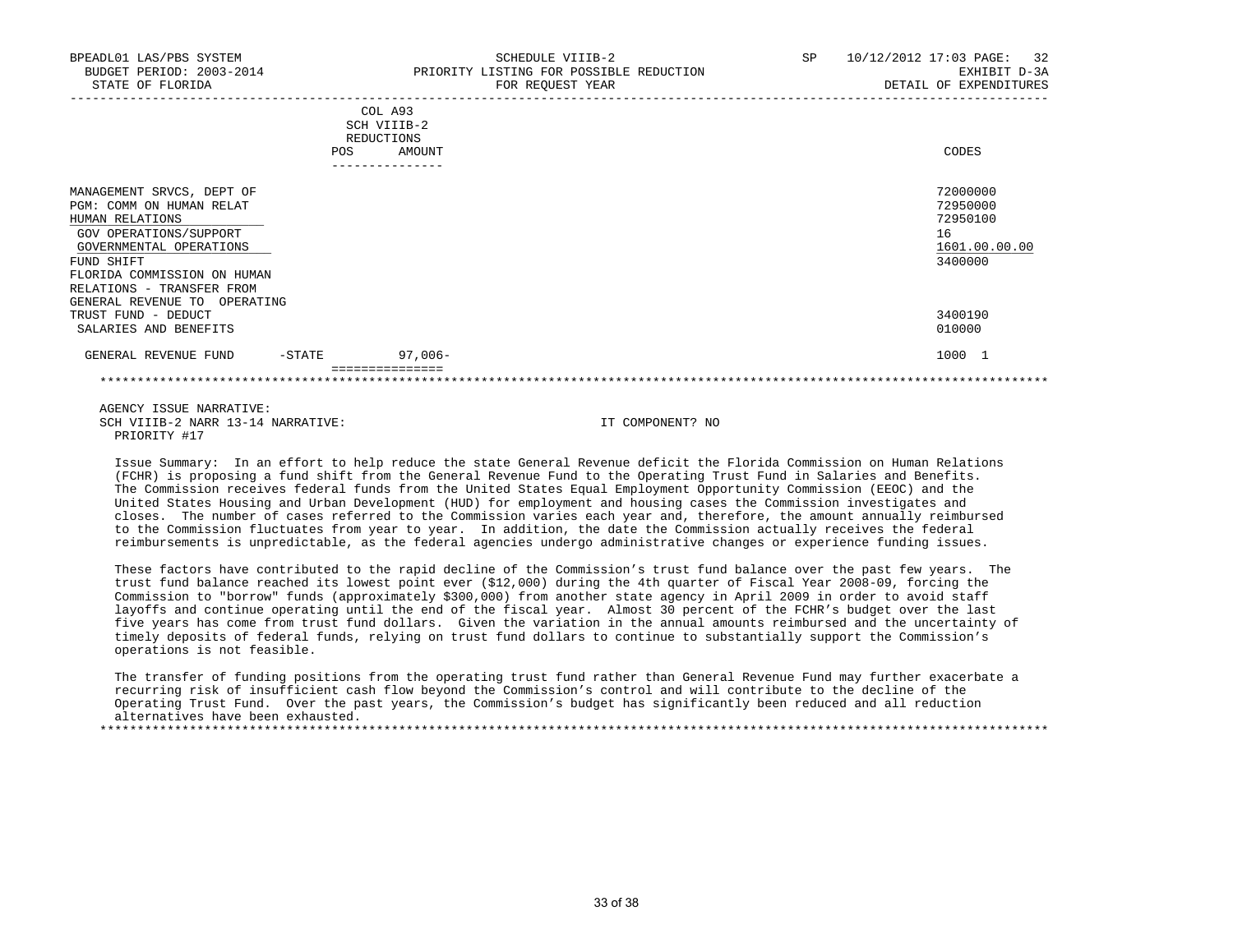| BPEADL01 LAS/PBS SYSTEM<br>BUDGET PERIOD: 2003-2014<br>STATE OF FLORIDA                                                                                                                                                                 |                   | SCHEDULE VIIIB-2<br>PRIORITY LISTING FOR POSSIBLE REDUCTION<br>FOR REQUEST YEAR | SP | 10/12/2012 17:03 PAGE: 32<br>EXHIBIT D-3A<br>DETAIL OF EXPENDITURES |
|-----------------------------------------------------------------------------------------------------------------------------------------------------------------------------------------------------------------------------------------|-------------------|---------------------------------------------------------------------------------|----|---------------------------------------------------------------------|
|                                                                                                                                                                                                                                         | REDUCTIONS<br>POS | COL A93<br>SCH VIIIB-2<br>AMOUNT                                                |    | CODES                                                               |
| MANAGEMENT SRVCS, DEPT OF<br>PGM: COMM ON HUMAN RELAT<br>HUMAN RELATIONS<br>GOV OPERATIONS/SUPPORT<br>GOVERNMENTAL OPERATIONS<br>FUND SHIFT<br>FLORIDA COMMISSION ON HUMAN<br>RELATIONS - TRANSFER FROM<br>GENERAL REVENUE TO OPERATING |                   |                                                                                 |    | 72000000<br>72950000<br>72950100<br>16<br>1601.00.00.00<br>3400000  |
| TRUST FUND - DEDUCT<br>SALARIES AND BENEFITS                                                                                                                                                                                            |                   |                                                                                 |    | 3400190<br>010000                                                   |
| GENERAL REVENUE FUND                                                                                                                                                                                                                    | -STATE            | $97,006 -$                                                                      |    | 1000 1                                                              |

 AGENCY ISSUE NARRATIVE: SCH VIIIB-2 NARR 13-14 NARRATIVE: IT COMPONENT? NO PRIORITY #17

 Issue Summary: In an effort to help reduce the state General Revenue deficit the Florida Commission on Human Relations (FCHR) is proposing a fund shift from the General Revenue Fund to the Operating Trust Fund in Salaries and Benefits. The Commission receives federal funds from the United States Equal Employment Opportunity Commission (EEOC) and the United States Housing and Urban Development (HUD) for employment and housing cases the Commission investigates and closes. The number of cases referred to the Commission varies each year and, therefore, the amount annually reimbursed to the Commission fluctuates from year to year. In addition, the date the Commission actually receives the federal reimbursements is unpredictable, as the federal agencies undergo administrative changes or experience funding issues.

 These factors have contributed to the rapid decline of the Commission's trust fund balance over the past few years. The trust fund balance reached its lowest point ever (\$12,000) during the 4th quarter of Fiscal Year 2008-09, forcing the Commission to "borrow" funds (approximately \$300,000) from another state agency in April 2009 in order to avoid staff layoffs and continue operating until the end of the fiscal year. Almost 30 percent of the FCHR's budget over the last five years has come from trust fund dollars. Given the variation in the annual amounts reimbursed and the uncertainty of timely deposits of federal funds, relying on trust fund dollars to continue to substantially support the Commission's operations is not feasible.

 The transfer of funding positions from the operating trust fund rather than General Revenue Fund may further exacerbate a recurring risk of insufficient cash flow beyond the Commission's control and will contribute to the decline of the Operating Trust Fund. Over the past years, the Commission's budget has significantly been reduced and all reduction alternatives have been exhausted. \*\*\*\*\*\*\*\*\*\*\*\*\*\*\*\*\*\*\*\*\*\*\*\*\*\*\*\*\*\*\*\*\*\*\*\*\*\*\*\*\*\*\*\*\*\*\*\*\*\*\*\*\*\*\*\*\*\*\*\*\*\*\*\*\*\*\*\*\*\*\*\*\*\*\*\*\*\*\*\*\*\*\*\*\*\*\*\*\*\*\*\*\*\*\*\*\*\*\*\*\*\*\*\*\*\*\*\*\*\*\*\*\*\*\*\*\*\*\*\*\*\*\*\*\*\*\*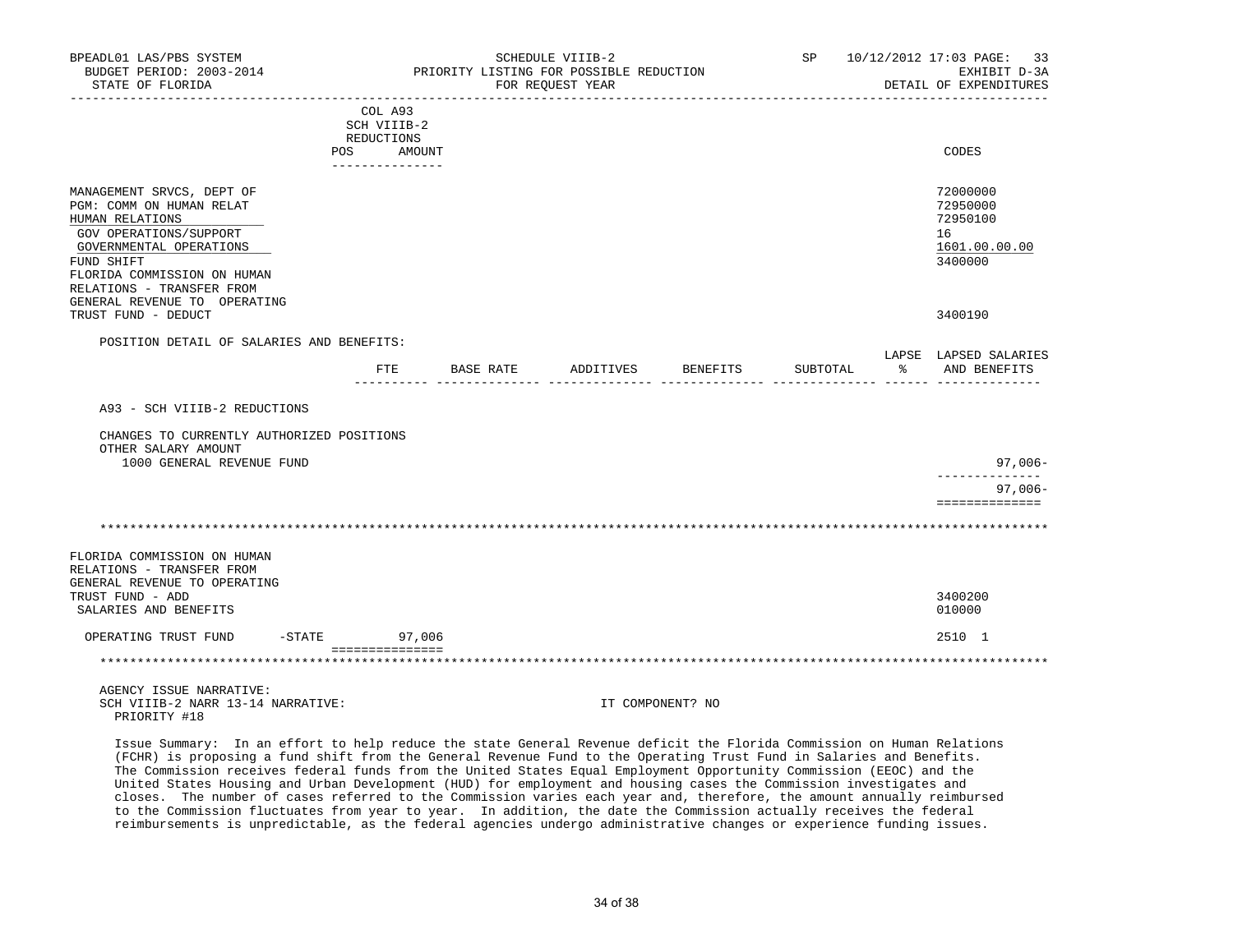| BPEADL01 LAS/PBS SYSTEM<br>BUDGET PERIOD: 2003-2014<br>STATE OF FLORIDA                                                                                                                                                                 |                                                    | SCHEDULE VIIIB-2<br>PRIORITY LISTING FOR POSSIBLE REDUCTION<br>FOR REQUEST YEAR |                  |          | SP 10/12/2012 17:03 PAGE: 33<br>EXHIBIT D-3A<br>DETAIL OF EXPENDITURES |
|-----------------------------------------------------------------------------------------------------------------------------------------------------------------------------------------------------------------------------------------|----------------------------------------------------|---------------------------------------------------------------------------------|------------------|----------|------------------------------------------------------------------------|
|                                                                                                                                                                                                                                         | COL A93<br>SCH VIIIB-2<br>REDUCTIONS<br>POS AMOUNT |                                                                                 |                  |          | CODES                                                                  |
| MANAGEMENT SRVCS, DEPT OF<br>PGM: COMM ON HUMAN RELAT<br>HUMAN RELATIONS<br>GOV OPERATIONS/SUPPORT<br>GOVERNMENTAL OPERATIONS<br>FUND SHIFT<br>FLORIDA COMMISSION ON HUMAN<br>RELATIONS - TRANSFER FROM<br>GENERAL REVENUE TO OPERATING |                                                    |                                                                                 |                  |          | 72000000<br>72950000<br>72950100<br>16<br>1601.00.00.00<br>3400000     |
| TRUST FUND - DEDUCT                                                                                                                                                                                                                     |                                                    |                                                                                 |                  |          | 3400190                                                                |
| POSITION DETAIL OF SALARIES AND BENEFITS:                                                                                                                                                                                               | FTE                                                | BASE RATE ADDITIVES                                                             | BENEFITS         | SUBTOTAL | LAPSE LAPSED SALARIES<br>% AND BENEFITS                                |
| A93 - SCH VIIIB-2 REDUCTIONS                                                                                                                                                                                                            |                                                    |                                                                                 |                  |          |                                                                        |
| CHANGES TO CURRENTLY AUTHORIZED POSITIONS<br>OTHER SALARY AMOUNT<br>1000 GENERAL REVENUE FUND                                                                                                                                           |                                                    |                                                                                 |                  |          | 97,006-                                                                |
|                                                                                                                                                                                                                                         |                                                    |                                                                                 |                  |          | ______________<br>$97,006 -$<br>==============                         |
|                                                                                                                                                                                                                                         |                                                    |                                                                                 |                  |          |                                                                        |
| FLORIDA COMMISSION ON HUMAN<br>RELATIONS - TRANSFER FROM<br>GENERAL REVENUE TO OPERATING<br>TRUST FUND - ADD<br>SALARIES AND BENEFITS                                                                                                   |                                                    |                                                                                 |                  |          | 3400200<br>010000                                                      |
| OPERATING TRUST FUND                                                                                                                                                                                                                    | -STATE 97,006                                      |                                                                                 |                  |          | 2510 1                                                                 |
|                                                                                                                                                                                                                                         | ===============                                    |                                                                                 |                  |          |                                                                        |
| AGENCY ISSUE NARRATIVE:<br>SCH VIIIB-2 NARR 13-14 NARRATIVE:<br>PRIORITY #18                                                                                                                                                            |                                                    |                                                                                 | IT COMPONENT? NO |          |                                                                        |

 Issue Summary: In an effort to help reduce the state General Revenue deficit the Florida Commission on Human Relations (FCHR) is proposing a fund shift from the General Revenue Fund to the Operating Trust Fund in Salaries and Benefits. The Commission receives federal funds from the United States Equal Employment Opportunity Commission (EEOC) and the United States Housing and Urban Development (HUD) for employment and housing cases the Commission investigates and closes. The number of cases referred to the Commission varies each year and, therefore, the amount annually reimbursed to the Commission fluctuates from year to year. In addition, the date the Commission actually receives the federal reimbursements is unpredictable, as the federal agencies undergo administrative changes or experience funding issues.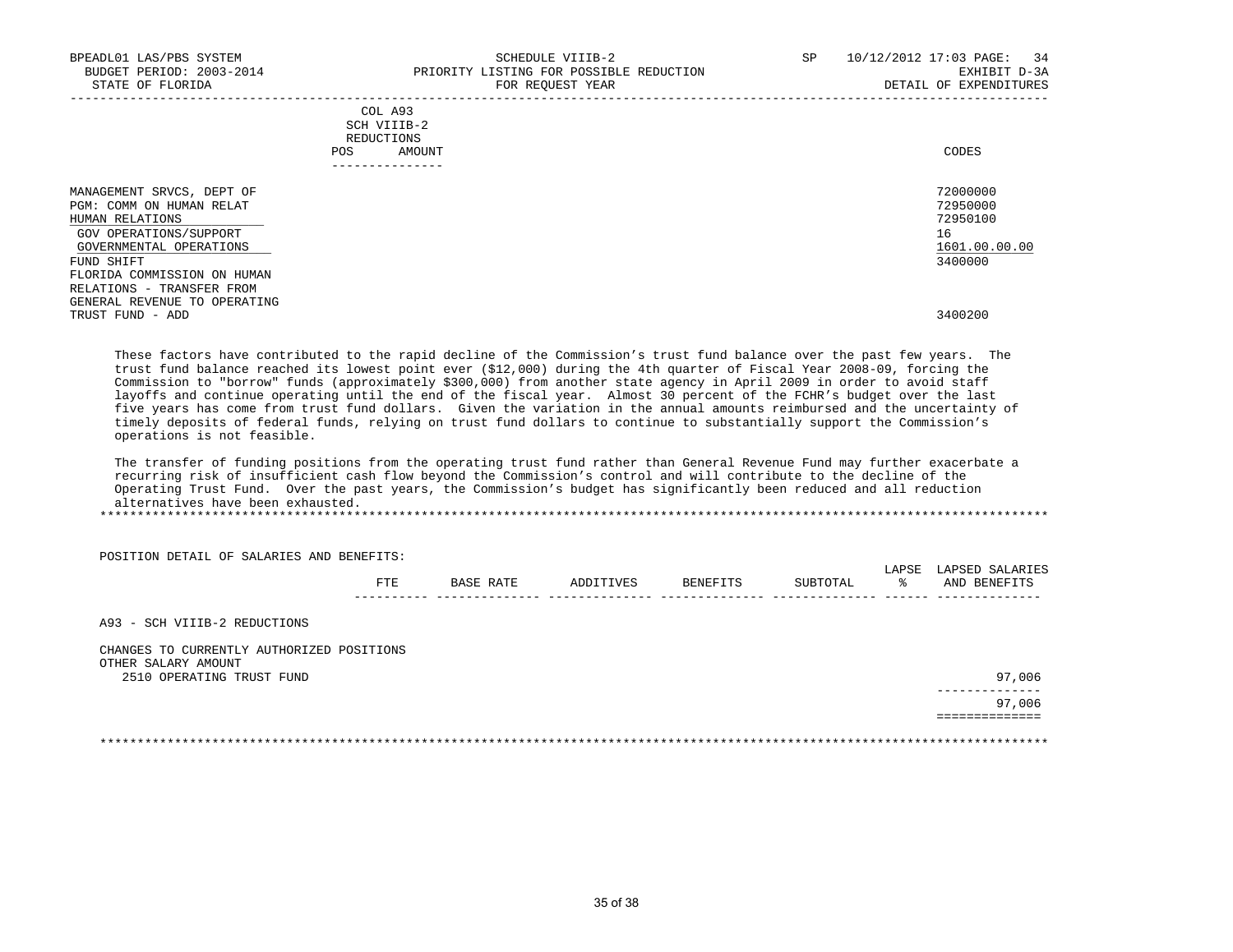| BPEADL01 LAS/PBS SYSTEM<br>BUDGET PERIOD: 2003-2014<br>STATE OF FLORIDA                                                                                                                                                                                     | SCHEDULE VIIIB-2<br>PRIORITY LISTING FOR POSSIBLE REDUCTION<br>FOR REQUEST YEAR | SP<br>10/12/2012 17:03 PAGE: 34<br>EXHIBIT D-3A<br>DETAIL OF EXPENDITURES     |
|-------------------------------------------------------------------------------------------------------------------------------------------------------------------------------------------------------------------------------------------------------------|---------------------------------------------------------------------------------|-------------------------------------------------------------------------------|
|                                                                                                                                                                                                                                                             | COL A93<br>SCH VIIIB-2<br>REDUCTIONS<br>AMOUNT<br>POS<br>---------------        | CODES                                                                         |
| MANAGEMENT SRVCS, DEPT OF<br>PGM: COMM ON HUMAN RELAT<br>HUMAN RELATIONS<br>GOV OPERATIONS/SUPPORT<br>GOVERNMENTAL OPERATIONS<br>FUND SHIFT<br>FLORIDA COMMISSION ON HUMAN<br>RELATIONS - TRANSFER FROM<br>GENERAL REVENUE TO OPERATING<br>TRUST FUND - ADD |                                                                                 | 72000000<br>72950000<br>72950100<br>16<br>1601.00.00.00<br>3400000<br>3400200 |

 These factors have contributed to the rapid decline of the Commission's trust fund balance over the past few years. The trust fund balance reached its lowest point ever (\$12,000) during the 4th quarter of Fiscal Year 2008-09, forcing the Commission to "borrow" funds (approximately \$300,000) from another state agency in April 2009 in order to avoid staff layoffs and continue operating until the end of the fiscal year. Almost 30 percent of the FCHR's budget over the last five years has come from trust fund dollars. Given the variation in the annual amounts reimbursed and the uncertainty of timely deposits of federal funds, relying on trust fund dollars to continue to substantially support the Commission's operations is not feasible.

 The transfer of funding positions from the operating trust fund rather than General Revenue Fund may further exacerbate a recurring risk of insufficient cash flow beyond the Commission's control and will contribute to the decline of the Operating Trust Fund. Over the past years, the Commission's budget has significantly been reduced and all reduction alternatives have been exhausted.

\*\*\*\*\*\*\*\*\*\*\*\*\*\*\*\*\*\*\*\*\*\*\*\*\*\*\*\*\*\*\*\*\*\*\*\*\*\*\*\*\*\*\*\*\*\*\*\*\*\*\*\*\*\*\*\*\*\*\*\*\*\*\*\*\*\*\*\*\*\*\*\*\*\*\*\*\*\*\*\*\*\*\*\*\*\*\*\*\*\*\*\*\*\*\*\*\*\*\*\*\*\*\*\*\*\*\*\*\*\*\*\*\*\*\*\*\*\*\*\*\*\*\*\*\*\*\*

POSITION DETAIL OF SALARIES AND BENEFITS:

|                     |    |           |      | LIA.<br>. | .            |
|---------------------|----|-----------|------|-----------|--------------|
| <b>LEADE</b><br>ᄗᆠᆈ | R⊉ | REN<br>٠. | T Al |           | AND<br>:NR:F |
| -------             |    |           |      |           | ---          |

A93 - SCH VIIIB-2 REDUCTIONS

 CHANGES TO CURRENTLY AUTHORIZED POSITIONS OTHER SALARY AMOUNT 2510 OPERATING TRUST FUND

| OIHER DADARI AMOUNI       |                             |
|---------------------------|-----------------------------|
| 2510 OPERATING TRUST FUND | 97,006                      |
|                           | ______________<br>97,006    |
|                           | . _ _ _ _ _ _ _ _ _ _ _ _ _ |

\*\*\*\*\*\*\*\*\*\*\*\*\*\*\*\*\*\*\*\*\*\*\*\*\*\*\*\*\*\*\*\*\*\*\*\*\*\*\*\*\*\*\*\*\*\*\*\*\*\*\*\*\*\*\*\*\*\*\*\*\*\*\*\*\*\*\*\*\*\*\*\*\*\*\*\*\*\*\*\*\*\*\*\*\*\*\*\*\*\*\*\*\*\*\*\*\*\*\*\*\*\*\*\*\*\*\*\*\*\*\*\*\*\*\*\*\*\*\*\*\*\*\*\*\*\*\*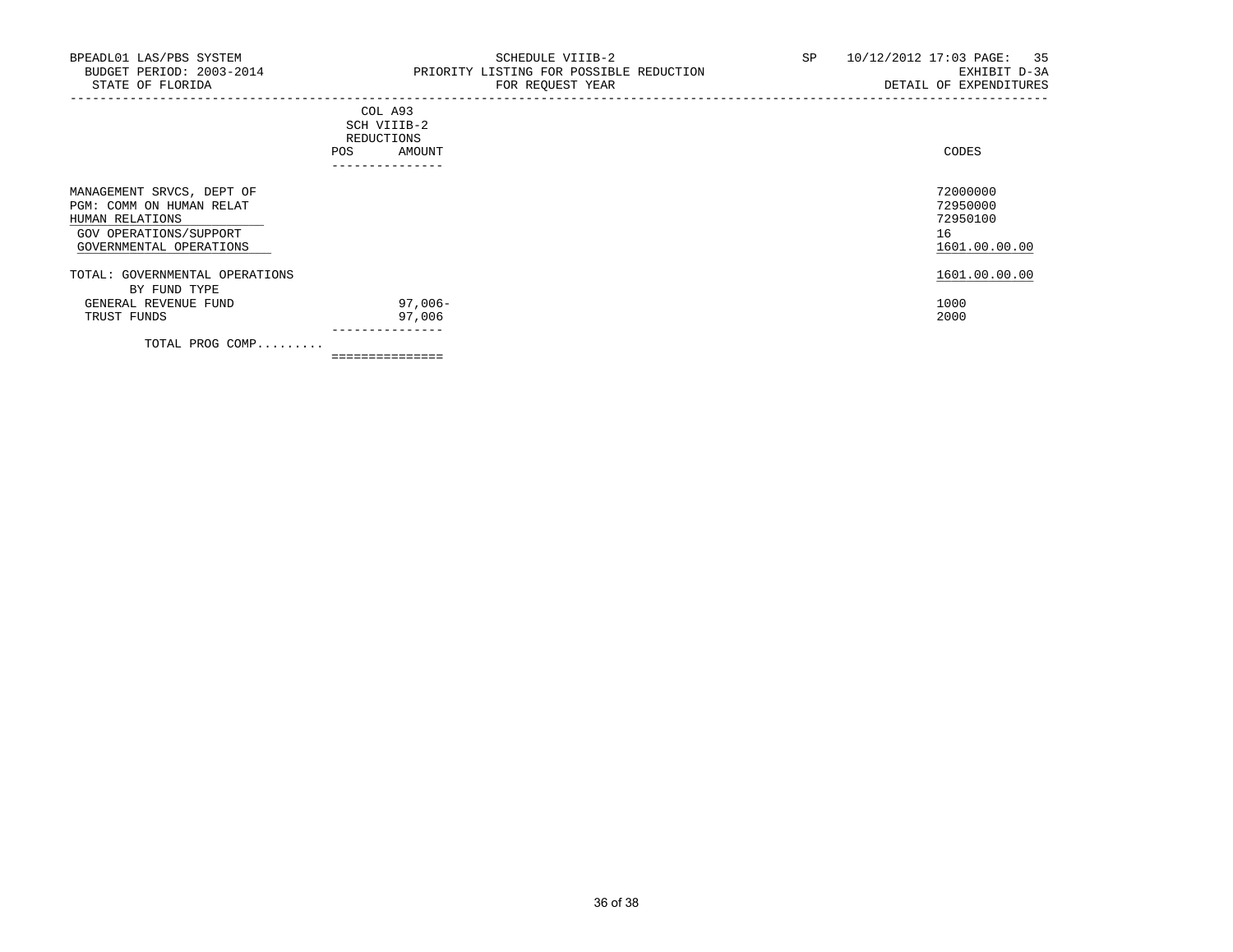## COL A93 SCH VIIIB-2 REDUCTIONS POS AMOUNT CODES ---------------

| MANAGEMENT SRVCS, DEPT OF<br>PGM: COMM ON HUMAN RELAT<br>HUMAN RELATIONS<br>GOV OPERATIONS/SUPPORT<br>GOVERNMENTAL OPERATIONS |         | 72000000<br>72950000<br>72950100<br>16<br>1601.00.00.00 |
|-------------------------------------------------------------------------------------------------------------------------------|---------|---------------------------------------------------------|
| TOTAL: GOVERNMENTAL OPERATIONS                                                                                                |         | 1601.00.00.00                                           |
| BY FUND TYPE                                                                                                                  |         |                                                         |
| GENERAL REVENUE FUND                                                                                                          | 97,006- | 1000                                                    |
| TRUST FUNDS                                                                                                                   | 97,006  | 2000                                                    |
| TOTAL PROG COMP                                                                                                               |         |                                                         |

-----------------------------------------------------------------------------------------------------------------------------------

===============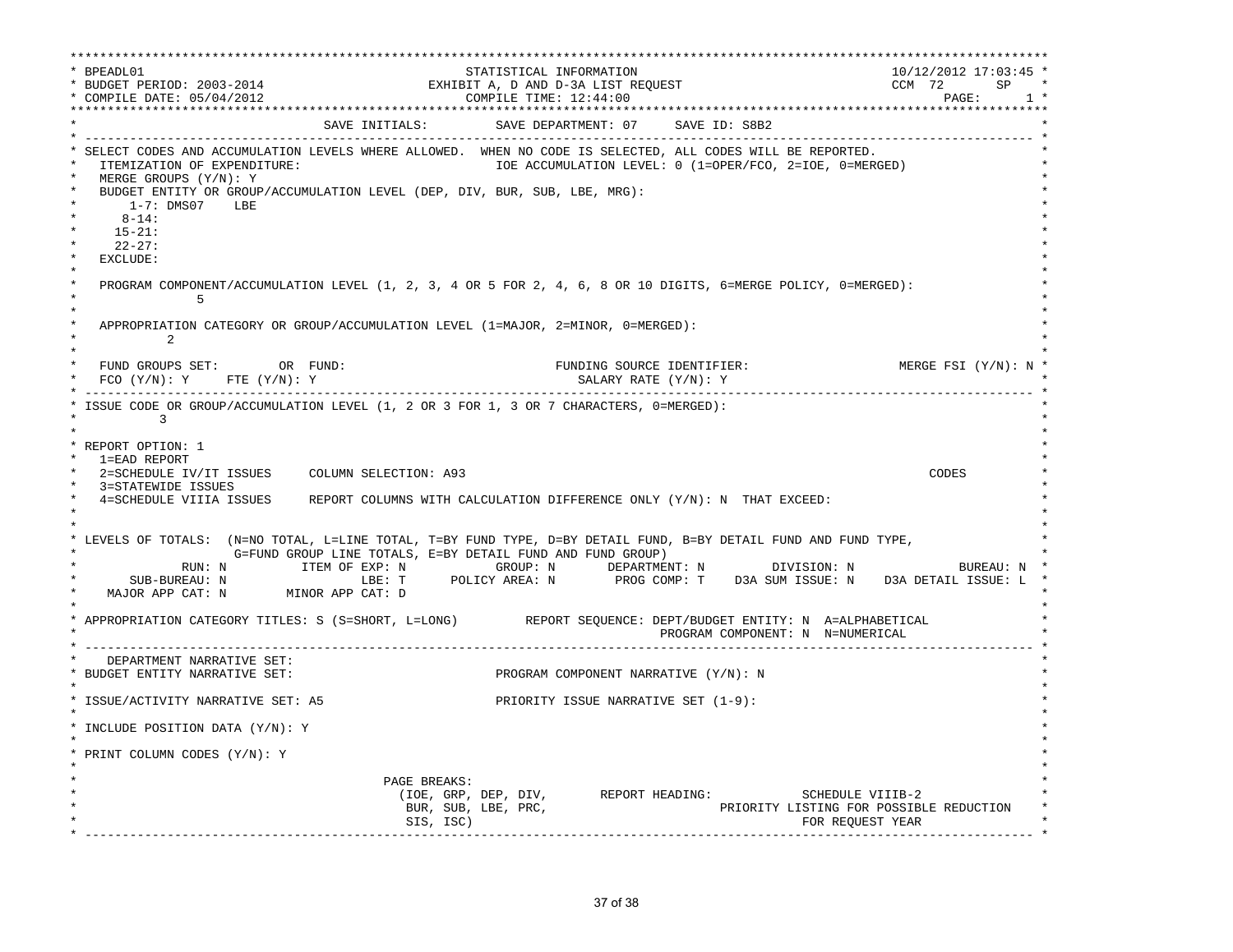\*\*\*\*\*\*\*\*\*\*\*\*\*\*\*\*\*\*\*\*\*\*\*\*\*\*\*\*\*\*\*\*\*\*\*\*\*\*\*\*\*\*\*\*\*\*\*\*\*\*\*\*\*\*\*\*\*\*\*\*\*\*\*\*\*\*\*\*\*\*\*\*\*\*\*\*\*\*\*\*\*\*\*\*\*\*\*\*\*\*\*\*\*\*\*\*\*\*\*\*\*\*\*\*\*\*\*\*\*\*\*\*\*\*\*\*\*\*\*\*\*\*\*\*\*\*\*\*\*\*\* \* BPEADL01 STATISTICAL INFORMATION 10/12/2012 17:03:45 \* \* BUDGET PERIOD: 2003-2014 EXHIBIT A, D AND D-3A LIST REQUEST CCM 72 SP \* \* COMPILE DATE: 05/04/2012 COMPILE TIME: 12:44:00 PAGE: 1 \* \*\*\*\*\*\*\*\*\*\*\*\*\*\*\*\*\*\*\*\*\*\*\*\*\*\*\*\*\*\*\*\*\*\*\*\*\*\*\*\*\*\*\*\*\*\*\*\*\*\*\*\*\*\*\*\*\*\*\*\*\*\*\*\*\*\*\*\*\*\*\*\*\*\*\*\*\*\*\*\*\*\*\*\*\*\*\*\*\*\*\*\*\*\*\*\*\*\*\*\*\*\*\*\*\*\*\*\*\*\*\*\*\*\*\*\*\*\*\*\*\*\*\*\*\*\*\*\*\*\*\* SAVE INITIALS: SAVE DEPARTMENT: 07 SAVE ID: S8B2 \* ------------------------------------------------------------------------------------------------------------------------------- \* \* SELECT CODES AND ACCUMULATION LEVELS WHERE ALLOWED. WHEN NO CODE IS SELECTED, ALL CODES WILL BE REPORTED. \* ITEMIZATION OF EXPENDITURE:  $\overline{10}$  accumulation level: 0 (1=OPER/FCO, 2=IOE, 0=MERGED) MERGE GROUPS (Y/N): Y BUDGET ENTITY OR GROUP/ACCUMULATION LEVEL (DEP, DIV, BUR, SUB, LBE, MRG): \* 1-7: DMS07 LBE \* \* 8-14: \* \* 15-21: \* \* 22-27: \* \* EXCLUDE: \*  $\star$   $\star$ PROGRAM COMPONENT/ACCUMULATION LEVEL (1, 2, 3, 4 OR 5 FOR 2, 4, 6, 8 OR 10 DIGITS, 6=MERGE POLICY, 0=MERGED):<br>5  $\star$  5  $\star$  $\star$   $\star$ APPROPRIATION CATEGORY OR GROUP/ACCUMULATION LEVEL  $(1=MAJOR, 2=MINOR, 0=MERGED):$  $\star$  2  $\star$  $\star$   $\star$  \* FUND GROUPS SET: OR FUND: FUNDING SOURCE IDENTIFIER: MERGE FSI (Y/N): N \*  $FCO$  (Y/N): Y  $FTE$  (Y/N): Y  $SALARY$  RATE (Y/N): Y \* ------------------------------------------------------------------------------------------------------------------------------- \* ISSUE CODE OR GROUP/ACCUMULATION LEVEL (1, 2 OR 3 FOR 1, 3 OR 7 CHARACTERS, 0=MERGED):  $\star$  3 \* \* \* REPORT OPTION: 1 \* \* 1=EAD REPORT \* \* 2=SCHEDULE IV/IT ISSUES COLUMN SELECTION: A93 CODES \* 3=STATEWIDE ISSUES \* 4=SCHEDULE VIIIA ISSUES REPORT COLUMNS WITH CALCULATION DIFFERENCE ONLY (Y/N): N THAT EXCEED: \*  $\star$  \*  $\star$  \* \* LEVELS OF TOTALS: (N=NO TOTAL, L=LINE TOTAL, T=BY FUND TYPE, D=BY DETAIL FUND, B=BY DETAIL FUND AND FUND TYPE, \* \* G=FUND GROUP LINE TOTALS, E=BY DETAIL FUND AND FUND GROUP) \* \* RUN: N ITEM OF EXP: N GROUP: N DEPARTMENT: N DIVISION: N BUREAU: N \* \* SUB-BUREAU: N LBE: T POLICY AREA: N PROG COMP: T D3A SUM ISSUE: N D3A DETAIL ISSUE: L \* MAJOR APP CAT: N MINOR APP CAT: D  $\star$   $\star$  \* APPROPRIATION CATEGORY TITLES: S (S=SHORT, L=LONG) REPORT SEQUENCE: DEPT/BUDGET ENTITY: N A=ALPHABETICAL \* PROGRAM COMPONENT: N N=NUMERICAL \* ------------------------------------------------------------------------------------------------------------------------------- \* DEPARTMENT NARRATIVE SET:<br>BUDGET ENTITY NARRATIVE SET: PROGRAM COMPONENT NARRATIVE (Y/N): N \* \* \* ISSUE/ACTIVITY NARRATIVE SET: A5 PRIORITY ISSUE NARRATIVE SET (1-9): \* \* \* \* INCLUDE POSITION DATA (Y/N): Y \* \* \* \* PRINT COLUMN CODES (Y/N): Y \* \* \* \* PAGE BREAKS: \* (IOE, GRP, DEP, DIV, REPORT HEADING: SCHEDULE VIIIB-2 BUR, SUB, LBE, PRC, THE SUBSETION PRIORITY LISTING FOR POSSIBLE REDUCTION  $\text{SIS}, \text{ISC}$  isc) \* ------------------------------------------------------------------------------------------------------------------------------- \*